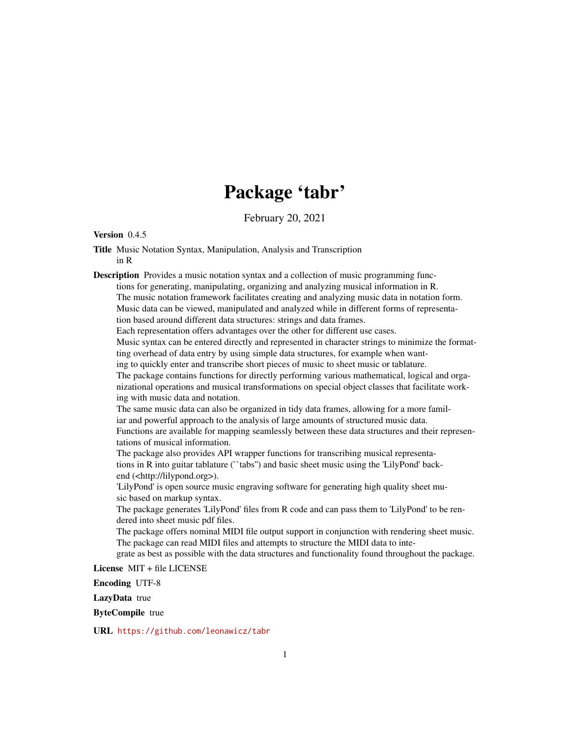# Package 'tabr'

February 20, 2021

#### Version 0.4.5

Title Music Notation Syntax, Manipulation, Analysis and Transcription in R

Description Provides a music notation syntax and a collection of music programming functions for generating, manipulating, organizing and analyzing musical information in R. The music notation framework facilitates creating and analyzing music data in notation form.

Music data can be viewed, manipulated and analyzed while in different forms of representation based around different data structures: strings and data frames.

Each representation offers advantages over the other for different use cases.

Music syntax can be entered directly and represented in character strings to minimize the formatting overhead of data entry by using simple data structures, for example when want-

ing to quickly enter and transcribe short pieces of music to sheet music or tablature.

The package contains functions for directly performing various mathematical, logical and organizational operations and musical transformations on special object classes that facilitate working with music data and notation.

The same music data can also be organized in tidy data frames, allowing for a more familiar and powerful approach to the analysis of large amounts of structured music data. Functions are available for mapping seamlessly between these data structures and their representations of musical information.

The package also provides API wrapper functions for transcribing musical representations in R into guitar tablature (``tabs'') and basic sheet music using the 'LilyPond' backend (<http://lilypond.org>).

'LilyPond' is open source music engraving software for generating high quality sheet music based on markup syntax.

The package generates 'LilyPond' files from R code and can pass them to 'LilyPond' to be rendered into sheet music pdf files.

The package offers nominal MIDI file output support in conjunction with rendering sheet music. The package can read MIDI files and attempts to structure the MIDI data to inte-

grate as best as possible with the data structures and functionality found throughout the package.

License MIT + file LICENSE

Encoding UTF-8

LazyData true

ByteCompile true

URL <https://github.com/leonawicz/tabr>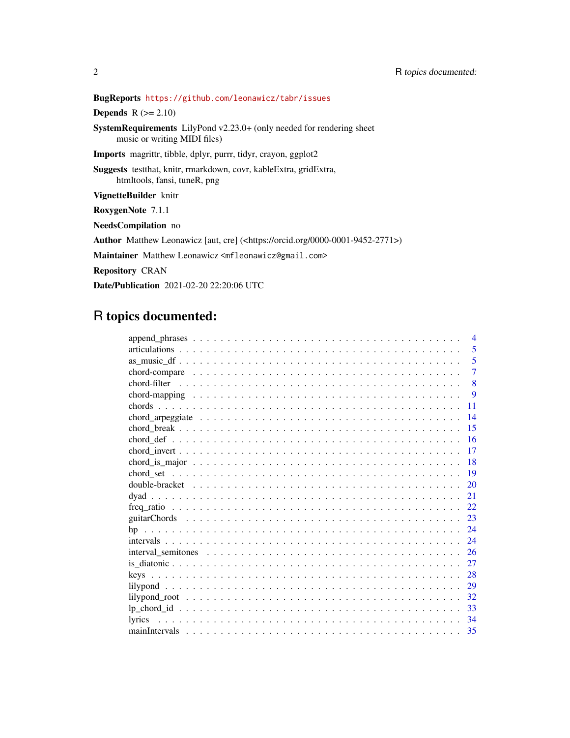# BugReports <https://github.com/leonawicz/tabr/issues>

**Depends**  $R$  ( $>= 2.10$ )

SystemRequirements LilyPond v2.23.0+ (only needed for rendering sheet music or writing MIDI files)

Imports magrittr, tibble, dplyr, purrr, tidyr, crayon, ggplot2

Suggests testthat, knitr, rmarkdown, covr, kableExtra, gridExtra, htmltools, fansi, tuneR, png

VignetteBuilder knitr

RoxygenNote 7.1.1

NeedsCompilation no

Author Matthew Leonawicz [aut, cre] (<https://orcid.org/0000-0001-9452-2771>)

Maintainer Matthew Leonawicz <mfleonawicz@gmail.com>

Repository CRAN

Date/Publication 2021-02-20 22:20:06 UTC

# R topics documented:

| $\overline{4}$ |
|----------------|
| 5              |
| 5              |
| $\overline{7}$ |
| 8              |
| 9              |
| 11             |
| 14             |
| 15             |
| 16             |
| 17             |
| 18             |
| 19             |
| 20             |
| 21             |
| 22.            |
| 23             |
| 24             |
| 24             |
| 26             |
| 27             |
| 28             |
| 29             |
| 32             |
| 33             |
| lyrics<br>34   |
|                |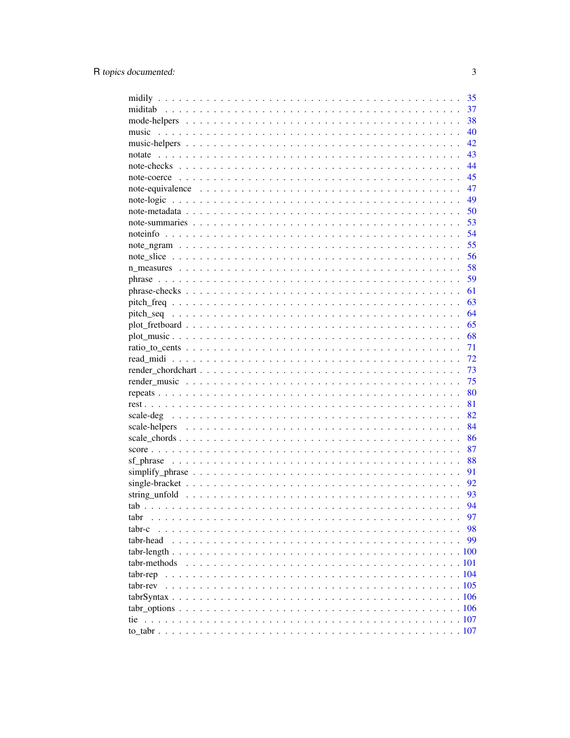|              | 35   |
|--------------|------|
|              | 37   |
|              | 38   |
| music        | 40   |
|              | 42   |
| notate       | 43   |
|              | 44   |
|              | 45   |
|              | 47   |
|              | - 49 |
|              | 50   |
|              | 53   |
|              | 54   |
|              | 55   |
|              | 56   |
|              | 58   |
|              | 59   |
|              | 61   |
|              | 63   |
|              | 64   |
|              | 65   |
|              | 68   |
|              | 71   |
|              | 72   |
|              | 73   |
|              | 75   |
|              |      |
|              | 80   |
|              | 81   |
|              | 82   |
|              | 84   |
|              | 86   |
|              | 87   |
|              | 88   |
|              | 91   |
|              | 92   |
|              | 93   |
|              | 94   |
| tabr         | 97   |
| tabr-c       | 98   |
| tabr-head    | 99   |
|              |      |
| tabr-methods |      |
| tabr-rep     |      |
| tabr-rev     |      |
|              |      |
|              |      |
| tie          |      |
|              |      |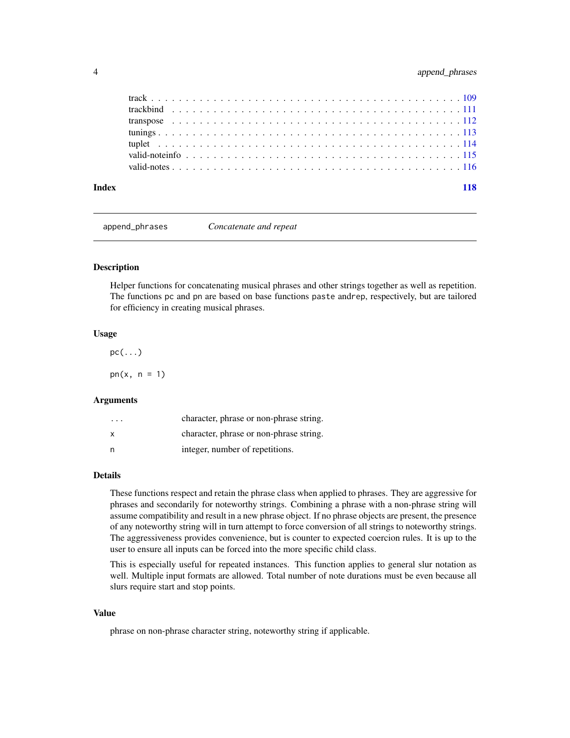<span id="page-3-0"></span>

| Index | 118 |
|-------|-----|

append\_phrases *Concatenate and repeat*

#### Description

Helper functions for concatenating musical phrases and other strings together as well as repetition. The functions pc and pn are based on base functions paste andrep, respectively, but are tailored for efficiency in creating musical phrases.

#### Usage

 $pc(...)$ 

 $pn(x, n = 1)$ 

#### Arguments

| $\cdot$ $\cdot$ $\cdot$ | character, phrase or non-phrase string. |
|-------------------------|-----------------------------------------|
| x                       | character, phrase or non-phrase string. |
| n                       | integer, number of repetitions.         |

#### Details

These functions respect and retain the phrase class when applied to phrases. They are aggressive for phrases and secondarily for noteworthy strings. Combining a phrase with a non-phrase string will assume compatibility and result in a new phrase object. If no phrase objects are present, the presence of any noteworthy string will in turn attempt to force conversion of all strings to noteworthy strings. The aggressiveness provides convenience, but is counter to expected coercion rules. It is up to the user to ensure all inputs can be forced into the more specific child class.

This is especially useful for repeated instances. This function applies to general slur notation as well. Multiple input formats are allowed. Total number of note durations must be even because all slurs require start and stop points.

#### Value

phrase on non-phrase character string, noteworthy string if applicable.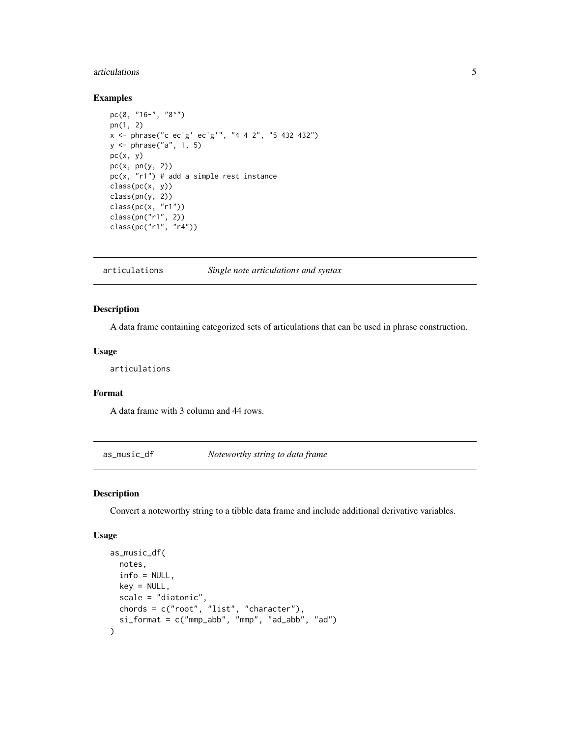# <span id="page-4-0"></span>articulations 5

#### Examples

```
pc(8, "16-", "8^{\wedge}")pn(1, 2)
x <- phrase("c ec'g' ec'g'", "4 4 2", "5 432 432")
y <- phrase("a", 1, 5)
pc(x, y)pc(x, pn(y, 2))
pc(x, "r1") # add a simple rest instance
class(pc(x, y))class(pn(y, 2))
class(pc(x, "r1"))
class(pn("r1", 2))
class(pc("r1", "r4"))
```
articulations *Single note articulations and syntax*

#### Description

A data frame containing categorized sets of articulations that can be used in phrase construction.

#### Usage

articulations

#### Format

A data frame with 3 column and 44 rows.

as\_music\_df *Noteworthy string to data frame*

# Description

Convert a noteworthy string to a tibble data frame and include additional derivative variables.

#### Usage

```
as_music_df(
 notes,
  info = NULL,
 key = NULL,
  scale = "diatonic",
 chords = c("root", "list", "character"),
  si_format = c("mmp_abb", "mmp", "ad_abb", "ad")
\mathcal{E}
```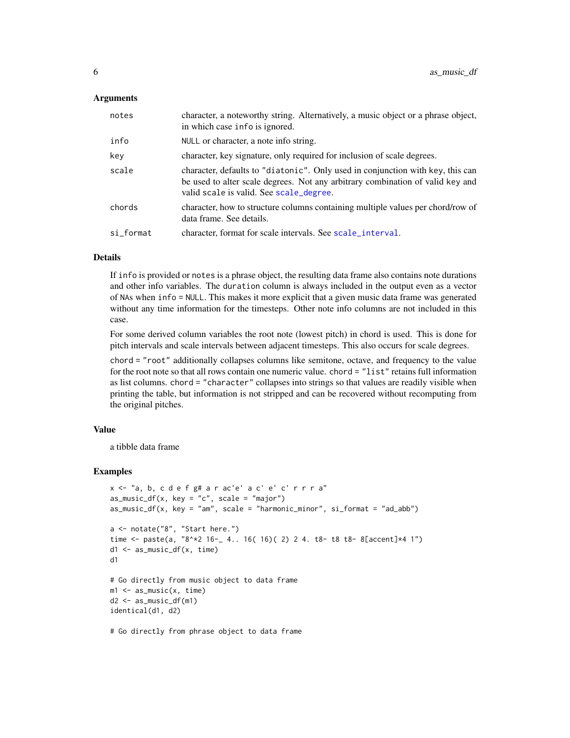#### Arguments

| notes     | character, a noteworthy string. Alternatively, a music object or a phrase object,<br>in which case info is ignored.                                                                                         |
|-----------|-------------------------------------------------------------------------------------------------------------------------------------------------------------------------------------------------------------|
| info      | NULL or character, a note info string.                                                                                                                                                                      |
| key       | character, key signature, only required for inclusion of scale degrees.                                                                                                                                     |
| scale     | character, defaults to "diatonic". Only used in conjunction with key, this can<br>be used to alter scale degrees. Not any arbitrary combination of valid key and<br>valid scale is valid. See scale_degree. |
| chords    | character, how to structure columns containing multiple values per chord/row of<br>data frame. See details.                                                                                                 |
| si format | character, format for scale intervals. See scale_interval.                                                                                                                                                  |

#### Details

If info is provided or notes is a phrase object, the resulting data frame also contains note durations and other info variables. The duration column is always included in the output even as a vector of NAs when info = NULL. This makes it more explicit that a given music data frame was generated without any time information for the timesteps. Other note info columns are not included in this case.

For some derived column variables the root note (lowest pitch) in chord is used. This is done for pitch intervals and scale intervals between adjacent timesteps. This also occurs for scale degrees.

chord = "root" additionally collapses columns like semitone, octave, and frequency to the value for the root note so that all rows contain one numeric value. chord = "list" retains full information as list columns. chord = "character" collapses into strings so that values are readily visible when printing the table, but information is not stripped and can be recovered without recomputing from the original pitches.

# Value

a tibble data frame

```
x <- "a, b, c d e f g# a r ac'e' a c' e' c' r r r a"
as_music_df(x, key = "c", scale = "major")as_music_df(x, key = "am", scale = "harmonic_minor", siformat = "ad_abb")a <- notate("8", "Start here.")
time <- paste(a, "8^*2 16-_ 4.. 16( 16)( 2) 2 4. t8- t8 t8- 8[accent]*4 1")
d1 <- as_music_df(x, time)
d1
# Go directly from music object to data frame
m1 <- as_music(x, time)
d2 <- as_music_df(m1)
identical(d1, d2)
# Go directly from phrase object to data frame
```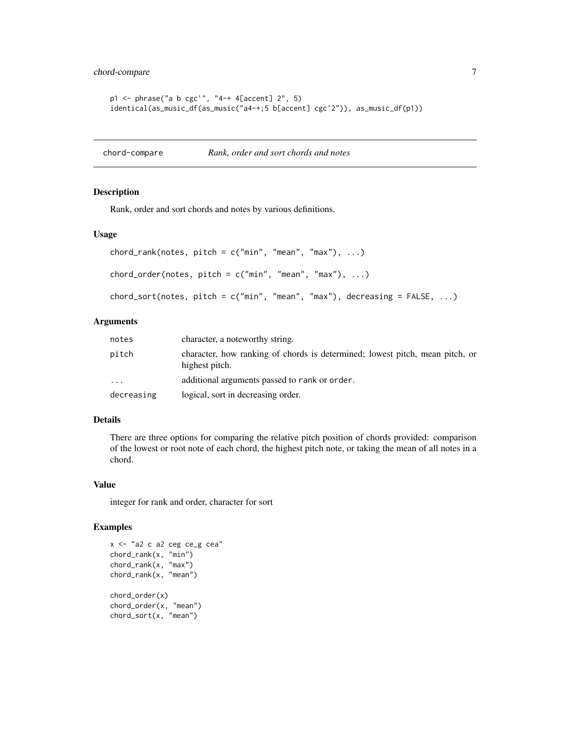```
p1 <- phrase("a b cgc'", "4-+ 4[accent] 2", 5)
identical(as_music_df(as_music("a4-+;5 b[accent] cgc'2")), as_music_df(p1))
```
chord-compare *Rank, order and sort chords and notes*

#### Description

Rank, order and sort chords and notes by various definitions.

# Usage

```
chord_rank(notes, pitch = c("min", "mean", "max"), ...)
chord_order(notes, pitch = c("min", "mean", "max"), ...)
chord_sort(notes, pitch = c("min", "mean", "max"), decreasing = FALSE, ...)
```
#### Arguments

| notes      | character, a noteworthy string.                                                                |
|------------|------------------------------------------------------------------------------------------------|
| pitch      | character, how ranking of chords is determined; lowest pitch, mean pitch, or<br>highest pitch. |
| $\cdots$   | additional arguments passed to rank or order.                                                  |
| decreasing | logical, sort in decreasing order.                                                             |

# Details

There are three options for comparing the relative pitch position of chords provided: comparison of the lowest or root note of each chord, the highest pitch note, or taking the mean of all notes in a chord.

#### Value

integer for rank and order, character for sort

```
x <- "a2 c a2 ceg ce_g cea"
chord_rank(x, "min")
chord_rank(x, "max")
chord_rank(x, "mean")
chord_order(x)
chord_order(x, "mean")
chord_sort(x, "mean")
```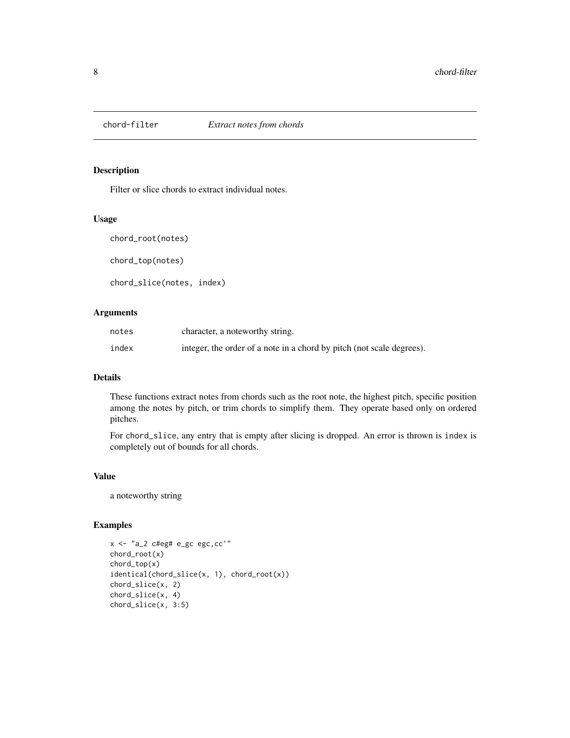<span id="page-7-0"></span>

Filter or slice chords to extract individual notes.

#### Usage

chord\_root(notes)

chord\_top(notes)

chord\_slice(notes, index)

# Arguments

| notes | character, a noteworthy string.                                       |
|-------|-----------------------------------------------------------------------|
| index | integer, the order of a note in a chord by pitch (not scale degrees). |

# Details

These functions extract notes from chords such as the root note, the highest pitch, specific position among the notes by pitch, or trim chords to simplify them. They operate based only on ordered pitches.

For chord\_slice, any entry that is empty after slicing is dropped. An error is thrown is index is completely out of bounds for all chords.

# Value

a noteworthy string

```
x <- "a_2 c#eg# e_gc egc,cc'"
chord_root(x)
chord_top(x)
identical(chord_slice(x, 1), chord_root(x))
chord_slice(x, 2)
chord_slice(x, 4)
chord_slice(x, 3:5)
```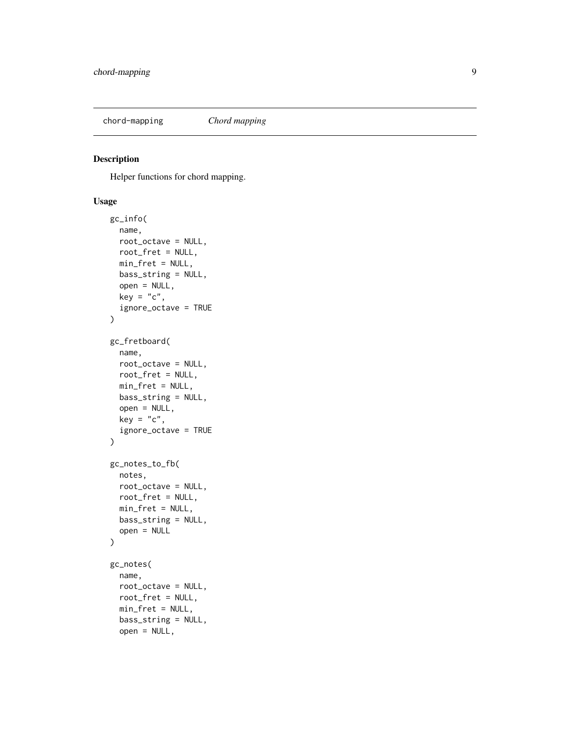<span id="page-8-0"></span>chord-mapping *Chord mapping*

# Description

Helper functions for chord mapping.

# Usage

```
gc_info(
  name,
  root_octave = NULL,
  root_fret = NULL,
 min_fret = NULL,
 bass_string = NULL,
  open = NULL,
 key = "c",ignore_octave = TRUE
\mathcal{E}gc_fretboard(
 name,
  root_octave = NULL,
  root_fret = NULL,
 min_fret = NULL,
 bass_string = NULL,
  open = NULL,
 key = "c",ignore_octave = TRUE
\mathcal{L}gc_notes_to_fb(
 notes,
  root_octave = NULL,
  root_fret = NULL,
 min_fret = NULL,
 bass_string = NULL,
  open = NULL
)
gc_notes(
  name,
  root_octave = NULL,
  root_fret = NULL,
 min_fret = NULL,
 bass_string = NULL,
  open = NULL,
```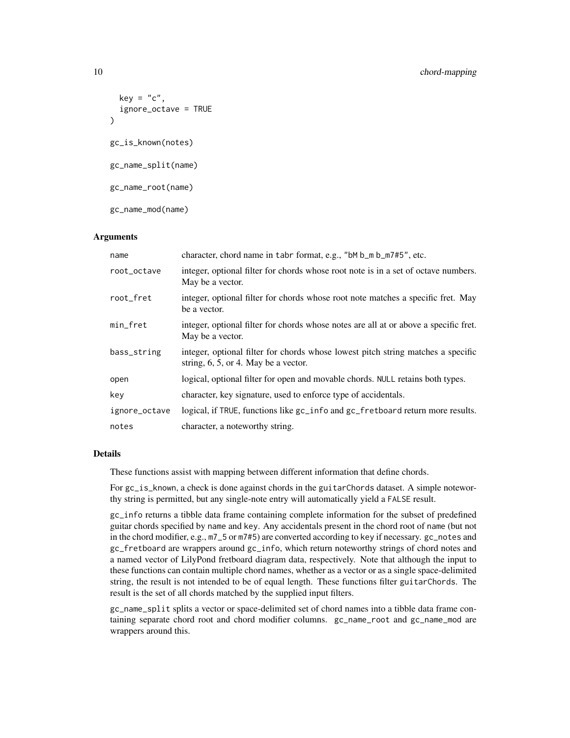# 10 chord-mapping chord-mapping chord-mapping

```
key = "c",ignore_octave = TRUE
\lambdagc_is_known(notes)
gc_name_split(name)
gc_name_root(name)
gc_name_mod(name)
```
# Arguments

| name          | character, chord name in tabr format, e.g., "bM b_m b_m7#5", etc.                                                           |
|---------------|-----------------------------------------------------------------------------------------------------------------------------|
| root_octave   | integer, optional filter for chords whose root note is in a set of octave numbers.<br>May be a vector.                      |
| root_fret     | integer, optional filter for chords whose root note matches a specific fret. May<br>be a vector.                            |
| min_fret      | integer, optional filter for chords whose notes are all at or above a specific fret.<br>May be a vector.                    |
| bass_string   | integer, optional filter for chords whose lowest pitch string matches a specific<br>string, $6, 5$ , or 4. May be a vector. |
| open          | logical, optional filter for open and movable chords. NULL retains both types.                                              |
| key           | character, key signature, used to enforce type of accidentals.                                                              |
| ignore_octave | logical, if TRUE, functions like gc_info and gc_fretboard return more results.                                              |
| notes         | character, a noteworthy string.                                                                                             |

# **Details**

These functions assist with mapping between different information that define chords.

For gc\_is\_known, a check is done against chords in the guitarChords dataset. A simple noteworthy string is permitted, but any single-note entry will automatically yield a FALSE result.

gc\_info returns a tibble data frame containing complete information for the subset of predefined guitar chords specified by name and key. Any accidentals present in the chord root of name (but not in the chord modifier, e.g., m7\_5 or m7#5) are converted according to key if necessary. gc\_notes and gc\_fretboard are wrappers around gc\_info, which return noteworthy strings of chord notes and a named vector of LilyPond fretboard diagram data, respectively. Note that although the input to these functions can contain multiple chord names, whether as a vector or as a single space-delimited string, the result is not intended to be of equal length. These functions filter guitarChords. The result is the set of all chords matched by the supplied input filters.

gc\_name\_split splits a vector or space-delimited set of chord names into a tibble data frame containing separate chord root and chord modifier columns. gc\_name\_root and gc\_name\_mod are wrappers around this.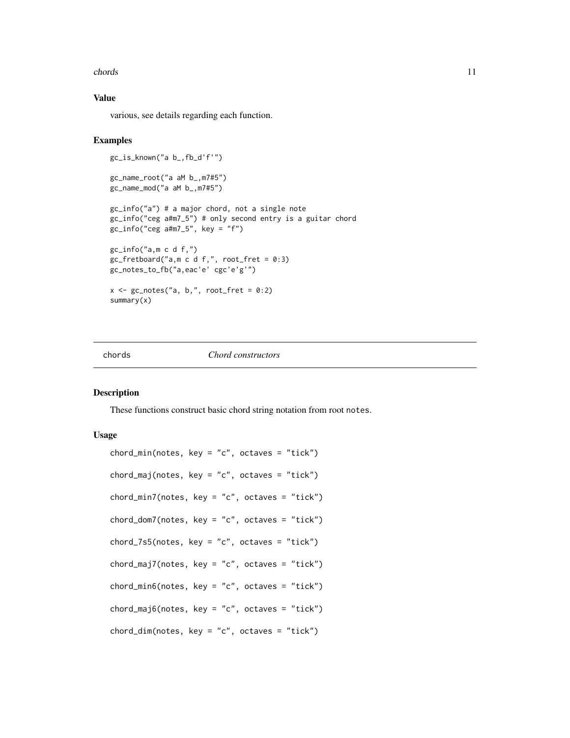#### <span id="page-10-0"></span>chords 21 and 22 and 22 and 22 and 23 and 23 and 23 and 23 and 24 and 25 and 26 and 26 and 26 and 26 and 26 and 26 and 26 and 26 and 26 and 26 and 26 and 26 and 26 and 26 and 26 and 26 and 26 and 26 and 26 and 26 and 26 an

# Value

various, see details regarding each function.

#### Examples

```
gc_is_known("a b_,fb_d'f'")
gc_name_root("a aM b_,m7#5")
gc_name_mod("a aM b_,m7#5")
gc_info("a") # a major chord, not a single note
gc_info("ceg a#m7_5") # only second entry is a guitar chord
gc_info("ceg atm7_5", key = "f")gc_info("a,m c d f,")
gc_fretboard("a,m c d f,", root_fret = 0:3)
gc_notes_to_fb("a,eac'e' cgc'e'g'")
x \leq gc_notes("a, b,", root_fret = 0:2)
summary(x)
```
# chords *Chord constructors*

#### Description

These functions construct basic chord string notation from root notes.

#### Usage

```
chord\_min(notes, key = "c", octaves = "tick")chord_maj(notes, key = "c", octaves = "tick")
chord\_min7(notes, key = "c", octaves = "tick")chord\_dom7(notes, key = "c", octaves = "tick")chord_7s5(notes, key = "c", octaves = "tick")
chord_maj7(notes, key = "c", octaves = "tick")
chord\_min6(notes, key = "c", octaves = "tick")chord_maj6(notes, key = "c", octaves = "tick")
chord\_dim(notes, key = "c", octaves = "tick")
```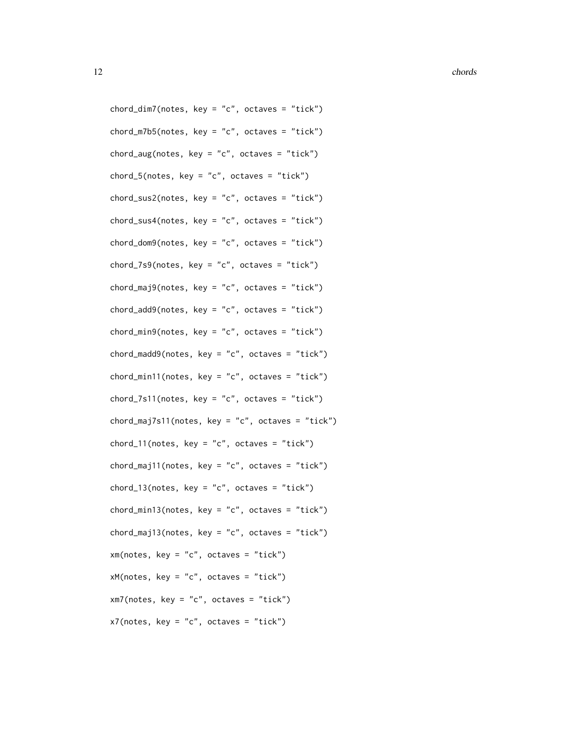12 chords and the chords of the chords of the chords of the chords of the chords of the chords of the chords of the chords of the chords of the chords of the chords of the chords of the chords of the chords of the chords o

 $chord\_dim7(notes, key = "c", octaves = "tick")$  $chord_m7b5(notes, key = "c", octaves = "tick")$ chord\_aug(notes, key = "c", octaves = "tick") chord\_5(notes, key = "c", octaves = "tick") chord\_sus2(notes, key = "c", octaves = "tick") chord\_sus4(notes, key = "c", octaves = "tick")  $chord\_dom9(notes, key = "c", octaves = "tick")$  $chord_7s9(notes, key = "c", octaves = "tick")$  $chord_m$ aj $9(notes, key = "c", octaves = "tick")$  $chord\_add9(notes, key = "c", octaves = "tick")$ chord\_min9(notes, key = "c", octaves = "tick") chord\_madd9(notes, key = "c", octaves = "tick") chord\_min11(notes, key = "c", octaves = "tick") chord\_7s11(notes, key = "c", octaves = "tick") chord\_maj7s11(notes, key = "c", octaves = "tick") chord\_11(notes, key = "c", octaves = "tick") chord\_maj11(notes, key = "c", octaves = "tick") chord\_13(notes, key = "c", octaves = "tick")  $chord\_min13(notes, key = "c", octaves = "tick")$  $chord_maj13(notes, key = "c", octaves = "tick")$  $xm(notes, key = "c", octaves = "tick")$  $xM(notes, key = "c", octaves = "tick")$  $xm7(notes, key = "c", octaves = "tick")$  $x7(notes, key = "c", octaves = "tick")$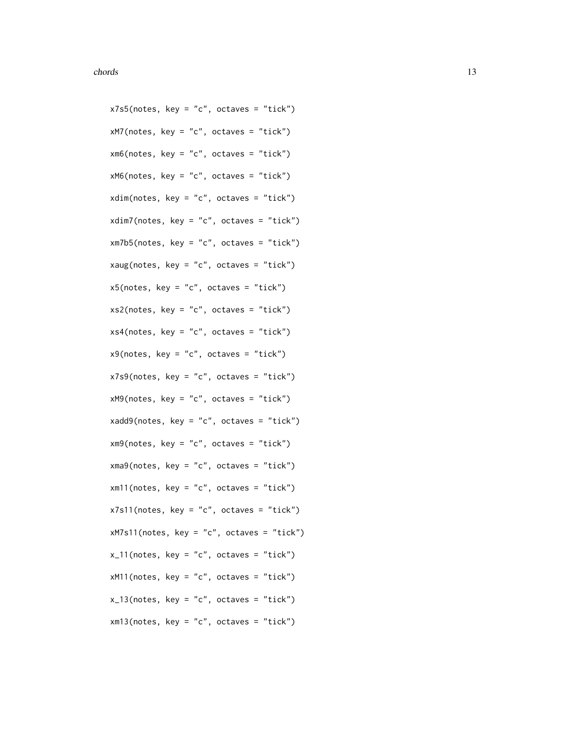$x7s5(notes, key = "c", octaves = "tick")$  $x$ M7(notes, key = "c", octaves = "tick")  $xm6(notes, key = "c", octaves = "tick")$  $xM6(notes, key = "c", octaves = "tick")$ xdim(notes, key = "c", octaves = "tick") xdim7(notes, key = "c", octaves = "tick") xm7b5(notes, key = "c", octaves = "tick") xaug(notes, key = "c", octaves = "tick")  $x5(notes, key = "c", octaves = "tick")$  $xs2(notes, key = "c", octaves = "tick")$  $xs4(notes, key = "c", octaves = "tick")$  $x9(notes, key = "c", octaves = "tick")$  $x7s9(notes, key = "c", octaves = "tick")$  $xM9(notes, key = "c", octaves = "tick")$  $xadd9(notes, key = "c", octaves = "tick")$  $xm9(notes, key = "c", octaves = "tick")$ xma9(notes, key = "c", octaves = "tick")  $x$ m11(notes, key = "c", octaves = "tick")  $x7s11(notes, key = "c", octaves = "tick")$ xM7s11(notes, key = "c", octaves = "tick")  $x_1$ 11(notes, key = "c", octaves = "tick")  $xM11(notes, key = "c", octaves = "tick")$  $x_13(notes, key = "c", octaves = "tick")$ xm13(notes, key = "c", octaves = "tick")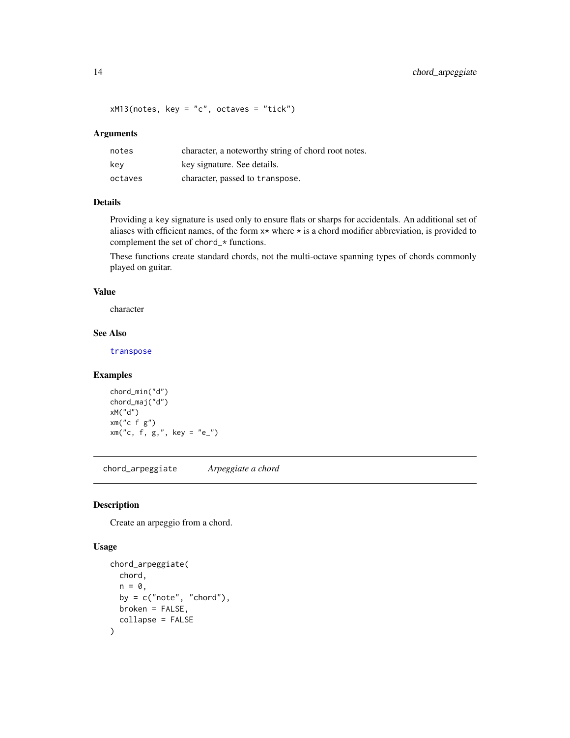# <span id="page-13-0"></span>14 chord\_arpeggiate

 $xM13(notes, key = "c", octaves = "tick")$ 

# Arguments

| notes   | character, a noteworthy string of chord root notes. |
|---------|-----------------------------------------------------|
| kev     | key signature. See details.                         |
| octaves | character, passed to transpose.                     |

# Details

Providing a key signature is used only to ensure flats or sharps for accidentals. An additional set of aliases with efficient names, of the form  $x*$  where  $*$  is a chord modifier abbreviation, is provided to complement the set of chord\_\* functions.

These functions create standard chords, not the multi-octave spanning types of chords commonly played on guitar.

# Value

character

# See Also

[transpose](#page-111-1)

# Examples

```
chord_min("d")
chord_maj("d")
xM("d")
xm("c f g")
xm("c, f, g,", key = "e"')
```
chord\_arpeggiate *Arpeggiate a chord*

#### Description

Create an arpeggio from a chord.

#### Usage

```
chord_arpeggiate(
  chord,
  n = 0,
 by = c("note", "chord"),
 broken = FALSE,
  collapse = FALSE
)
```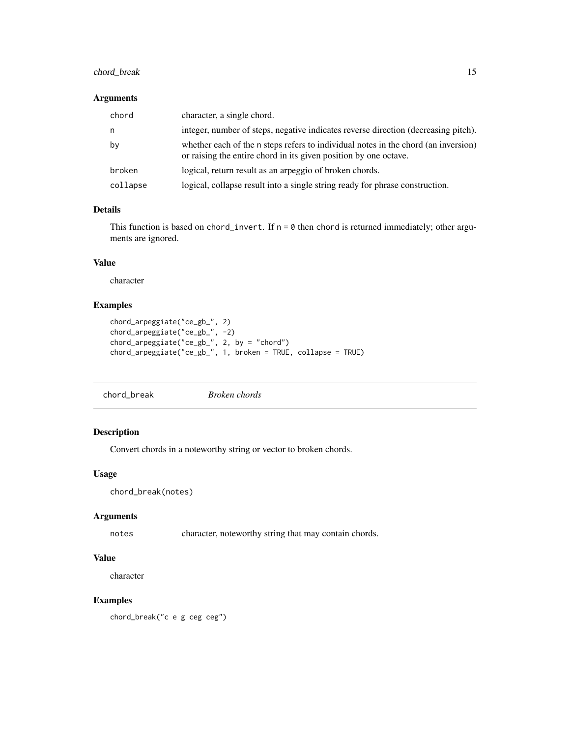# <span id="page-14-0"></span>chord\_break 15

#### Arguments

| chord    | character, a single chord.                                                                                                                             |
|----------|--------------------------------------------------------------------------------------------------------------------------------------------------------|
| n,       | integer, number of steps, negative indicates reverse direction (decreasing pitch).                                                                     |
| by       | whether each of the n steps refers to individual notes in the chord (an inversion)<br>or raising the entire chord in its given position by one octave. |
| broken   | logical, return result as an arpeggio of broken chords.                                                                                                |
| collapse | logical, collapse result into a single string ready for phrase construction.                                                                           |

# Details

This function is based on chord\_invert. If  $n = 0$  then chord is returned immediately; other arguments are ignored.

#### Value

character

# Examples

```
chord_arpeggiate("ce_gb_", 2)
chord_arpeggiate("ce_gb_", -2)
chord_arpeggiate("ce_gb_", 2, by = "chord")
chord_arpeggiate("ce_gb_", 1, broken = TRUE, collapse = TRUE)
```
chord\_break *Broken chords*

# Description

Convert chords in a noteworthy string or vector to broken chords.

# Usage

chord\_break(notes)

#### Arguments

notes character, noteworthy string that may contain chords.

# Value

character

# Examples

chord\_break("c e g ceg ceg")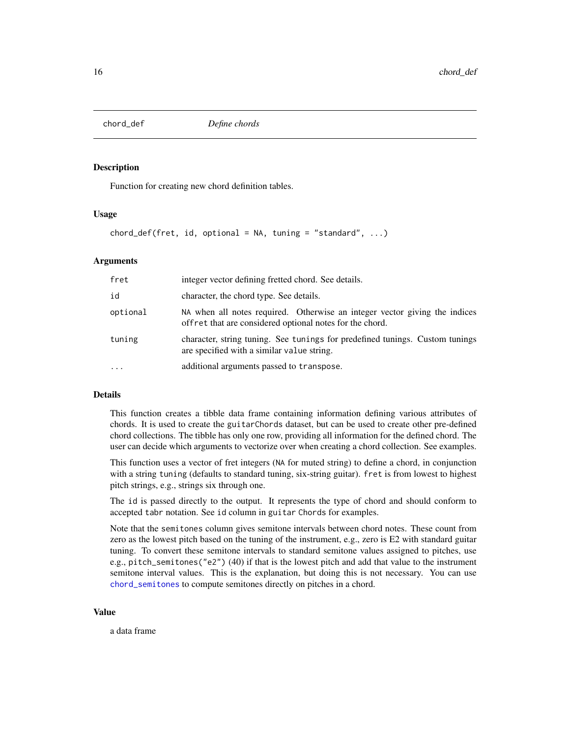<span id="page-15-0"></span>

Function for creating new chord definition tables.

#### Usage

chord\_def(fret, id, optional = NA, tuning = "standard",  $\ldots$ )

# Arguments

| fret      | integer vector defining fretted chord. See details.                                                                                    |
|-----------|----------------------------------------------------------------------------------------------------------------------------------------|
| id        | character, the chord type. See details.                                                                                                |
| optional  | NA when all notes required. Otherwise an integer vector giving the indices<br>offret that are considered optional notes for the chord. |
| tuning    | character, string tuning. See tunings for predefined tunings. Custom tunings<br>are specified with a similar value string.             |
| $\ddotsc$ | additional arguments passed to transpose.                                                                                              |

# Details

This function creates a tibble data frame containing information defining various attributes of chords. It is used to create the guitarChords dataset, but can be used to create other pre-defined chord collections. The tibble has only one row, providing all information for the defined chord. The user can decide which arguments to vectorize over when creating a chord collection. See examples.

This function uses a vector of fret integers (NA for muted string) to define a chord, in conjunction with a string tuning (defaults to standard tuning, six-string guitar). fret is from lowest to highest pitch strings, e.g., strings six through one.

The id is passed directly to the output. It represents the type of chord and should conform to accepted tabr notation. See id column in guitar Chords for examples.

Note that the semitones column gives semitone intervals between chord notes. These count from zero as the lowest pitch based on the tuning of the instrument, e.g., zero is E2 with standard guitar tuning. To convert these semitone intervals to standard semitone values assigned to pitches, use e.g., pitch\_semitones("e2") (40) if that is the lowest pitch and add that value to the instrument semitone interval values. This is the explanation, but doing this is not necessary. You can use [chord\\_semitones](#page-62-1) to compute semitones directly on pitches in a chord.

#### Value

a data frame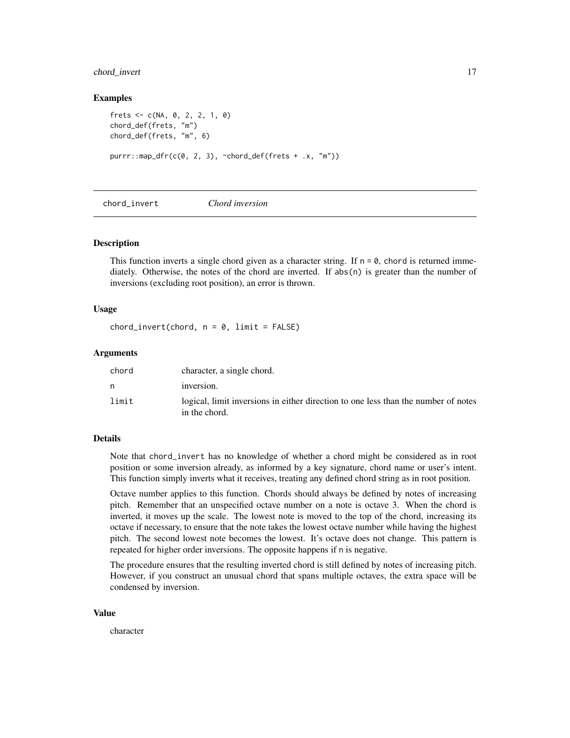# <span id="page-16-0"></span>chord\_invert 17

#### Examples

```
frets \leq -c(NA, 0, 2, 2, 1, 0)chord_def(frets, "m")
chord_def(frets, "m", 6)
purrr::map_dfr(c(0, 2, 3), ~chord_def(frets + .x, "m"))
```
chord\_invert *Chord inversion*

#### Description

This function inverts a single chord given as a character string. If  $n = 0$ , chord is returned immediately. Otherwise, the notes of the chord are inverted. If  $abs(n)$  is greater than the number of inversions (excluding root position), an error is thrown.

#### Usage

 $chord\_invert(chord, n = 0, limit = FALSE)$ 

# Arguments

| chord | character, a single chord.                                                                          |
|-------|-----------------------------------------------------------------------------------------------------|
| n     | inversion.                                                                                          |
| limit | logical, limit inversions in either direction to one less than the number of notes<br>in the chord. |

#### Details

Note that chord\_invert has no knowledge of whether a chord might be considered as in root position or some inversion already, as informed by a key signature, chord name or user's intent. This function simply inverts what it receives, treating any defined chord string as in root position.

Octave number applies to this function. Chords should always be defined by notes of increasing pitch. Remember that an unspecified octave number on a note is octave 3. When the chord is inverted, it moves up the scale. The lowest note is moved to the top of the chord, increasing its octave if necessary, to ensure that the note takes the lowest octave number while having the highest pitch. The second lowest note becomes the lowest. It's octave does not change. This pattern is repeated for higher order inversions. The opposite happens if n is negative.

The procedure ensures that the resulting inverted chord is still defined by notes of increasing pitch. However, if you construct an unusual chord that spans multiple octaves, the extra space will be condensed by inversion.

#### Value

character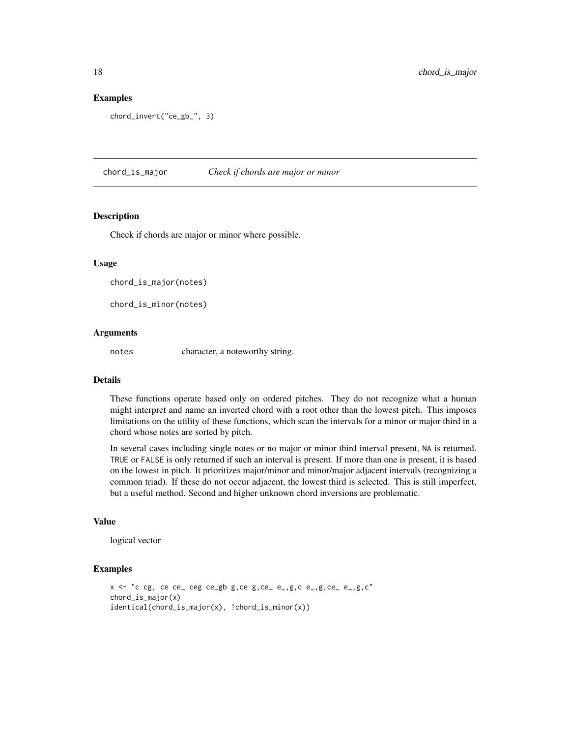#### Examples

```
chord_invert("ce_gb_", 3)
```
chord\_is\_major *Check if chords are major or minor*

#### Description

Check if chords are major or minor where possible.

#### Usage

```
chord_is_major(notes)
```
chord\_is\_minor(notes)

# Arguments

notes character, a noteworthy string.

# Details

These functions operate based only on ordered pitches. They do not recognize what a human might interpret and name an inverted chord with a root other than the lowest pitch. This imposes limitations on the utility of these functions, which scan the intervals for a minor or major third in a chord whose notes are sorted by pitch.

In several cases including single notes or no major or minor third interval present, NA is returned. TRUE or FALSE is only returned if such an interval is present. If more than one is present, it is based on the lowest in pitch. It prioritizes major/minor and minor/major adjacent intervals (recognizing a common triad). If these do not occur adjacent, the lowest third is selected. This is still imperfect, but a useful method. Second and higher unknown chord inversions are problematic.

# Value

logical vector

```
x \le - "c cg, ce ce_ ceg ce_gb g, ce g, ce_ e_,g, c e_,g, ce_ e_,g, c"
chord_is_major(x)
identical(chord_is_major(x), !chord_is_minor(x))
```
<span id="page-17-0"></span>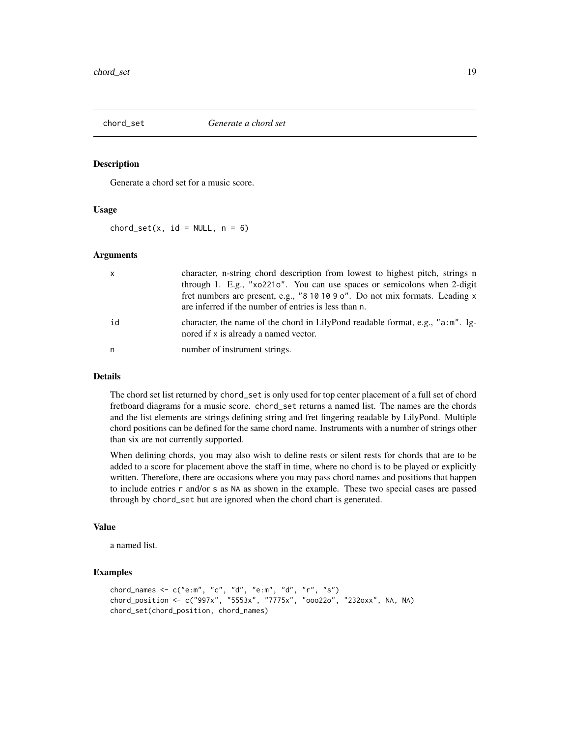<span id="page-18-0"></span>

Generate a chord set for a music score.

# Usage

chord\_set(x,  $id = NULL, n = 6$ )

#### **Arguments**

| $\mathsf{x}$ | character, n-string chord description from lowest to highest pitch, strings n<br>through 1. E.g., "xo221o". You can use spaces or semicolons when 2-digit<br>fret numbers are present, e.g., "8 10 10 9 o". Do not mix formats. Leading x<br>are inferred if the number of entries is less than n. |
|--------------|----------------------------------------------------------------------------------------------------------------------------------------------------------------------------------------------------------------------------------------------------------------------------------------------------|
| id           | character, the name of the chord in LilyPond readable format, e.g., "a:m". Ig-<br>nored if x is already a named vector.                                                                                                                                                                            |
| n.           | number of instrument strings.                                                                                                                                                                                                                                                                      |

#### Details

The chord set list returned by chord\_set is only used for top center placement of a full set of chord fretboard diagrams for a music score. chord\_set returns a named list. The names are the chords and the list elements are strings defining string and fret fingering readable by LilyPond. Multiple chord positions can be defined for the same chord name. Instruments with a number of strings other than six are not currently supported.

When defining chords, you may also wish to define rests or silent rests for chords that are to be added to a score for placement above the staff in time, where no chord is to be played or explicitly written. Therefore, there are occasions where you may pass chord names and positions that happen to include entries r and/or s as NA as shown in the example. These two special cases are passed through by chord\_set but are ignored when the chord chart is generated.

#### Value

a named list.

```
chord_names <- c("e:m", "c", "d", "e:m", "d", "r", "s")
chord_position <- c("997x", "5553x", "7775x", "ooo22o", "232oxx", NA, NA)
chord_set(chord_position, chord_names)
```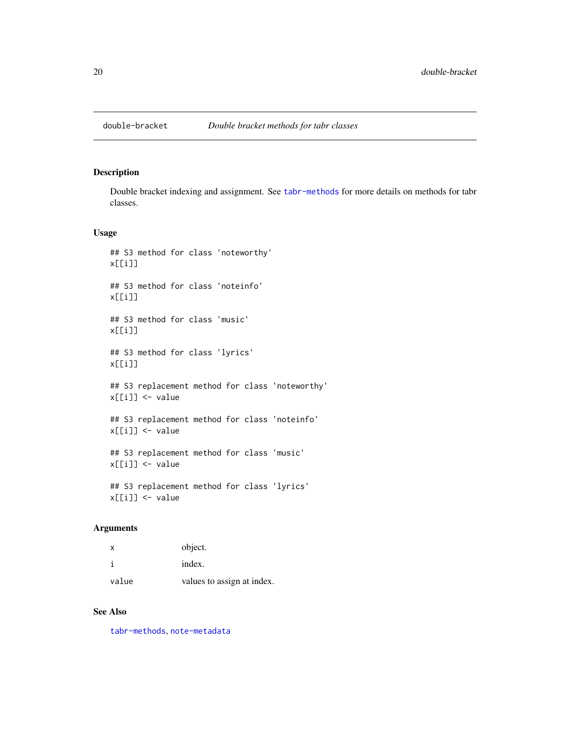<span id="page-19-0"></span>

Double bracket indexing and assignment. See [tabr-methods](#page-100-1) for more details on methods for tabr classes.

#### Usage

```
## S3 method for class 'noteworthy'
x[[i]]
## S3 method for class 'noteinfo'
x[[i]]
## S3 method for class 'music'
x[[i]]
## S3 method for class 'lyrics'
x[[i]]
## S3 replacement method for class 'noteworthy'
x[[i]] <- value
## S3 replacement method for class 'noteinfo'
x[[i]] <- value
## S3 replacement method for class 'music'
x[[i]] <- value
## S3 replacement method for class 'lyrics'
x[[i]] <- value
```
# Arguments

| $\mathsf{x}$ | object.                    |
|--------------|----------------------------|
|              | index.                     |
| value        | values to assign at index. |

# See Also

[tabr-methods](#page-100-1), [note-metadata](#page-49-1)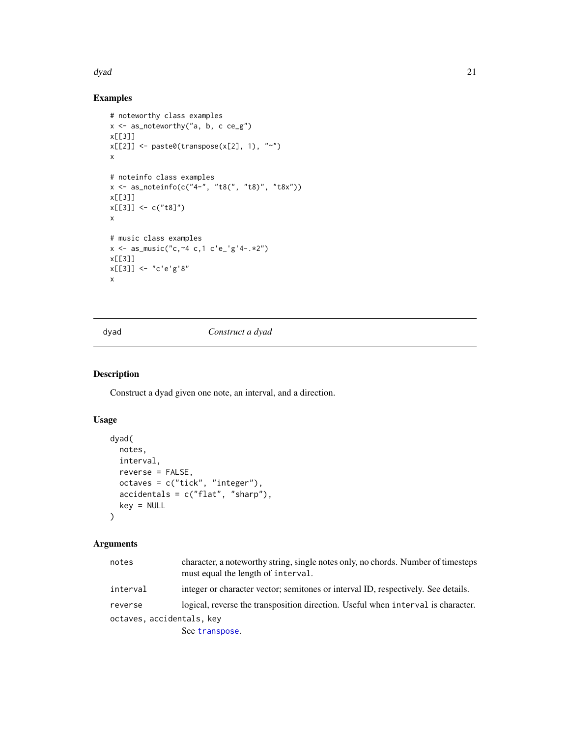#### <span id="page-20-0"></span>dyad 21 active 2012 and 21 active 2012 and 2012 and 2012 and 2012 and 2012 and 2012 and 2012 and 201

# Examples

```
# noteworthy class examples
x <- as_noteworthy("a, b, c ce_g")
x[[3]]
x[[2]] \leftarrow paste0(transpose(x[2], 1), "~")
x
# noteinfo class examples
x <- as_noteinfo(c("4-", "t8(", "t8)", "t8x"))
x[[3]]
x[[3]] <- c("t8]")
x
# music class examples
x \le - as_music("c, -4 c, 1 c'e_'g'4-. *2")
x[[3]]
x[[3]] <- "c'e'g'8"
x
```
#### dyad *Construct a dyad*

# Description

Construct a dyad given one note, an interval, and a direction.

# Usage

```
dyad(
 notes,
 interval,
 reverse = FALSE,
 octaves = c("tick", "integer"),
 accidents = c("flat", "sharp"),key = NULL
)
```
# Arguments

| notes                     | character, a noteworthy string, single notes only, no chords. Number of timesteps<br>must equal the length of interval. |
|---------------------------|-------------------------------------------------------------------------------------------------------------------------|
| interval                  | integer or character vector; semitones or interval ID, respectively. See details.                                       |
| reverse                   | logical, reverse the transposition direction. Useful when interval is character.                                        |
| octaves, accidentals, key |                                                                                                                         |
|                           | See transpose.                                                                                                          |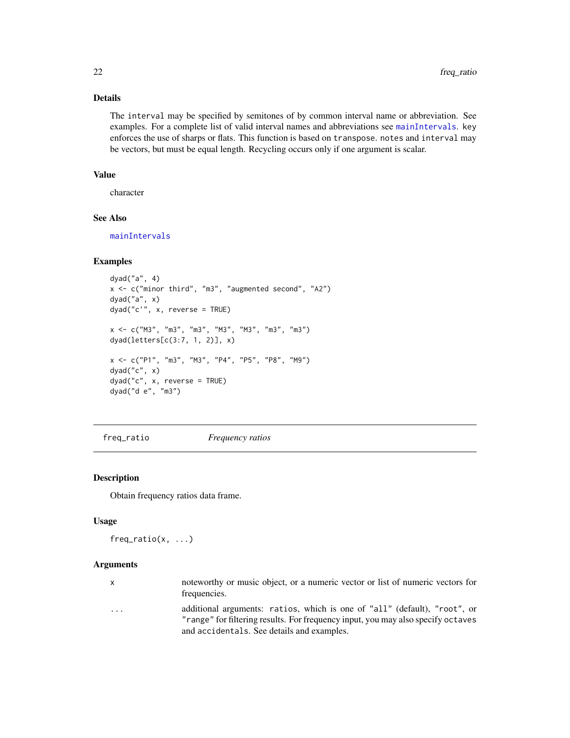# Details

The interval may be specified by semitones of by common interval name or abbreviation. See examples. For a complete list of valid interval names and abbreviations see [mainIntervals](#page-34-1). key enforces the use of sharps or flats. This function is based on transpose. notes and interval may be vectors, but must be equal length. Recycling occurs only if one argument is scalar.

# Value

character

#### See Also

[mainIntervals](#page-34-1)

# Examples

```
dyad("a", 4)
x <- c("minor third", "m3", "augmented second", "A2")
dyad("a", x)
dyad("c'", x, reverse = TRUE)
x <- c("M3", "m3", "m3", "M3", "M3", "m3", "m3")
dyad(letters[c(3:7, 1, 2)], x)
x <- c("P1", "m3", "M3", "P4", "P5", "P8", "M9")
dyad("c", x)
dyad("c", x, reverse = TRUE)
dyad("d e", "m3")
```
freq\_ratio *Frequency ratios*

# Description

Obtain frequency ratios data frame.

#### Usage

freq\_ratio(x, ...)

# Arguments

| $\mathbf{x}$            | noteworthy or music object, or a numeric vector or list of numeric vectors for<br>frequencies.                                                                |
|-------------------------|---------------------------------------------------------------------------------------------------------------------------------------------------------------|
| $\cdot$ $\cdot$ $\cdot$ | additional arguments: ratios, which is one of "all" (default), "root", or<br>"range" for filtering results. For frequency input, you may also specify octaves |
|                         | and accidentals. See details and examples.                                                                                                                    |

<span id="page-21-0"></span>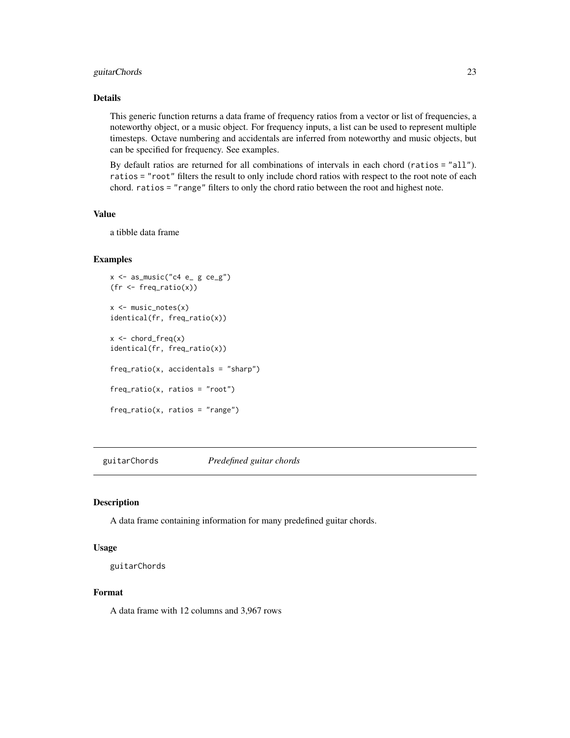# <span id="page-22-0"></span>guitarChords 23

# Details

This generic function returns a data frame of frequency ratios from a vector or list of frequencies, a noteworthy object, or a music object. For frequency inputs, a list can be used to represent multiple timesteps. Octave numbering and accidentals are inferred from noteworthy and music objects, but can be specified for frequency. See examples.

By default ratios are returned for all combinations of intervals in each chord (ratios = "all"). ratios = "root" filters the result to only include chord ratios with respect to the root note of each chord. ratios = "range" filters to only the chord ratio between the root and highest note.

# Value

a tibble data frame

#### Examples

```
x \leftarrow as_music("c4 e_g g ce_g")(fr < -freq\_ratio(x))x <- music_notes(x)
identical(fr, freq_ratio(x))
x < - chord_freq(x)
identical(fr, freq_ratio(x))
freq\_ratio(x, accidents = "sharp")freq_ratio(x, ratios = "root")
freq_ratio(x, ratios = "range")
```
guitarChords *Predefined guitar chords*

# Description

A data frame containing information for many predefined guitar chords.

#### Usage

```
guitarChords
```
#### Format

A data frame with 12 columns and 3,967 rows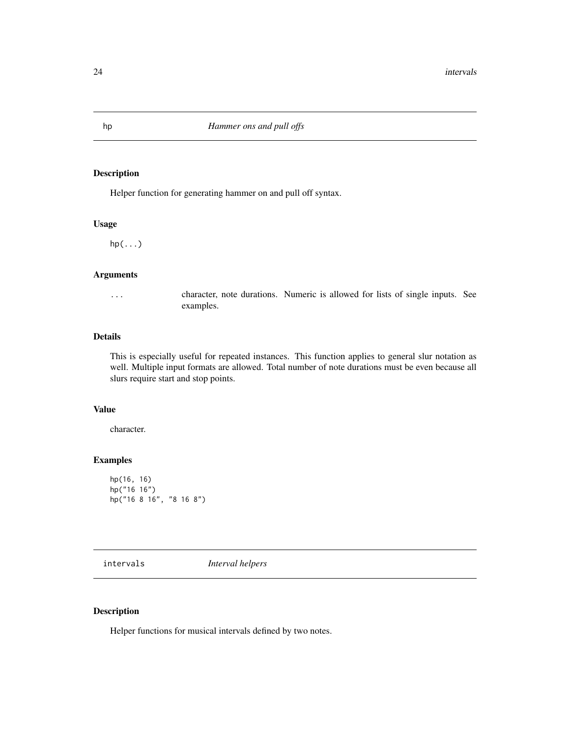Helper function for generating hammer on and pull off syntax.

#### Usage

 $hp(\ldots)$ 

#### Arguments

... character, note durations. Numeric is allowed for lists of single inputs. See examples.

#### Details

This is especially useful for repeated instances. This function applies to general slur notation as well. Multiple input formats are allowed. Total number of note durations must be even because all slurs require start and stop points.

# Value

character.

# Examples

```
hp(16, 16)
hp("16 16")
hp("16 8 16", "8 16 8")
```
intervals *Interval helpers*

# <span id="page-23-1"></span>Description

Helper functions for musical intervals defined by two notes.

<span id="page-23-0"></span>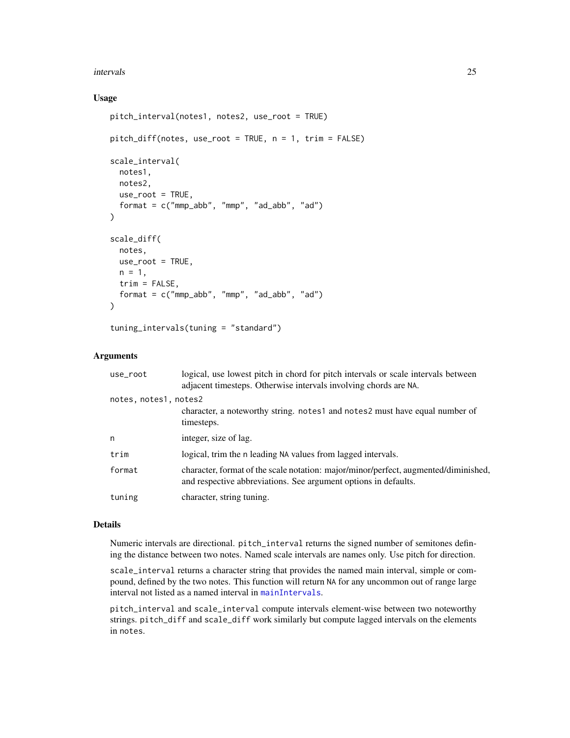#### intervals 25

# Usage

```
pitch_interval(notes1, notes2, use_root = TRUE)
pitch_diff(notes, use_root = TRUE, n = 1, trim = FALSE)
scale_interval(
 notes1,
 notes2,
 use\_root = TRUE,
 format = c("mmp_abb", "mmp", "ad_abb", "ad")
\lambdascale_diff(
  notes,
 use-root = TRUE,n = 1,
 trim = FALSE,
  format = c("mmp_abb", "mmp", "ad_abb", "ad")
\lambda
```
tuning\_intervals(tuning = "standard")

# Arguments

| use_root              | logical, use lowest pitch in chord for pitch intervals or scale intervals between<br>adjacent timesteps. Otherwise intervals involving chords are NA.  |
|-----------------------|--------------------------------------------------------------------------------------------------------------------------------------------------------|
| notes, notes1, notes2 |                                                                                                                                                        |
|                       | character, a noteworthy string. notes1 and notes2 must have equal number of<br>timesteps.                                                              |
| n                     | integer, size of lag.                                                                                                                                  |
| trim                  | logical, trim the n leading NA values from lagged intervals.                                                                                           |
| format                | character, format of the scale notation: major/minor/perfect, augmented/diminished,<br>and respective abbreviations. See argument options in defaults. |
| tuning                | character, string tuning.                                                                                                                              |

# Details

Numeric intervals are directional. pitch\_interval returns the signed number of semitones defining the distance between two notes. Named scale intervals are names only. Use pitch for direction.

scale\_interval returns a character string that provides the named main interval, simple or compound, defined by the two notes. This function will return NA for any uncommon out of range large interval not listed as a named interval in [mainIntervals](#page-34-1).

pitch\_interval and scale\_interval compute intervals element-wise between two noteworthy strings. pitch\_diff and scale\_diff work similarly but compute lagged intervals on the elements in notes.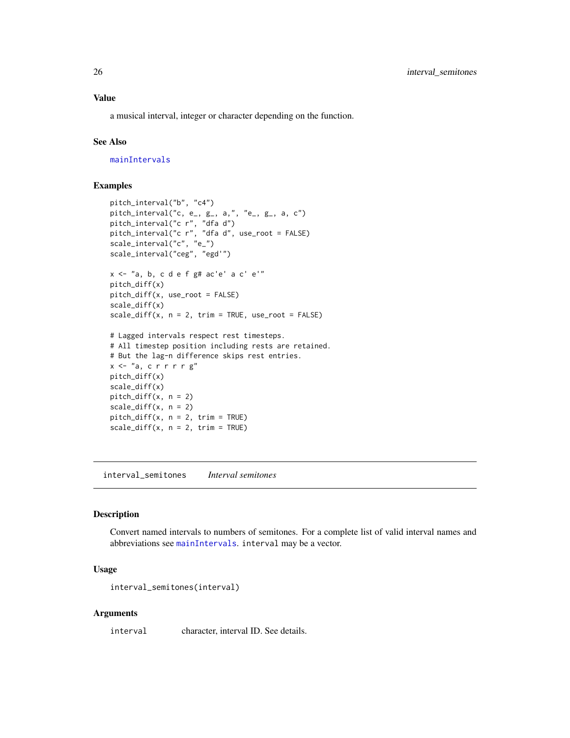<span id="page-25-0"></span>a musical interval, integer or character depending on the function.

#### See Also

[mainIntervals](#page-34-1)

# Examples

```
pitch_interval("b", "c4")
pitch_interval("c, e_, g_, a,", "e_, g_, a, c")
pitch_interval("c r", "dfa d")
pitch_interval("c r", "dfa d", use_root = FALSE)
scale_interval("c", "e_")
scale_interval("ceg", "egd'")
x <- "a, b, c d e f g# ac'e' a c' e'"
pitch_diff(x)
pitch_diff(x, use_root = FALSE)
scale_diff(x)
scale\_diff(x, n = 2, trim = TRUE, use\_root = FALSE)# Lagged intervals respect rest timesteps.
# All timestep position including rests are retained.
# But the lag-n difference skips rest entries.
x \leq "a, crrrrg"
pitch_diff(x)
scale_diff(x)
pitch_diff(x, n = 2)
scale\_diff(x, n = 2)pitch\_diff(x, n = 2, trim = TRUE)scale\_diff(x, n = 2, trim = TRUE)
```
interval\_semitones *Interval semitones*

#### Description

Convert named intervals to numbers of semitones. For a complete list of valid interval names and abbreviations see [mainIntervals](#page-34-1). interval may be a vector.

# Usage

interval\_semitones(interval)

#### Arguments

interval character, interval ID. See details.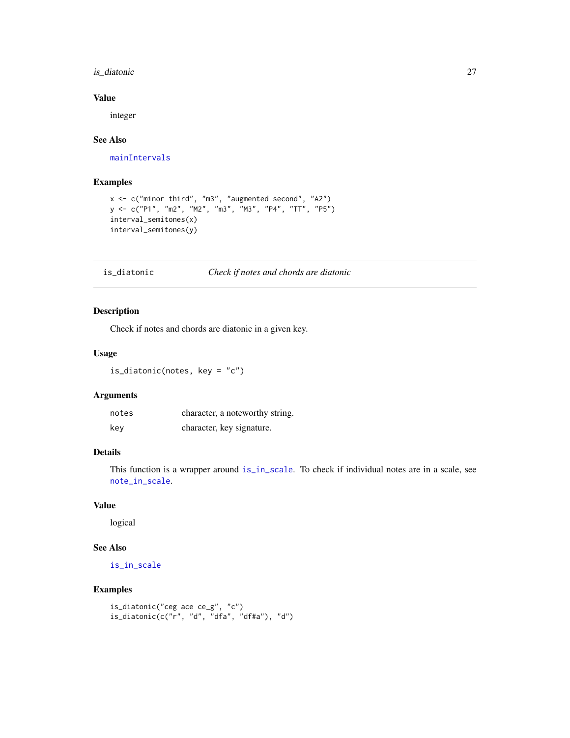# <span id="page-26-0"></span>is\_diatonic 27

# Value

integer

# See Also

[mainIntervals](#page-34-1)

# Examples

```
x <- c("minor third", "m3", "augmented second", "A2")
y <- c("P1", "m2", "M2", "m3", "M3", "P4", "TT", "P5")
interval_semitones(x)
interval_semitones(y)
```
#### is\_diatonic *Check if notes and chords are diatonic*

#### Description

Check if notes and chords are diatonic in a given key.

# Usage

is\_diatonic(notes, key = "c")

# Arguments

| notes | character, a noteworthy string. |
|-------|---------------------------------|
| kev   | character, key signature.       |

# Details

This function is a wrapper around [is\\_in\\_scale](#page-81-1). To check if individual notes are in a scale, see [note\\_in\\_scale](#page-81-1).

#### Value

logical

# See Also

[is\\_in\\_scale](#page-81-1)

```
is_diatonic("ceg ace ce_g", "c")
is\_diatomic(c("r", "d", "dfa", "dffa"), "d")
```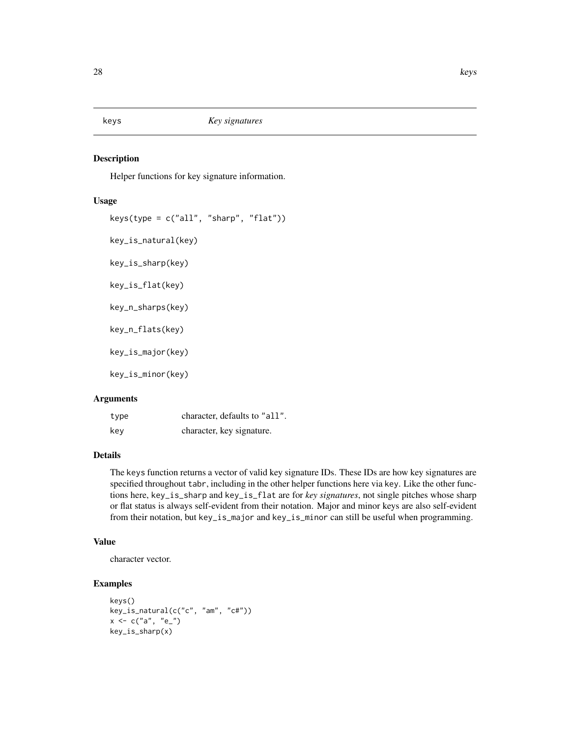<span id="page-27-0"></span>keys *Key signatures*

# **Description**

Helper functions for key signature information.

#### Usage

```
keys(type = c("all", "sharp", "flat"))key_is_natural(key)
key_is_sharp(key)
key_is_flat(key)
key_n_sharps(key)
key_n_flats(key)
key_is_major(key)
key_is_minor(key)
```
# Arguments

| type | character, defaults to "all". |
|------|-------------------------------|
| kev  | character, key signature.     |

# Details

The keys function returns a vector of valid key signature IDs. These IDs are how key signatures are specified throughout tabr, including in the other helper functions here via key. Like the other functions here, key\_is\_sharp and key\_is\_flat are for *key signatures*, not single pitches whose sharp or flat status is always self-evident from their notation. Major and minor keys are also self-evident from their notation, but key\_is\_major and key\_is\_minor can still be useful when programming.

# Value

character vector.

```
keys()
key_is_natural(c("c", "am", "c#"))
x < -c("a", "e"')key_is_sharp(x)
```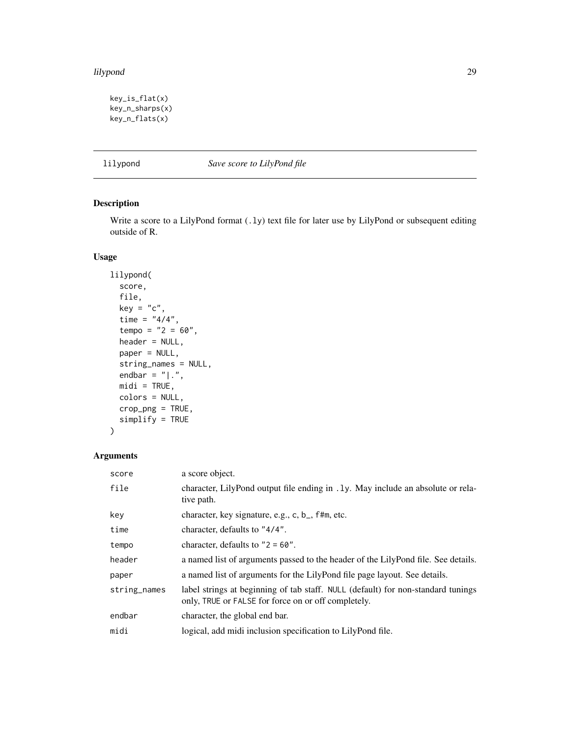#### <span id="page-28-0"></span>lilypond 29

```
key_is_flat(x)
key_n_sharps(x)
key_n_flats(x)
```
<span id="page-28-1"></span>lilypond *Save score to LilyPond file*

# Description

Write a score to a LilyPond format (.ly) text file for later use by LilyPond or subsequent editing outside of R.

# Usage

```
lilypond(
  score,
  file,
  key = "c",time = "4/4",tempo = "2 = 60",header = NULL,
 paper = NULL,
  string_names = NULL,
  endbar = "|.".mid = TRUE,
  colors = NULL,
  crop_png = TRUE,
  simplify = TRUE
\mathcal{L}
```
# Arguments

| score        | a score object.                                                                                                                         |
|--------------|-----------------------------------------------------------------------------------------------------------------------------------------|
| file         | character, LilyPond output file ending in .1y. May include an absolute or rela-<br>tive path.                                           |
| key          | character, key signature, e.g., c, b_, f#m, etc.                                                                                        |
| time         | character, defaults to "4/4".                                                                                                           |
| tempo        | character, defaults to $"2 = 60".$                                                                                                      |
| header       | a named list of arguments passed to the header of the LilyPond file. See details.                                                       |
| paper        | a named list of arguments for the LilyPond file page layout. See details.                                                               |
| string_names | label strings at beginning of tab staff. NULL (default) for non-standard tunings<br>only, TRUE or FALSE for force on or off completely. |
| endbar       | character, the global end bar.                                                                                                          |
| midi         | logical, add midi inclusion specification to LilyPond file.                                                                             |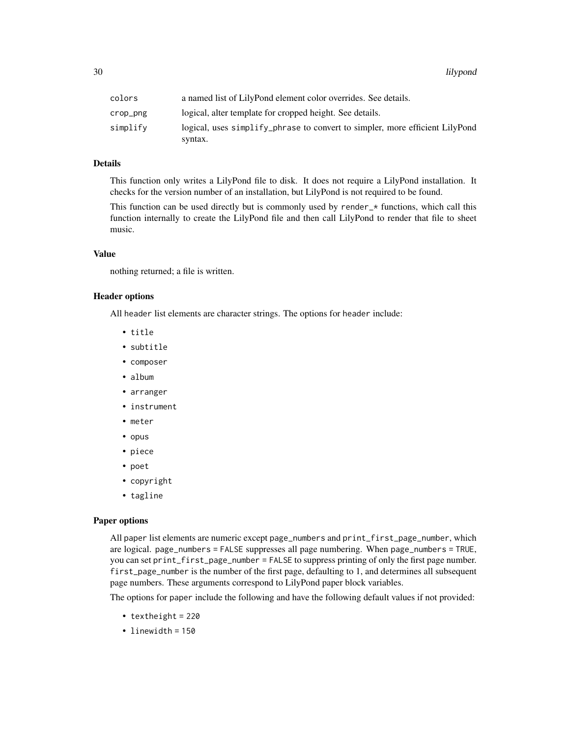| colors   | a named list of LilyPond element color overrides. See details.               |
|----------|------------------------------------------------------------------------------|
| crop_png | logical, alter template for cropped height. See details.                     |
| simplify | logical, uses simplify phrase to convert to simpler, more efficient LilyPond |
|          | syntax.                                                                      |

# Details

This function only writes a LilyPond file to disk. It does not require a LilyPond installation. It checks for the version number of an installation, but LilyPond is not required to be found.

This function can be used directly but is commonly used by render\_\* functions, which call this function internally to create the LilyPond file and then call LilyPond to render that file to sheet music.

#### Value

nothing returned; a file is written.

#### Header options

All header list elements are character strings. The options for header include:

- title
- subtitle
- composer
- album
- arranger
- instrument
- meter
- opus
- piece
- poet
- copyright
- tagline

#### Paper options

All paper list elements are numeric except page\_numbers and print\_first\_page\_number, which are logical. page\_numbers = FALSE suppresses all page numbering. When page\_numbers = TRUE, you can set print\_first\_page\_number = FALSE to suppress printing of only the first page number. first\_page\_number is the number of the first page, defaulting to 1, and determines all subsequent page numbers. These arguments correspond to LilyPond paper block variables.

The options for paper include the following and have the following default values if not provided:

- textheight = 220
- linewidth = 150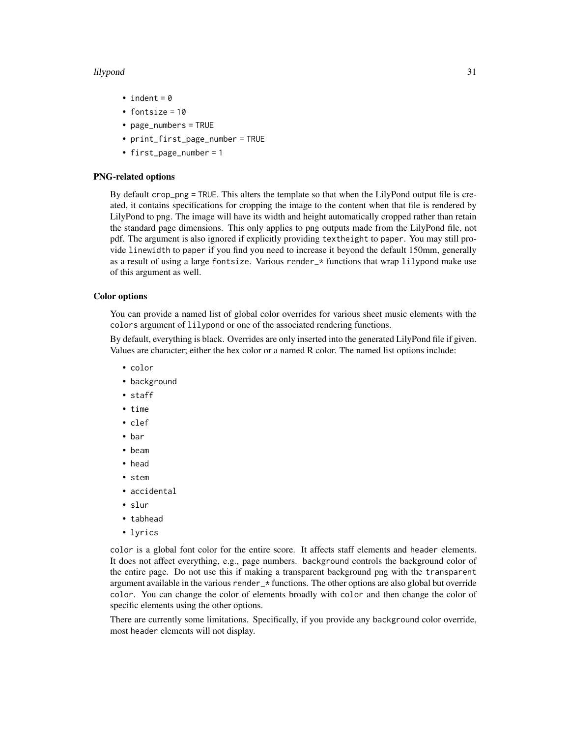#### lilypond 31

- indent =  $0$
- fontsize = 10
- page\_numbers = TRUE
- print\_first\_page\_number = TRUE
- first\_page\_number = 1

#### PNG-related options

By default crop\_png = TRUE. This alters the template so that when the LilyPond output file is created, it contains specifications for cropping the image to the content when that file is rendered by LilyPond to png. The image will have its width and height automatically cropped rather than retain the standard page dimensions. This only applies to png outputs made from the LilyPond file, not pdf. The argument is also ignored if explicitly providing textheight to paper. You may still provide linewidth to paper if you find you need to increase it beyond the default 150mm, generally as a result of using a large fontsize. Various render\_\* functions that wrap lilypond make use of this argument as well.

#### Color options

You can provide a named list of global color overrides for various sheet music elements with the colors argument of lilypond or one of the associated rendering functions.

By default, everything is black. Overrides are only inserted into the generated LilyPond file if given. Values are character; either the hex color or a named R color. The named list options include:

- color
- background
- staff
- time
- clef
- bar
- beam
- head
- stem
- accidental
- slur
- tabhead
- lyrics

color is a global font color for the entire score. It affects staff elements and header elements. It does not affect everything, e.g., page numbers. background controls the background color of the entire page. Do not use this if making a transparent background png with the transparent argument available in the various render\_\* functions. The other options are also global but override color. You can change the color of elements broadly with color and then change the color of specific elements using the other options.

There are currently some limitations. Specifically, if you provide any background color override, most header elements will not display.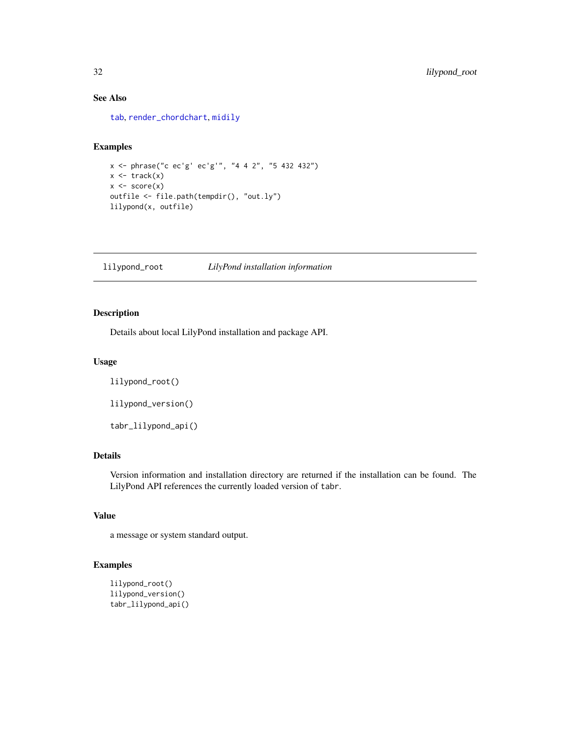# See Also

[tab](#page-93-1), [render\\_chordchart](#page-72-1), [midily](#page-34-2)

#### Examples

```
x <- phrase("c ec'g' ec'g'", "4 4 2", "5 432 432")
x \leftarrow \text{track}(x)x \leftarrow score(x)outfile <- file.path(tempdir(), "out.ly")
lilypond(x, outfile)
```
lilypond\_root *LilyPond installation information*

# Description

Details about local LilyPond installation and package API.

#### Usage

```
lilypond_root()
```
lilypond\_version()

tabr\_lilypond\_api()

# Details

Version information and installation directory are returned if the installation can be found. The LilyPond API references the currently loaded version of tabr.

#### Value

a message or system standard output.

```
lilypond_root()
lilypond_version()
tabr_lilypond_api()
```
<span id="page-31-0"></span>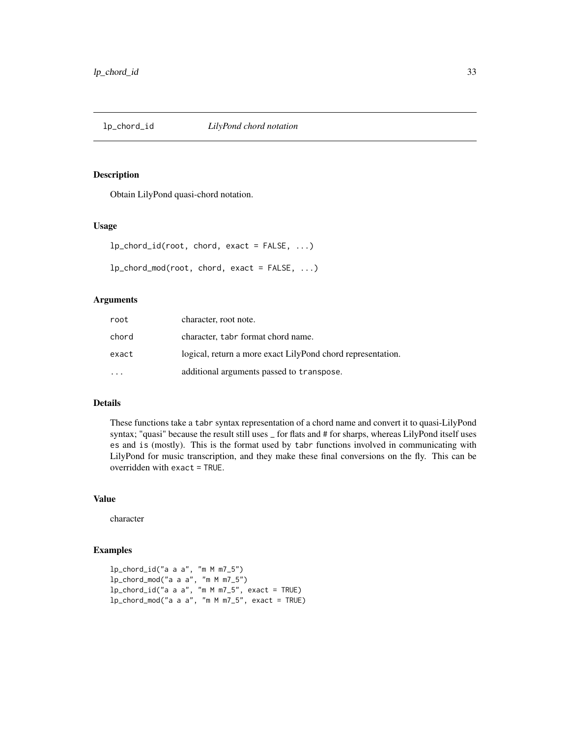<span id="page-32-0"></span>

Obtain LilyPond quasi-chord notation.

#### Usage

| $lp_{\text{chord\_id}(\text{root}, \text{chord}, \text{exact} = \text{FALSE}, \dots)$ |  |  |
|---------------------------------------------------------------------------------------|--|--|
| $lp_{\text{c}}$ hord_mod(root, chord, exact = FALSE, )                                |  |  |

#### Arguments

| root  | character, root note.                                       |
|-------|-------------------------------------------------------------|
| chord | character, tabr format chord name.                          |
| exact | logical, return a more exact LilyPond chord representation. |
|       | additional arguments passed to transpose.                   |

# Details

These functions take a tabr syntax representation of a chord name and convert it to quasi-LilyPond syntax; "quasi" because the result still uses \_ for flats and # for sharps, whereas LilyPond itself uses es and is (mostly). This is the format used by tabr functions involved in communicating with LilyPond for music transcription, and they make these final conversions on the fly. This can be overridden with exact = TRUE.

#### Value

character

```
lp_chord_id("a a a", "m M m7_5")
lp_chord_mod("a a a", "m M m7_5")
lp_chord_id("a a a", "m M m7_5", exact = TRUE)
lp_chord_mod("a a a", "m M m7_5", exact = TRUE)
```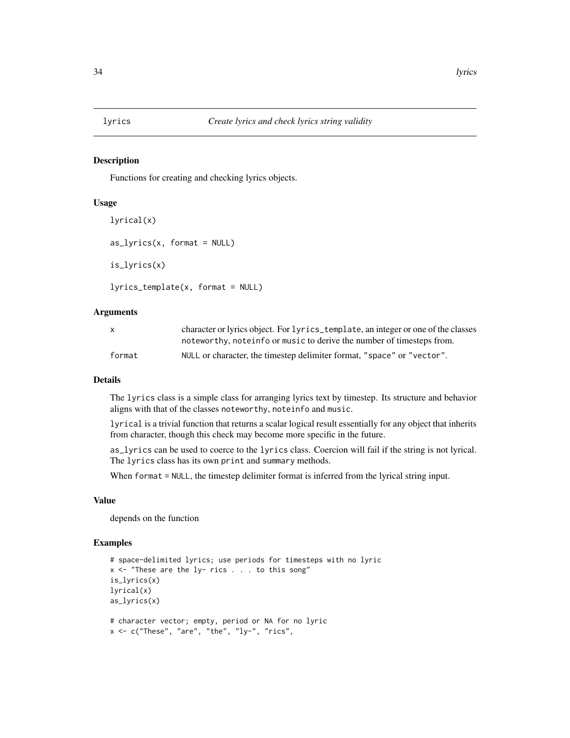<span id="page-33-0"></span>

Functions for creating and checking lyrics objects.

#### Usage

```
lyrical(x)
as_lyrics(x, format = NULL)is_lyrics(x)
lyrics_template(x, format = NULL)
```
#### Arguments

| X.     | character or lyrics object. For lyrics_template, an integer or one of the classes |
|--------|-----------------------------------------------------------------------------------|
|        | noteworthy, noteinfo or music to derive the number of timesteps from.             |
| format | NULL or character, the timestep delimiter format, "space" or "vector".            |

# Details

The lyrics class is a simple class for arranging lyrics text by timestep. Its structure and behavior aligns with that of the classes noteworthy, noteinfo and music.

lyrical is a trivial function that returns a scalar logical result essentially for any object that inherits from character, though this check may become more specific in the future.

as\_lyrics can be used to coerce to the lyrics class. Coercion will fail if the string is not lyrical. The lyrics class has its own print and summary methods.

When format = NULL, the timestep delimiter format is inferred from the lyrical string input.

#### Value

depends on the function

```
# space-delimited lyrics; use periods for timesteps with no lyric
x \leq "These are the ly- rics . . . to this song"
is_lyrics(x)
lyrical(x)
as_lyrics(x)
# character vector; empty, period or NA for no lyric
x \leq -c ("These", "are", "the", "ly-", "rics",
```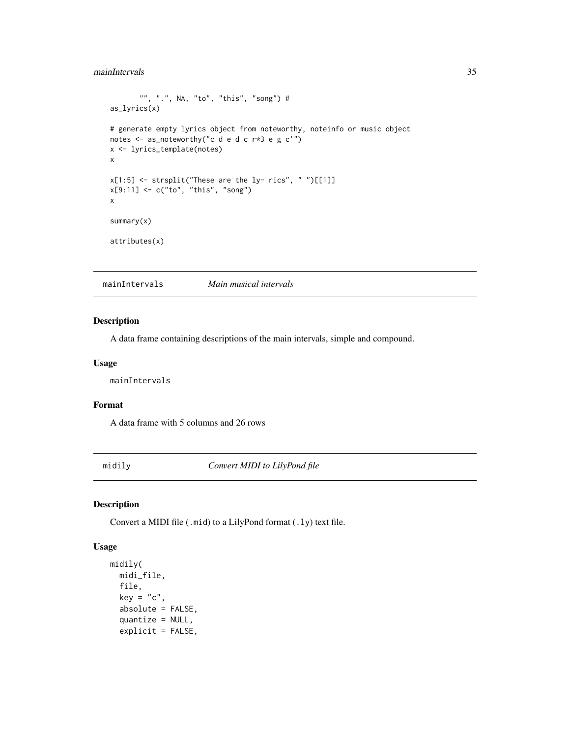# <span id="page-34-0"></span>mainIntervals 35

```
"", ".", NA, "to", "this", "song") #
as_lyrics(x)
# generate empty lyrics object from noteworthy, noteinfo or music object
notes <- as_noteworthy("c d e d c r*3 e g c'")
x <- lyrics_template(notes)
x
x[1:5] <- strsplit("These are the ly- rics", " ")[[1]]
x[9:11] <- c("to", "this", "song")
x
summary(x)
attributes(x)
```
<span id="page-34-1"></span>mainIntervals *Main musical intervals*

# Description

A data frame containing descriptions of the main intervals, simple and compound.

# Usage

mainIntervals

# Format

A data frame with 5 columns and 26 rows

<span id="page-34-2"></span>midily *Convert MIDI to LilyPond file*

#### Description

Convert a MIDI file (.mid) to a LilyPond format (.ly) text file.

#### Usage

```
midily(
 midi_file,
 file,
 key = "c",absolute = FALSE,
  quantize = NULL,
  explicit = FALSE,
```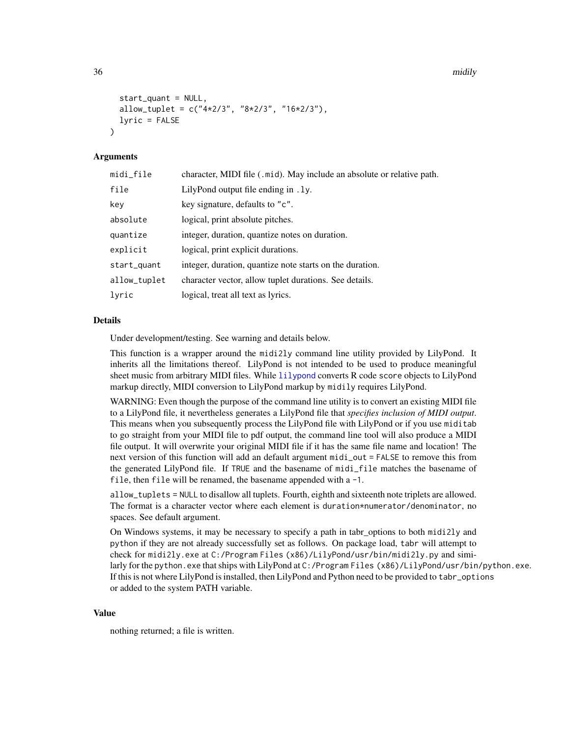36 midily not be a set of the control of the control of the control of the control of the control of the control of the control of the control of the control of the control of the control of the control of the control of t

```
start_quant = NULL,
allow_tuplet = c("4*2/3", "8*2/3", "16*2/3"),lyric = FALSE
```
#### Arguments

 $\lambda$ 

| midi_file    | character, MIDI file (.mid). May include an absolute or relative path. |
|--------------|------------------------------------------------------------------------|
| file         | LilyPond output file ending in . 1y.                                   |
| key          | key signature, defaults to "c".                                        |
| absolute     | logical, print absolute pitches.                                       |
| quantize     | integer, duration, quantize notes on duration.                         |
| explicit     | logical, print explicit durations.                                     |
| start_quant  | integer, duration, quantize note starts on the duration.               |
| allow_tuplet | character vector, allow tuplet durations. See details.                 |
| lyric        | logical, treat all text as lyrics.                                     |

#### Details

Under development/testing. See warning and details below.

This function is a wrapper around the midi2ly command line utility provided by LilyPond. It inherits all the limitations thereof. LilyPond is not intended to be used to produce meaningful sheet music from arbitrary MIDI files. While [lilypond](#page-28-1) converts R code score objects to LilyPond markup directly, MIDI conversion to LilyPond markup by midily requires LilyPond.

WARNING: Even though the purpose of the command line utility is to convert an existing MIDI file to a LilyPond file, it nevertheless generates a LilyPond file that *specifies inclusion of MIDI output*. This means when you subsequently process the LilyPond file with LilyPond or if you use miditab to go straight from your MIDI file to pdf output, the command line tool will also produce a MIDI file output. It will overwrite your original MIDI file if it has the same file name and location! The next version of this function will add an default argument midi\_out = FALSE to remove this from the generated LilyPond file. If TRUE and the basename of midi\_file matches the basename of file, then file will be renamed, the basename appended with a -1.

allow\_tuplets = NULL to disallow all tuplets. Fourth, eighth and sixteenth note triplets are allowed. The format is a character vector where each element is duration\*numerator/denominator, no spaces. See default argument.

On Windows systems, it may be necessary to specify a path in tabr\_options to both midi2ly and python if they are not already successfully set as follows. On package load, tabr will attempt to check for midi2ly.exe at C:/Program Files (x86)/LilyPond/usr/bin/midi2ly.py and similarly for the python.exe that ships with LilyPond at C:/Program Files (x86)/LilyPond/usr/bin/python.exe. If this is not where LilyPond is installed, then LilyPond and Python need to be provided to tabr\_options or added to the system PATH variable.

#### Value

nothing returned; a file is written.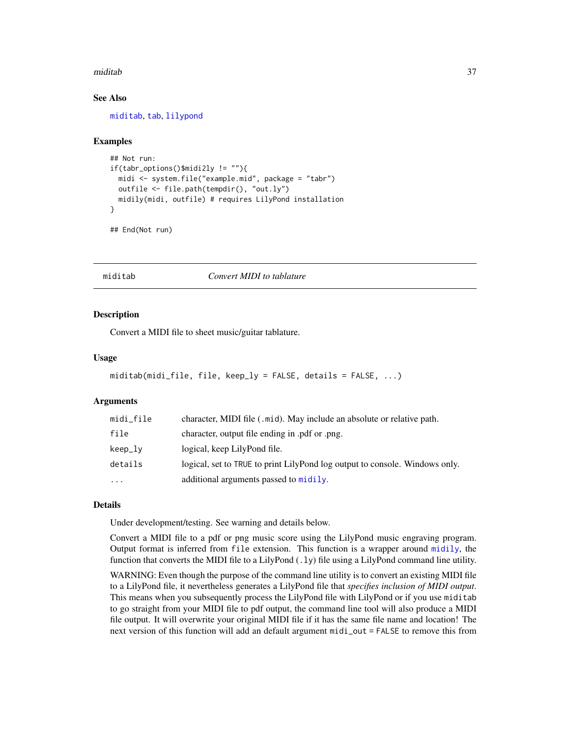#### miditab 37

## See Also

[miditab](#page-36-0), [tab](#page-93-0), [lilypond](#page-28-0)

## Examples

```
## Not run:
if(tabr_options()$midi2ly != ""){
 midi <- system.file("example.mid", package = "tabr")
 outfile <- file.path(tempdir(), "out.ly")
 midily(midi, outfile) # requires LilyPond installation
}
```
## End(Not run)

<span id="page-36-0"></span>miditab *Convert MIDI to tablature*

#### **Description**

Convert a MIDI file to sheet music/guitar tablature.

## Usage

```
miditab(midi_file, file, keep_ly = FALSE, details = FALSE, ...)
```
## Arguments

| midi_file | character, MIDI file (.mid). May include an absolute or relative path.      |
|-----------|-----------------------------------------------------------------------------|
| file      | character, output file ending in .pdf or .png.                              |
| keep_lv   | logical, keep LilyPond file.                                                |
| details   | logical, set to TRUE to print LilyPond log output to console. Windows only. |
| $\ddotsc$ | additional arguments passed to midily.                                      |

#### Details

Under development/testing. See warning and details below.

Convert a MIDI file to a pdf or png music score using the LilyPond music engraving program. Output format is inferred from file extension. This function is a wrapper around [midily](#page-34-0), the function that converts the MIDI file to a LilyPond  $(.1y)$  file using a LilyPond command line utility.

WARNING: Even though the purpose of the command line utility is to convert an existing MIDI file to a LilyPond file, it nevertheless generates a LilyPond file that *specifies inclusion of MIDI output*. This means when you subsequently process the LilyPond file with LilyPond or if you use miditab to go straight from your MIDI file to pdf output, the command line tool will also produce a MIDI file output. It will overwrite your original MIDI file if it has the same file name and location! The next version of this function will add an default argument midi\_out = FALSE to remove this from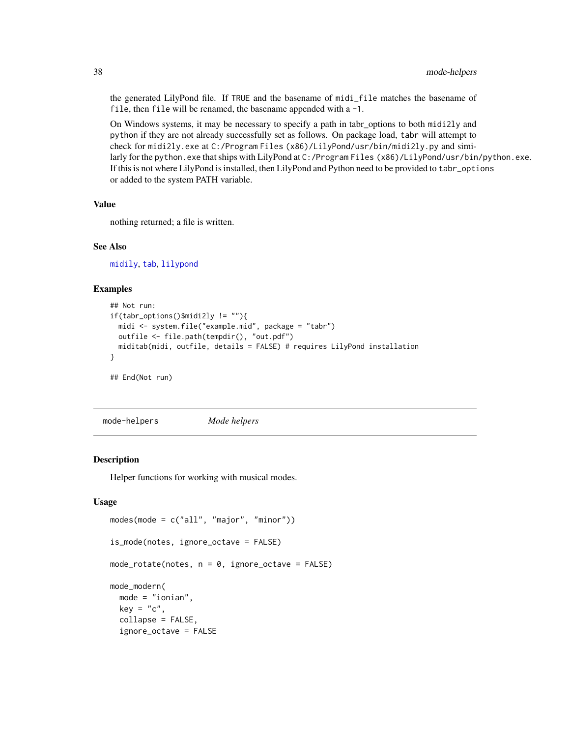the generated LilyPond file. If TRUE and the basename of midi\_file matches the basename of file, then file will be renamed, the basename appended with a -1.

On Windows systems, it may be necessary to specify a path in tabr\_options to both midi2ly and python if they are not already successfully set as follows. On package load, tabr will attempt to check for midi2ly.exe at C:/Program Files (x86)/LilyPond/usr/bin/midi2ly.py and similarly for the python.exe that ships with LilyPond at C:/Program Files (x86)/LilyPond/usr/bin/python.exe. If this is not where LilyPond is installed, then LilyPond and Python need to be provided to tabr\_options or added to the system PATH variable.

# Value

nothing returned; a file is written.

## See Also

[midily](#page-34-0), [tab](#page-93-0), [lilypond](#page-28-0)

## Examples

```
## Not run:
if(tabr_options()$midi2ly != ""){
 midi <- system.file("example.mid", package = "tabr")
 outfile <- file.path(tempdir(), "out.pdf")
 miditab(midi, outfile, details = FALSE) # requires LilyPond installation
}
## End(Not run)
```
mode-helpers *Mode helpers*

#### Description

Helper functions for working with musical modes.

#### Usage

```
modes(mode = c("all", "major", "minor"))
is_mode(notes, ignore_octave = FALSE)
mode\_rotate(notes, n = 0, ignore\_octave = FALSE)mode_modern(
 mode = "ionian",
 key = "c",collapse = FALSE,
  ignore_octave = FALSE
```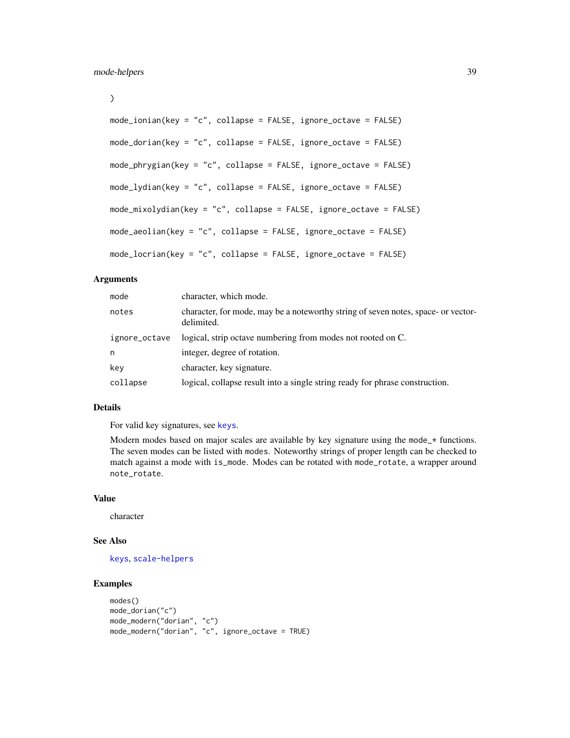```
)
```

```
mode_ionian(key = "c", collapse = FALSE, ignore_octave = FALSE)
mode_dorian(key = "c", collapse = FALSE, ignore_octave = FALSE)
mode_phrygian(key = "c", collapse = FALSE, ignore_octave = FALSE)
mode_lydian(key = "c", collapse = FALSE, ignore_octave = FALSE)
mode_mixolydian(key = "c", collapse = FALSE, ignore_octave = FALSE)
mode_aeolian(key = "c", collapse = FALSE, ignore_octave = FALSE)
mode_locrian(key = "c", collapse = FALSE, ignore_octave = FALSE)
```
## Arguments

| mode          | character, which mode.                                                                          |
|---------------|-------------------------------------------------------------------------------------------------|
| notes         | character, for mode, may be a noteworthy string of seven notes, space- or vector-<br>delimited. |
| ignore_octave | logical, strip octave numbering from modes not rooted on C.                                     |
| n             | integer, degree of rotation.                                                                    |
| key           | character, key signature.                                                                       |
| collapse      | logical, collapse result into a single string ready for phrase construction.                    |

#### Details

For valid key signatures, see [keys](#page-27-0).

Modern modes based on major scales are available by key signature using the mode<sub> $\star$ </sub> functions. The seven modes can be listed with modes. Noteworthy strings of proper length can be checked to match against a mode with is\_mode. Modes can be rotated with mode\_rotate, a wrapper around note\_rotate.

## Value

character

## See Also

[keys](#page-27-0), [scale-helpers](#page-83-0)

```
modes()
mode_dorian("c")
mode_modern("dorian", "c")
mode_modern("dorian", "c", ignore_octave = TRUE)
```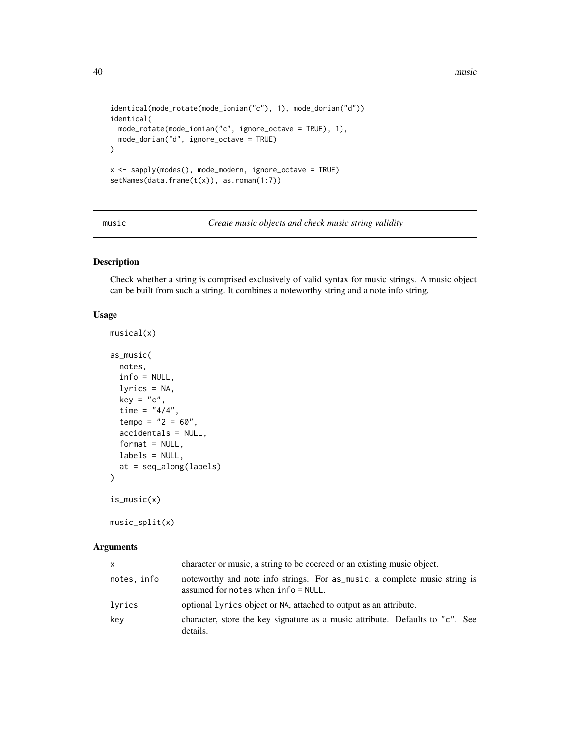40 music means of the contract of the contract of the contract of the contract of the contract of the contract of the contract of the contract of the contract of the contract of the contract of the contract of the contract

```
identical(mode_rotate(mode_ionian("c"), 1), mode_dorian("d"))
identical(
 mode_rotate(mode_ionian("c", ignore_octave = TRUE), 1),
 mode_dorian("d", ignore_octave = TRUE)
)
x <- sapply(modes(), mode_modern, ignore_octave = TRUE)
setNames(data.frame(t(x)), as.roman(1:7))
```
<span id="page-39-0"></span>

music *Create music objects and check music string validity*

# Description

Check whether a string is comprised exclusively of valid syntax for music strings. A music object can be built from such a string. It combines a noteworthy string and a note info string.

#### Usage

musical(x)

```
as_music(
 notes,
  info = NULL,
 lyrics = NA,
 key = "c",time = "4/4",tempo = "2 = 60",accidentals = NULL,
  format = NULL,labels = NULL,
  at = seq_along(labels)
)
is_music(x)
```

```
music_split(x)
```
#### Arguments

| $\times$    | character or music, a string to be coerced or an existing music object.                                              |
|-------------|----------------------------------------------------------------------------------------------------------------------|
| notes, info | noteworthy and note info strings. For as_music, a complete music string is<br>assumed for notes when $info = NULL$ . |
| lyrics      | optional lyrics object or NA, attached to output as an attribute.                                                    |
| key         | character, store the key signature as a music attribute. Defaults to "c". See<br>details.                            |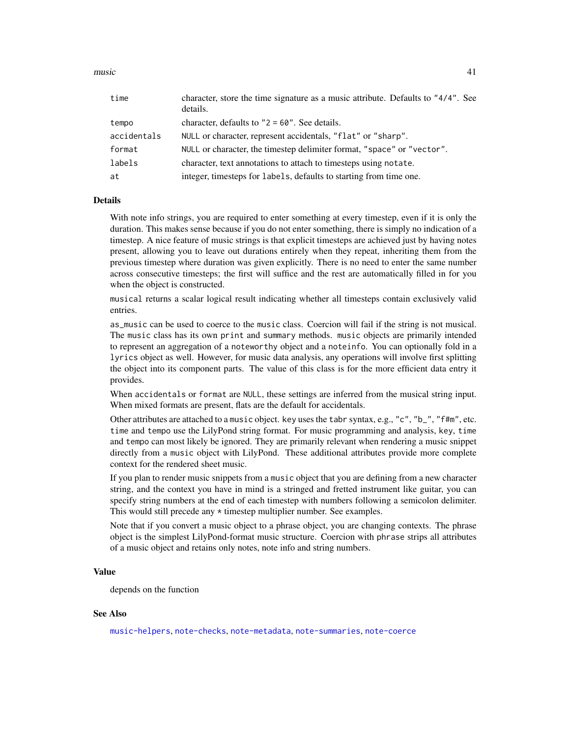music 41

| time        | character, store the time signature as a music attribute. Defaults to "4/4". See<br>details. |
|-------------|----------------------------------------------------------------------------------------------|
| tempo       | character, defaults to $"2 = 60"$ . See details.                                             |
| accidentals | NULL or character, represent accidentals, "flat" or "sharp".                                 |
| format      | NULL or character, the timestep delimiter format, "space" or "vector".                       |
| labels      | character, text annotations to attach to timesteps using notate.                             |
| at          | integer, timesteps for labels, defaults to starting from time one.                           |

## Details

With note info strings, you are required to enter something at every timestep, even if it is only the duration. This makes sense because if you do not enter something, there is simply no indication of a timestep. A nice feature of music strings is that explicit timesteps are achieved just by having notes present, allowing you to leave out durations entirely when they repeat, inheriting them from the previous timestep where duration was given explicitly. There is no need to enter the same number across consecutive timesteps; the first will suffice and the rest are automatically filled in for you when the object is constructed.

musical returns a scalar logical result indicating whether all timesteps contain exclusively valid entries.

as\_music can be used to coerce to the music class. Coercion will fail if the string is not musical. The music class has its own print and summary methods. music objects are primarily intended to represent an aggregation of a noteworthy object and a noteinfo. You can optionally fold in a lyrics object as well. However, for music data analysis, any operations will involve first splitting the object into its component parts. The value of this class is for the more efficient data entry it provides.

When accidentals or format are NULL, these settings are inferred from the musical string input. When mixed formats are present, flats are the default for accidentals.

Other attributes are attached to a music object. key uses the tabr syntax, e.g., "c", "b\_", "f#m", etc. time and tempo use the LilyPond string format. For music programming and analysis, key, time and tempo can most likely be ignored. They are primarily relevant when rendering a music snippet directly from a music object with LilyPond. These additional attributes provide more complete context for the rendered sheet music.

If you plan to render music snippets from a music object that you are defining from a new character string, and the context you have in mind is a stringed and fretted instrument like guitar, you can specify string numbers at the end of each timestep with numbers following a semicolon delimiter. This would still precede any \* timestep multiplier number. See examples.

Note that if you convert a music object to a phrase object, you are changing contexts. The phrase object is the simplest LilyPond-format music structure. Coercion with phrase strips all attributes of a music object and retains only notes, note info and string numbers.

## Value

depends on the function

## See Also

[music-helpers](#page-41-0), [note-checks](#page-43-0), [note-metadata](#page-49-0), [note-summaries](#page-52-0), [note-coerce](#page-44-0)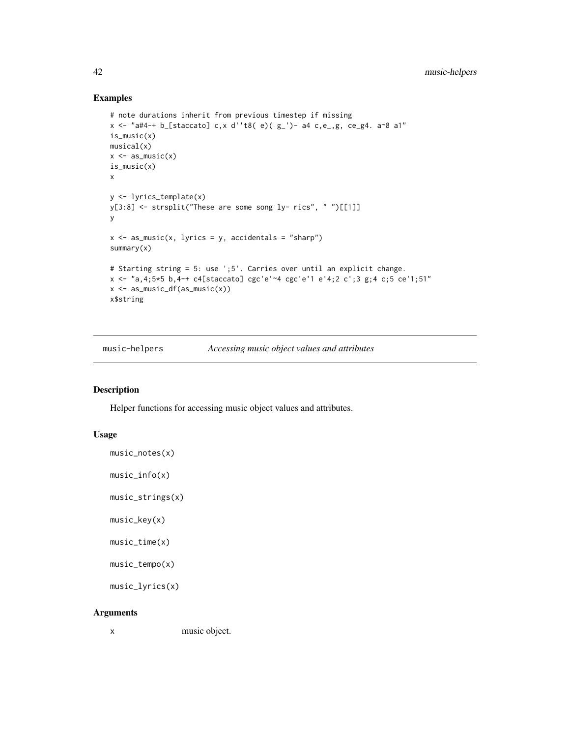## Examples

```
# note durations inherit from previous timestep if missing
x <- "a#4-+ b_[staccato] c,x d''t8( e)( g_')- a4 c,e_,g, ce_g4. a~8 a1"
is_music(x)
musical(x)
x \leftarrow as_music(x)is_music(x)
x
y <- lyrics_template(x)
y[3:8] <- strsplit("These are some song ly- rics", " ")[[1]]
y
x \le - as_music(x, lyrics = y, accidentals = "sharp")
summary(x)
# Starting string = 5: use ';5'. Carries over until an explicit change.
x <- "a,4;5*5 b,4-+ c4[staccato] cgc'e'~4 cgc'e'1 e'4;2 c';3 g;4 c;5 ce'1;51"
x \leftarrow as_music_df(as_music(x))
x$string
```
<span id="page-41-0"></span>music-helpers *Accessing music object values and attributes*

# Description

Helper functions for accessing music object values and attributes.

## Usage

```
music_notes(x)
```

```
music_info(x)
```
music\_strings(x)

music\_key(x)

```
music_time(x)
```

```
music_tempo(x)
```

```
music_lyrics(x)
```
## Arguments

x music object.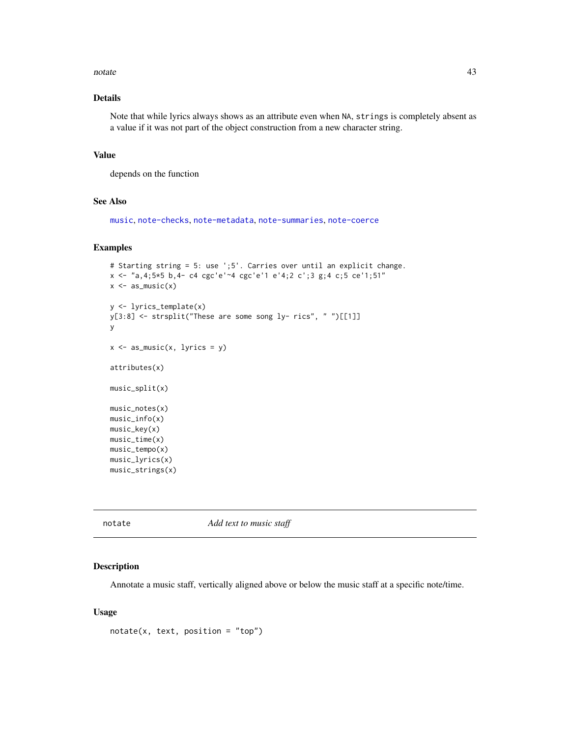#### notate 43

# Details

Note that while lyrics always shows as an attribute even when NA, strings is completely absent as a value if it was not part of the object construction from a new character string.

## Value

depends on the function

#### See Also

[music](#page-39-0), [note-checks](#page-43-0), [note-metadata](#page-49-0), [note-summaries](#page-52-0), [note-coerce](#page-44-0)

#### Examples

```
# Starting string = 5: use ';5'. Carries over until an explicit change.
x <- "a,4;5*5 b,4- c4 cgc'e'~4 cgc'e'1 e'4;2 c';3 g;4 c;5 ce'1;51"
x \leftarrow as_music(x)y <- lyrics_template(x)
y[3:8] <- strsplit("These are some song ly- rics", " ")[[1]]
y
x \leftarrow as\_music(x, 1)rics = y)
attributes(x)
music_split(x)
music_notes(x)
music_info(x)
music_key(x)
music_time(x)
music_tempo(x)
music_lyrics(x)
music_strings(x)
```
notate *Add text to music staff*

#### Description

Annotate a music staff, vertically aligned above or below the music staff at a specific note/time.

## Usage

 $notate(x, text, position = "top")$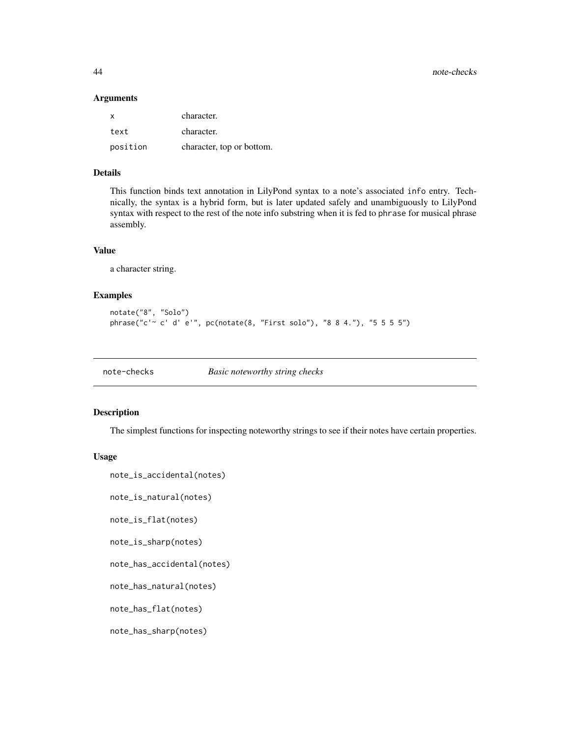44 note-checks

#### Arguments

| X        | character.                |
|----------|---------------------------|
| text     | character.                |
| position | character, top or bottom. |

# Details

This function binds text annotation in LilyPond syntax to a note's associated info entry. Technically, the syntax is a hybrid form, but is later updated safely and unambiguously to LilyPond syntax with respect to the rest of the note info substring when it is fed to phrase for musical phrase assembly.

## Value

a character string.

## Examples

```
notate("8", "Solo")
phrase("c'~ c' d' e'", pc(notate(8, "First solo"), "8 8 4."), "5 5 5 5")
```
<span id="page-43-0"></span>note-checks *Basic noteworthy string checks*

## Description

The simplest functions for inspecting noteworthy strings to see if their notes have certain properties.

## Usage

```
note_is_accidental(notes)
```
note\_is\_natural(notes)

note\_is\_flat(notes)

```
note_is_sharp(notes)
```
note\_has\_accidental(notes)

```
note_has_natural(notes)
```
note\_has\_flat(notes)

note\_has\_sharp(notes)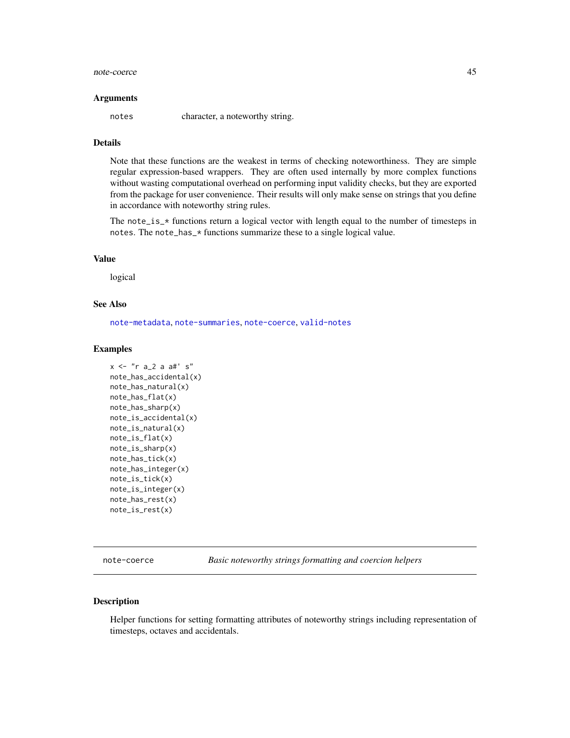#### note-coerce and the set of the set of the set of the set of the set of the set of the set of the set of the set of the set of the set of the set of the set of the set of the set of the set of the set of the set of the set

#### Arguments

notes character, a noteworthy string.

# Details

Note that these functions are the weakest in terms of checking noteworthiness. They are simple regular expression-based wrappers. They are often used internally by more complex functions without wasting computational overhead on performing input validity checks, but they are exported from the package for user convenience. Their results will only make sense on strings that you define in accordance with noteworthy string rules.

The note\_is\_ $*$  functions return a logical vector with length equal to the number of timesteps in notes. The note\_has\_\* functions summarize these to a single logical value.

## Value

logical

# See Also

[note-metadata](#page-49-0), [note-summaries](#page-52-0), [note-coerce](#page-44-0), [valid-notes](#page-115-0)

#### Examples

```
x <- "r a_2 a a#' s"
note_has_accidental(x)
note_has_natural(x)
note_has_flat(x)
note_has_sharp(x)
note_is_accidental(x)
note_is_natural(x)
note_is_flat(x)
note_is_sharp(x)
note_has_tick(x)
note_has_integer(x)
note_is_tick(x)
note_is_integer(x)
note_has_rest(x)
note_is_rest(x)
```
<span id="page-44-0"></span>note-coerce *Basic noteworthy strings formatting and coercion helpers*

#### Description

Helper functions for setting formatting attributes of noteworthy strings including representation of timesteps, octaves and accidentals.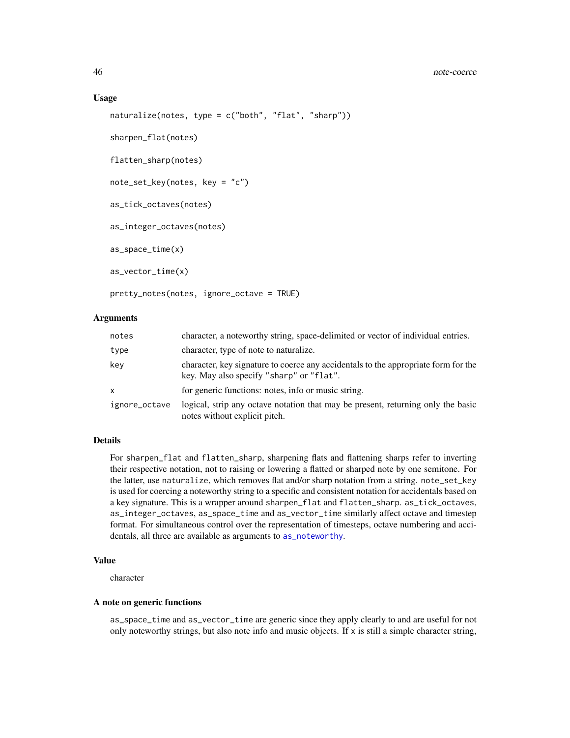#### 46 note-coerce

#### Usage

```
naturalize(notes, type = c("both", "flat", "sharp"))
sharpen_flat(notes)
flatten_sharp(notes)
note_set_key(notes, key = "c")
as_tick_octaves(notes)
as_integer_octaves(notes)
as_space_time(x)
as_vector_time(x)
```

```
pretty_notes(notes, ignore_octave = TRUE)
```
## Arguments

| notes         | character, a noteworthy string, space-delimited or vector of individual entries.                                               |
|---------------|--------------------------------------------------------------------------------------------------------------------------------|
| type          | character, type of note to naturalize.                                                                                         |
| key           | character, key signature to coerce any accidentals to the appropriate form for the<br>key. May also specify "sharp" or "flat". |
| $\mathsf{x}$  | for generic functions: notes, info or music string.                                                                            |
| ignore_octave | logical, strip any octave notation that may be present, returning only the basic<br>notes without explicit pitch.              |

## Details

For sharpen\_flat and flatten\_sharp, sharpening flats and flattening sharps refer to inverting their respective notation, not to raising or lowering a flatted or sharped note by one semitone. For the latter, use naturalize, which removes flat and/or sharp notation from a string. note\_set\_key is used for coercing a noteworthy string to a specific and consistent notation for accidentals based on a key signature. This is a wrapper around sharpen\_flat and flatten\_sharp. as\_tick\_octaves, as\_integer\_octaves, as\_space\_time and as\_vector\_time similarly affect octave and timestep format. For simultaneous control over the representation of timesteps, octave numbering and accidentals, all three are available as arguments to [as\\_noteworthy](#page-115-1).

## Value

character

## A note on generic functions

as\_space\_time and as\_vector\_time are generic since they apply clearly to and are useful for not only noteworthy strings, but also note info and music objects. If x is still a simple character string,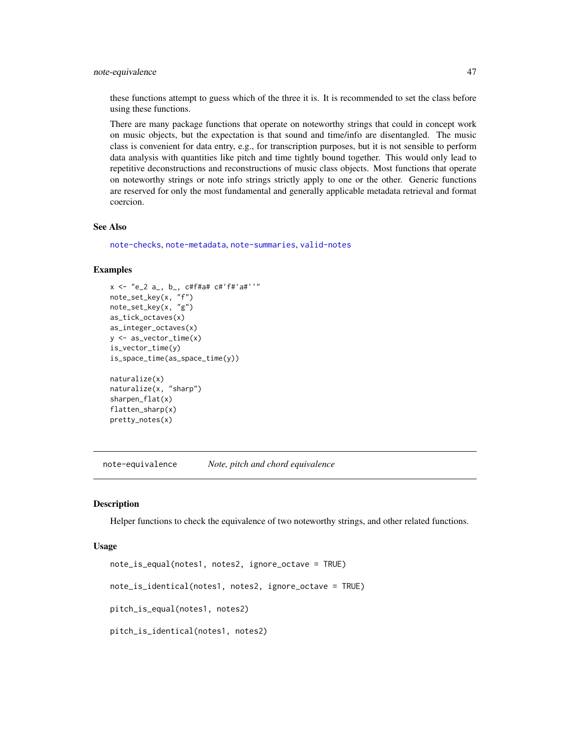# note-equivalence 47

these functions attempt to guess which of the three it is. It is recommended to set the class before using these functions.

There are many package functions that operate on noteworthy strings that could in concept work on music objects, but the expectation is that sound and time/info are disentangled. The music class is convenient for data entry, e.g., for transcription purposes, but it is not sensible to perform data analysis with quantities like pitch and time tightly bound together. This would only lead to repetitive deconstructions and reconstructions of music class objects. Most functions that operate on noteworthy strings or note info strings strictly apply to one or the other. Generic functions are reserved for only the most fundamental and generally applicable metadata retrieval and format coercion.

## See Also

[note-checks](#page-43-0), [note-metadata](#page-49-0), [note-summaries](#page-52-0), [valid-notes](#page-115-0)

#### Examples

```
x <- "e_2 a_, b_, c#f#a# c#'f#'a#''"
note_set_key(x, "f")
note_set_key(x, "g")
as_tick_octaves(x)
as_integer_octaves(x)
y <- as_vector_time(x)
is_vector_time(y)
is_space_time(as_space_time(y))
naturalize(x)
naturalize(x, "sharp")
sharpen_flat(x)
flatten_sharp(x)
pretty_notes(x)
```
note-equivalence *Note, pitch and chord equivalence*

#### <span id="page-46-0"></span>Description

Helper functions to check the equivalence of two noteworthy strings, and other related functions.

#### Usage

```
note_is_equal(notes1, notes2, ignore_octave = TRUE)
note_is_identical(notes1, notes2, ignore_octave = TRUE)
pitch_is_equal(notes1, notes2)
pitch_is_identical(notes1, notes2)
```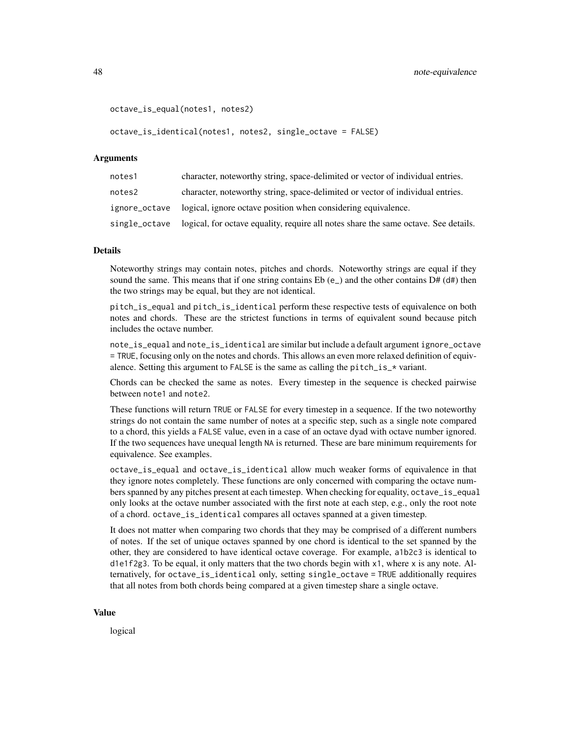```
octave_is_equal(notes1, notes2)
```
octave\_is\_identical(notes1, notes2, single\_octave = FALSE)

## Arguments

| notes1        | character, noteworthy string, space-delimited or vector of individual entries.      |
|---------------|-------------------------------------------------------------------------------------|
| notes2        | character, noteworthy string, space-delimited or vector of individual entries.      |
|               | ignore_octave logical, ignore octave position when considering equivalence.         |
| single_octave | logical, for octave equality, require all notes share the same octave. See details. |

## Details

Noteworthy strings may contain notes, pitches and chords. Noteworthy strings are equal if they sound the same. This means that if one string contains  $Eb(e_+)$  and the other contains  $D\# (d\#)$  then the two strings may be equal, but they are not identical.

pitch\_is\_equal and pitch\_is\_identical perform these respective tests of equivalence on both notes and chords. These are the strictest functions in terms of equivalent sound because pitch includes the octave number.

note\_is\_equal and note\_is\_identical are similar but include a default argument ignore\_octave = TRUE, focusing only on the notes and chords. This allows an even more relaxed definition of equivalence. Setting this argument to FALSE is the same as calling the pitch\_is\_ $*$  variant.

Chords can be checked the same as notes. Every timestep in the sequence is checked pairwise between note1 and note2.

These functions will return TRUE or FALSE for every timestep in a sequence. If the two noteworthy strings do not contain the same number of notes at a specific step, such as a single note compared to a chord, this yields a FALSE value, even in a case of an octave dyad with octave number ignored. If the two sequences have unequal length NA is returned. These are bare minimum requirements for equivalence. See examples.

octave\_is\_equal and octave\_is\_identical allow much weaker forms of equivalence in that they ignore notes completely. These functions are only concerned with comparing the octave numbers spanned by any pitches present at each timestep. When checking for equality, octave\_is\_equal only looks at the octave number associated with the first note at each step, e.g., only the root note of a chord. octave\_is\_identical compares all octaves spanned at a given timestep.

It does not matter when comparing two chords that they may be comprised of a different numbers of notes. If the set of unique octaves spanned by one chord is identical to the set spanned by the other, they are considered to have identical octave coverage. For example, a1b2c3 is identical to d1e1f2g3. To be equal, it only matters that the two chords begin with  $x1$ , where x is any note. Alternatively, for octave\_is\_identical only, setting single\_octave = TRUE additionally requires that all notes from both chords being compared at a given timestep share a single octave.

#### Value

logical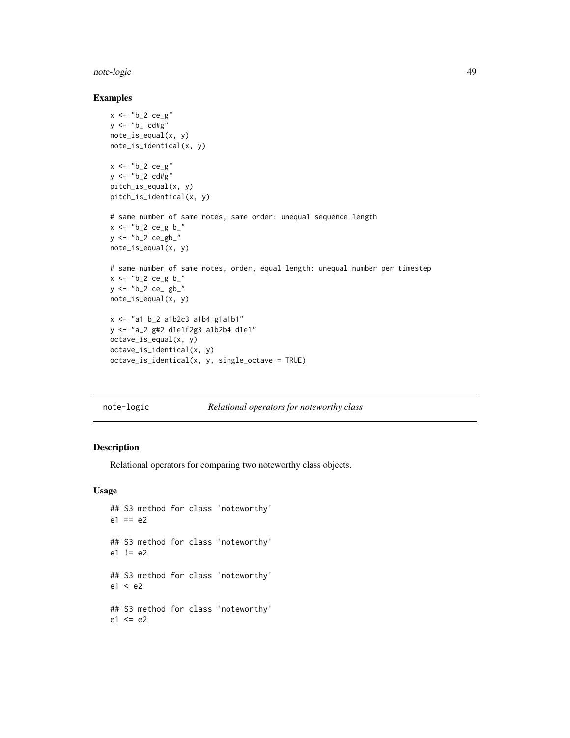#### note-logic and the set of the set of the set of the set of the set of the set of the set of the set of the set of the set of the set of the set of the set of the set of the set of the set of the set of the set of the set o

## Examples

```
x \leftarrow "b_2 \ ce_g"y \leftarrow "b \quad cd\#g"note_is_equal(x, y)
note_is_identical(x, y)
x \leftarrow "b_2 ce_g"
y \leftarrow "b_2 \text{ cdfg}"
pitch_is_equal(x, y)
pitch_is_identical(x, y)
# same number of same notes, same order: unequal sequence length
x <- "b_2 ce_g b_"
y <- "b_2 ce_gb_"
note_is_equal(x, y)
# same number of same notes, order, equal length: unequal number per timestep
x \le - "b_2 ce_g b_"
y \le - "b_2 ce_ gb_"
note_is_equal(x, y)
x \leftarrow "a1 b_2 a1b2c3 a1b4 g1a1b1"
y <- "a_2 g#2 d1e1f2g3 a1b2b4 d1e1"
octave_is_equal(x, y)
octave_is_identical(x, y)
octave_is_identical(x, y, single_octave = TRUE)
```

| note-logic |  | Relational operators for noteworthy class |
|------------|--|-------------------------------------------|
|            |  |                                           |

# Description

Relational operators for comparing two noteworthy class objects.

#### Usage

```
## S3 method for class 'noteworthy'
e1 == e2## S3 method for class 'noteworthy'
e1 != e2
## S3 method for class 'noteworthy'
e1 < e2## S3 method for class 'noteworthy'
e1 \leq e2
```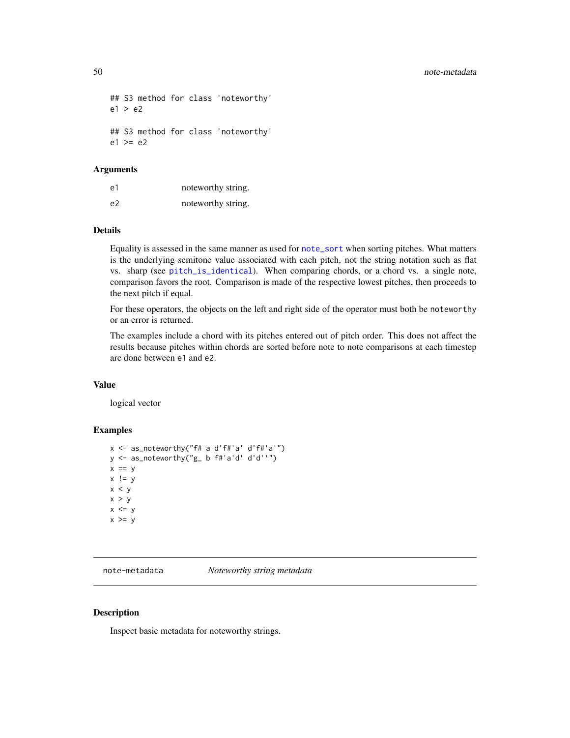```
## S3 method for class 'noteworthy'
e1 > e2
## S3 method for class 'noteworthy'
e1 \geq e2
```
## Arguments

| e1 | noteworthy string. |
|----|--------------------|
| e2 | noteworthy string. |

#### Details

Equality is assessed in the same manner as used for [note\\_sort](#page-55-0) when sorting pitches. What matters is the underlying semitone value associated with each pitch, not the string notation such as flat vs. sharp (see [pitch\\_is\\_identical](#page-46-0)). When comparing chords, or a chord vs. a single note, comparison favors the root. Comparison is made of the respective lowest pitches, then proceeds to the next pitch if equal.

For these operators, the objects on the left and right side of the operator must both be noteworthy or an error is returned.

The examples include a chord with its pitches entered out of pitch order. This does not affect the results because pitches within chords are sorted before note to note comparisons at each timestep are done between e1 and e2.

## Value

logical vector

# Examples

```
x <- as_noteworthy("f# a d'f#'a' d'f#'a'")
y <- as_noteworthy("g_ b f#'a'd' d'd''")
x == yx != yx < yx > yx \le yx \ge y
```
<span id="page-49-0"></span>note-metadata *Noteworthy string metadata*

## Description

Inspect basic metadata for noteworthy strings.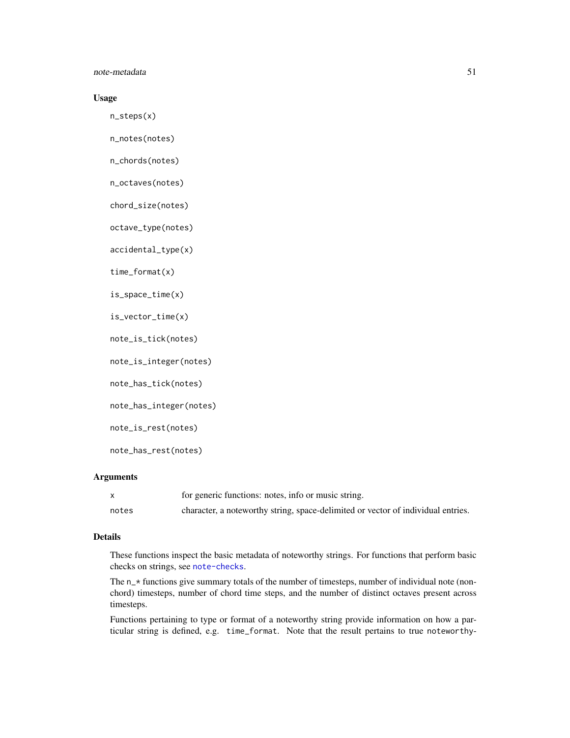## note-metadata 51

# Usage

n\_steps(x)

n\_notes(notes)

n\_chords(notes)

n\_octaves(notes)

chord\_size(notes)

octave\_type(notes)

accidental\_type(x)

time\_format(x)

is\_space\_time(x)

is\_vector\_time(x)

note\_is\_tick(notes)

note\_is\_integer(notes)

note\_has\_tick(notes)

note\_has\_integer(notes)

note\_is\_rest(notes)

note\_has\_rest(notes)

## Arguments

|       | for generic functions: notes, info or music string.                              |
|-------|----------------------------------------------------------------------------------|
| notes | character, a noteworthy string, space-delimited or vector of individual entries. |

## Details

These functions inspect the basic metadata of noteworthy strings. For functions that perform basic checks on strings, see [note-checks](#page-43-0).

The  $n_{\pm}$  functions give summary totals of the number of timesteps, number of individual note (nonchord) timesteps, number of chord time steps, and the number of distinct octaves present across timesteps.

Functions pertaining to type or format of a noteworthy string provide information on how a particular string is defined, e.g. time\_format. Note that the result pertains to true noteworthy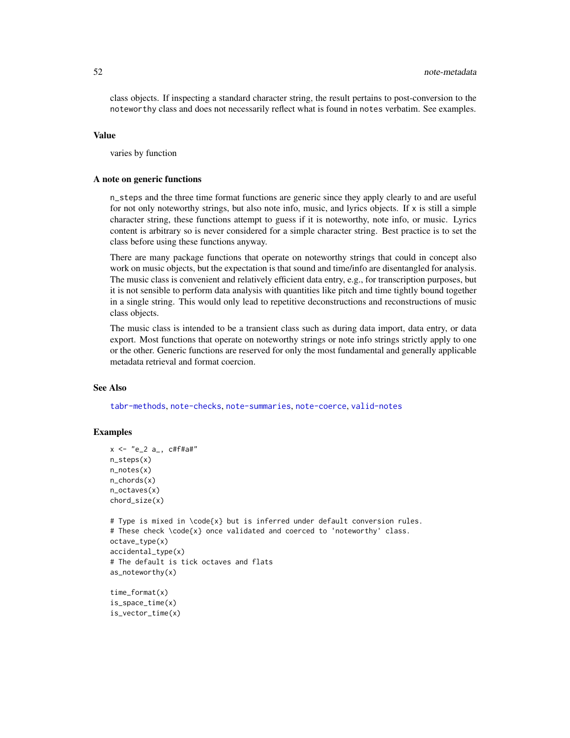class objects. If inspecting a standard character string, the result pertains to post-conversion to the noteworthy class and does not necessarily reflect what is found in notes verbatim. See examples.

#### Value

varies by function

## A note on generic functions

n\_steps and the three time format functions are generic since they apply clearly to and are useful for not only noteworthy strings, but also note info, music, and lyrics objects. If  $x$  is still a simple character string, these functions attempt to guess if it is noteworthy, note info, or music. Lyrics content is arbitrary so is never considered for a simple character string. Best practice is to set the class before using these functions anyway.

There are many package functions that operate on noteworthy strings that could in concept also work on music objects, but the expectation is that sound and time/info are disentangled for analysis. The music class is convenient and relatively efficient data entry, e.g., for transcription purposes, but it is not sensible to perform data analysis with quantities like pitch and time tightly bound together in a single string. This would only lead to repetitive deconstructions and reconstructions of music class objects.

The music class is intended to be a transient class such as during data import, data entry, or data export. Most functions that operate on noteworthy strings or note info strings strictly apply to one or the other. Generic functions are reserved for only the most fundamental and generally applicable metadata retrieval and format coercion.

# See Also

[tabr-methods](#page-100-0), [note-checks](#page-43-0), [note-summaries](#page-52-0), [note-coerce](#page-44-0), [valid-notes](#page-115-0)

```
x \le - "e_2 a_, c#f#a#"
n_steps(x)
n_notes(x)
n_chords(x)
n_octaves(x)
chord_size(x)
# Type is mixed in \code{x} but is inferred under default conversion rules.
# These check \code{x} once validated and coerced to 'noteworthy' class.
octave_type(x)
accidental_type(x)
# The default is tick octaves and flats
as_noteworthy(x)
time_format(x)
is_space_time(x)
is_vector_time(x)
```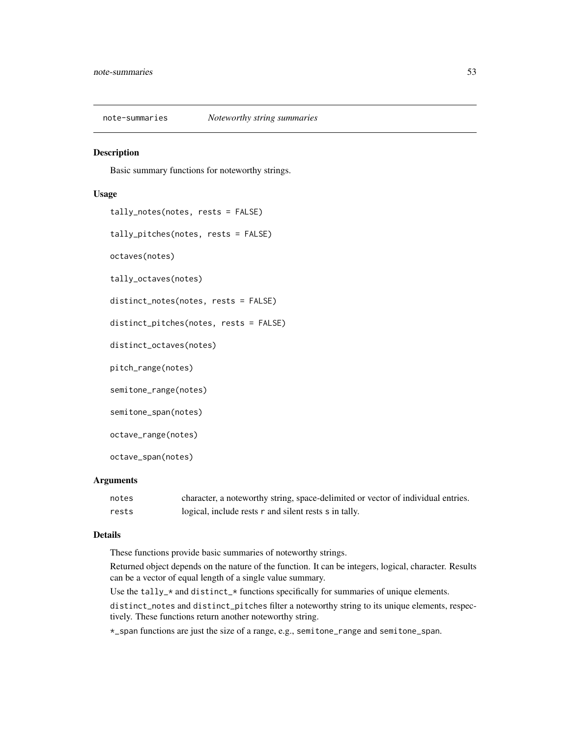<span id="page-52-0"></span>note-summaries *Noteworthy string summaries*

## Description

Basic summary functions for noteworthy strings.

#### Usage

```
tally_notes(notes, rests = FALSE)
tally_pitches(notes, rests = FALSE)
octaves(notes)
tally_octaves(notes)
distinct_notes(notes, rests = FALSE)
distinct_pitches(notes, rests = FALSE)
distinct_octaves(notes)
pitch_range(notes)
semitone_range(notes)
semitone_span(notes)
octave_range(notes)
octave_span(notes)
```
# Arguments

| notes | character, a noteworthy string, space-delimited or vector of individual entries. |
|-------|----------------------------------------------------------------------------------|
| rests | logical, include rests r and silent rests s in tally.                            |

## Details

These functions provide basic summaries of noteworthy strings.

Returned object depends on the nature of the function. It can be integers, logical, character. Results can be a vector of equal length of a single value summary.

Use the tally\_ $*$  and distinct\_ $*$  functions specifically for summaries of unique elements.

distinct\_notes and distinct\_pitches filter a noteworthy string to its unique elements, respectively. These functions return another noteworthy string.

\*\_span functions are just the size of a range, e.g., semitone\_range and semitone\_span.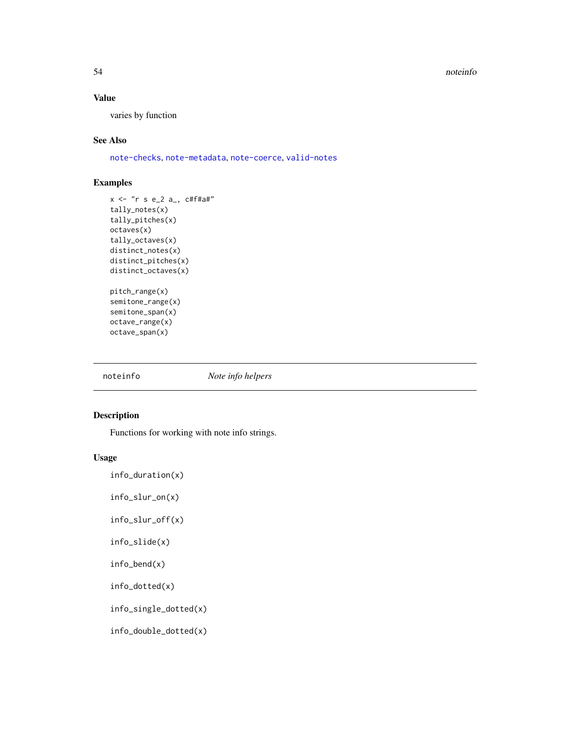#### 54 noteinfo

## Value

varies by function

## See Also

[note-checks](#page-43-0), [note-metadata](#page-49-0), [note-coerce](#page-44-0), [valid-notes](#page-115-0)

# Examples

```
x <- "r s e_2 a_, c#f#a#"
tally_notes(x)
tally_pitches(x)
octaves(x)
tally_octaves(x)
distinct_notes(x)
distinct_pitches(x)
distinct_octaves(x)
pitch_range(x)
semitone_range(x)
semitone_span(x)
octave_range(x)
octave_span(x)
```
noteinfo *Note info helpers*

# Description

Functions for working with note info strings.

## Usage

info\_duration(x)

info\_slur\_on(x)

info\_slur\_off(x)

```
info_slide(x)
```
info\_bend(x)

info\_dotted(x)

info\_single\_dotted(x)

info\_double\_dotted(x)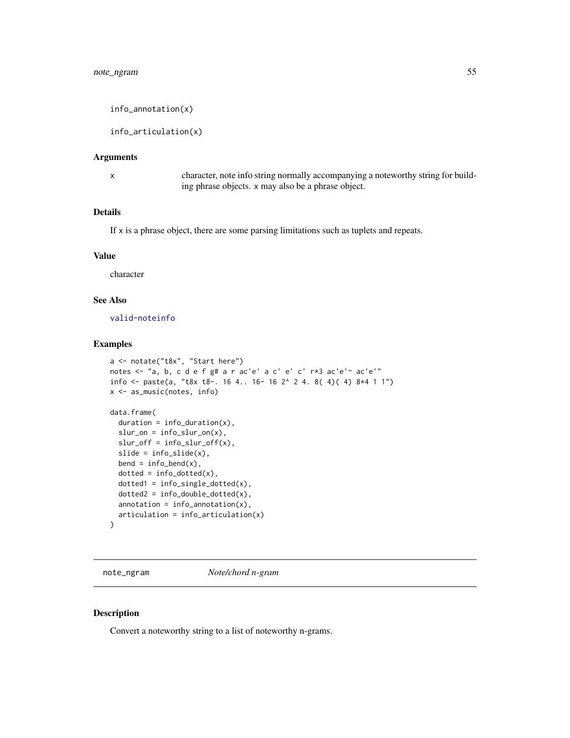info\_annotation(x)

info\_articulation(x)

#### Arguments

x character, note info string normally accompanying a noteworthy string for building phrase objects. x may also be a phrase object.

# Details

If x is a phrase object, there are some parsing limitations such as tuplets and repeats.

## Value

character

#### See Also

[valid-noteinfo](#page-114-0)

# Examples

```
a <- notate("t8x", "Start here")
notes <- "a, b, c d e f g# a r ac'e' a c' e' c' r*3 ac'e'~ ac'e'"
info \leq paste(a, "t8x t8-. 16 4.. 16- 16 2^2 2 4. 8( 4)( 4) 8*4 1 1")x <- as_music(notes, info)
data.frame(
  duration = info_duration(x),
  slur\_on = info\_slur\_on(x),
  slur_{of}f = info_{slur_{of}}f(x),
  slide = info_slide(x),
  bend = info\_bend(x),
  dotted = info\_dotted(x),
  dotted1 = info\_single\_dotted(x),dotted2 = info_double_dotted(x),
  annotation = info_annotation(x),
  articulation = info_articulation(x)
)
```
note\_ngram *Note/chord n-gram*

## Description

Convert a noteworthy string to a list of noteworthy n-grams.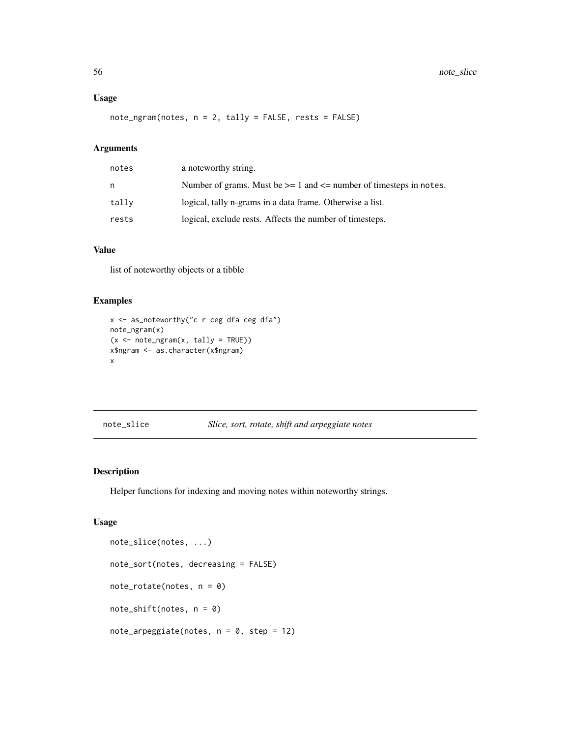## Usage

note\_ngram(notes, n = 2, tally = FALSE, rests = FALSE)

# Arguments

| notes | a noteworthy string.                                                       |
|-------|----------------------------------------------------------------------------|
| n     | Number of grams. Must be $\ge$ = 1 and $\le$ number of timesteps in notes. |
| tally | logical, tally n-grams in a data frame. Otherwise a list.                  |
| rests | logical, exclude rests. Affects the number of timesteps.                   |

# Value

list of noteworthy objects or a tibble

# Examples

```
x \le - as_noteworthy("c r ceg dfa ceg dfa")
note_ngram(x)
(x \le -\n note_ngram(x, \text{ tally} = \text{TRUE})x$ngram <- as.character(x$ngram)
x
```
# note\_slice *Slice, sort, rotate, shift and arpeggiate notes*

# <span id="page-55-0"></span>Description

Helper functions for indexing and moving notes within noteworthy strings.

# Usage

```
note_slice(notes, ...)
note_sort(notes, decreasing = FALSE)
note_rotate(notes, n = 0)
note_shift(notes, n = 0)
note_arpeggiate(notes, n = 0, step = 12)
```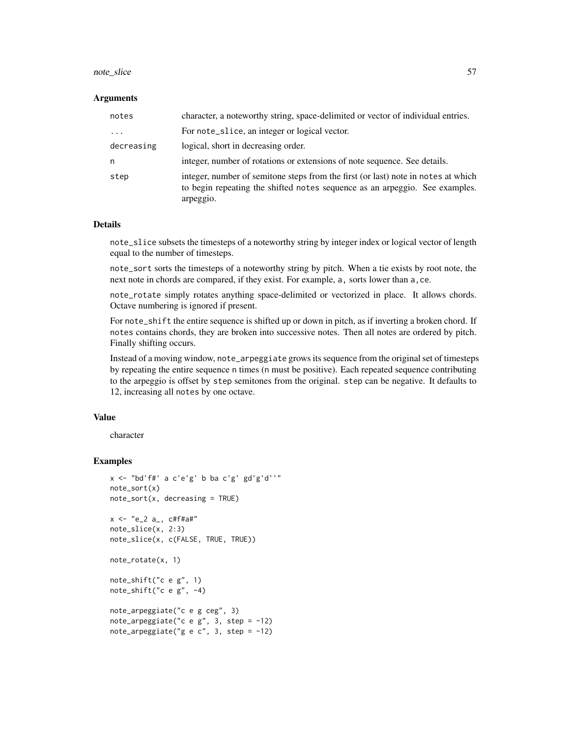#### note\_slice 57

#### Arguments

| notes      | character, a noteworthy string, space-delimited or vector of individual entries.                                                                                              |
|------------|-------------------------------------------------------------------------------------------------------------------------------------------------------------------------------|
| $\ddots$   | For note_slice, an integer or logical vector.                                                                                                                                 |
| decreasing | logical, short in decreasing order.                                                                                                                                           |
| n          | integer, number of rotations or extensions of note sequence. See details.                                                                                                     |
| step       | integer, number of semitone steps from the first (or last) note in notes at which<br>to begin repeating the shifted notes sequence as an arpeggio. See examples.<br>arpeggio. |

#### Details

note\_slice subsets the timesteps of a noteworthy string by integer index or logical vector of length equal to the number of timesteps.

note\_sort sorts the timesteps of a noteworthy string by pitch. When a tie exists by root note, the next note in chords are compared, if they exist. For example, a, sorts lower than a,ce.

note\_rotate simply rotates anything space-delimited or vectorized in place. It allows chords. Octave numbering is ignored if present.

For note\_shift the entire sequence is shifted up or down in pitch, as if inverting a broken chord. If notes contains chords, they are broken into successive notes. Then all notes are ordered by pitch. Finally shifting occurs.

Instead of a moving window, note\_arpeggiate grows its sequence from the original set of timesteps by repeating the entire sequence n times (n must be positive). Each repeated sequence contributing to the arpeggio is offset by step semitones from the original. step can be negative. It defaults to 12, increasing all notes by one octave.

## Value

character

```
x <- "bd'f#' a c'e'g' b ba c'g' gd'g'd''"
note_sort(x)
note_sort(x, decreasing = TRUE)
x < - "e_2 a_, c#f#a#"
note_slice(x, 2:3)
note_slice(x, c(FALSE, TRUE, TRUE))
note_rotate(x, 1)
note_shift("c e g", 1)
note_shift("c e g", -4)
note_arpeggiate("c e g ceg", 3)
note_arpeggiate("c e g'', 3, step = -12)
note_arpeggiate("g e c", 3, step = -12)
```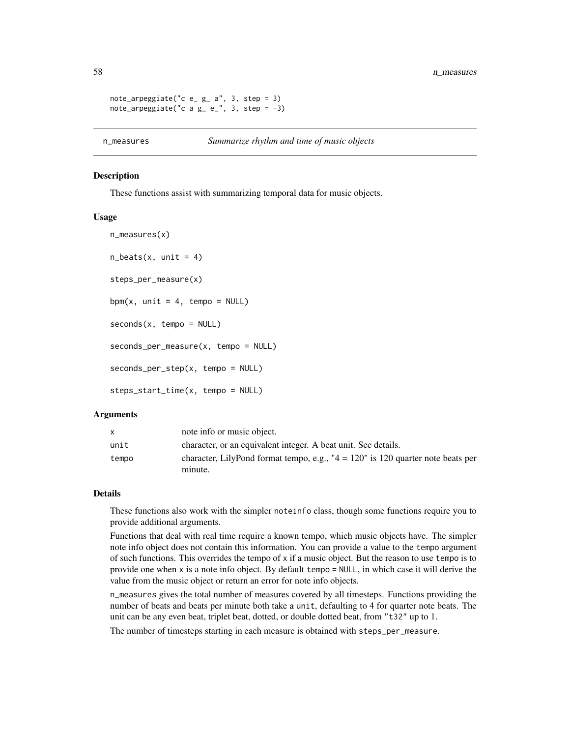```
note\_arpeggiate("c e_g_a", 3, step = 3)
note_arpeggiate("c a g = e", 3, step = -3)
```
#### **Description**

These functions assist with summarizing temporal data for music objects.

#### Usage

```
n_measures(x)
n_beats(x, unit = 4)
steps_per_measure(x)
bpm(x, unit = 4, tempo = NULL)
seconds(x, tempo = NULL)seconds_per_measure(x, tempo = NULL)
seconds_per_step(x, tempo = NULL)
steps_start_time(x, tempo = NULL)
```
#### Arguments

| X     | note info or music object.                                                          |
|-------|-------------------------------------------------------------------------------------|
| unit  | character, or an equivalent integer. A beat unit. See details.                      |
| tempo | character, LilyPond format tempo, e.g., " $4 = 120$ " is 120 quarter note beats per |
|       | minute.                                                                             |

# Details

These functions also work with the simpler noteinfo class, though some functions require you to provide additional arguments.

Functions that deal with real time require a known tempo, which music objects have. The simpler note info object does not contain this information. You can provide a value to the tempo argument of such functions. This overrides the tempo of  $x$  if a music object. But the reason to use tempo is to provide one when x is a note info object. By default tempo = NULL, in which case it will derive the value from the music object or return an error for note info objects.

n\_measures gives the total number of measures covered by all timesteps. Functions providing the number of beats and beats per minute both take a unit, defaulting to 4 for quarter note beats. The unit can be any even beat, triplet beat, dotted, or double dotted beat, from "t32" up to 1.

The number of timesteps starting in each measure is obtained with steps\_per\_measure.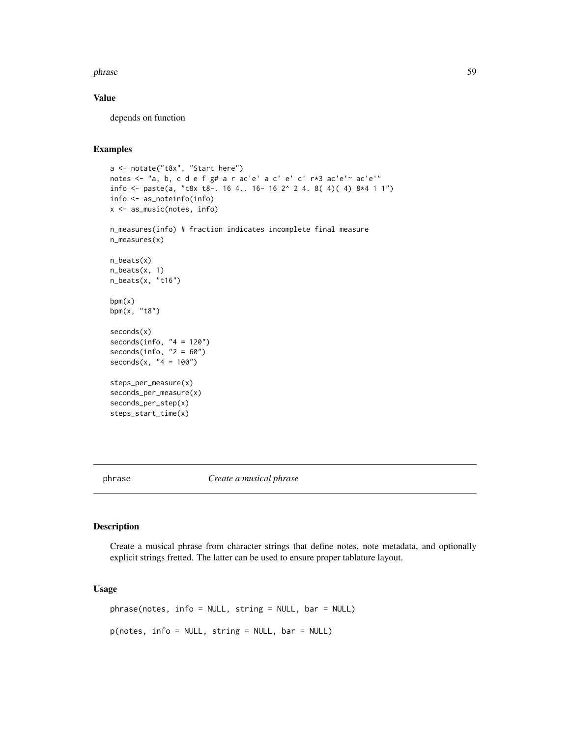#### phrase 59

# Value

depends on function

# Examples

```
a <- notate("t8x", "Start here")
notes <- "a, b, c d e f g# a r ac'e' a c' e' c' r*3 ac'e'~ ac'e'"
info <- paste(a, "t8x t8-. 16 4.. 16- 16 2^ 2 4. 8( 4)( 4) 8*4 1 1")
info <- as_noteinfo(info)
x <- as_music(notes, info)
n_measures(info) # fraction indicates incomplete final measure
n_measures(x)
n_beats(x)
n_beats(x, 1)
n_beats(x, "t16")
bpm(x)bpm(x, "t8")
seconds(x)
seconds(info, "4 = 120")seconds(info, "2 = 60")
seconds(x, "4 = 100")steps_per_measure(x)
seconds_per_measure(x)
seconds_per_step(x)
steps_start_time(x)
```
<span id="page-58-0"></span>phrase *Create a musical phrase*

#### Description

Create a musical phrase from character strings that define notes, note metadata, and optionally explicit strings fretted. The latter can be used to ensure proper tablature layout.

# Usage

phrase(notes, info = NULL, string = NULL, bar = NULL) p(notes, info = NULL, string = NULL, bar = NULL)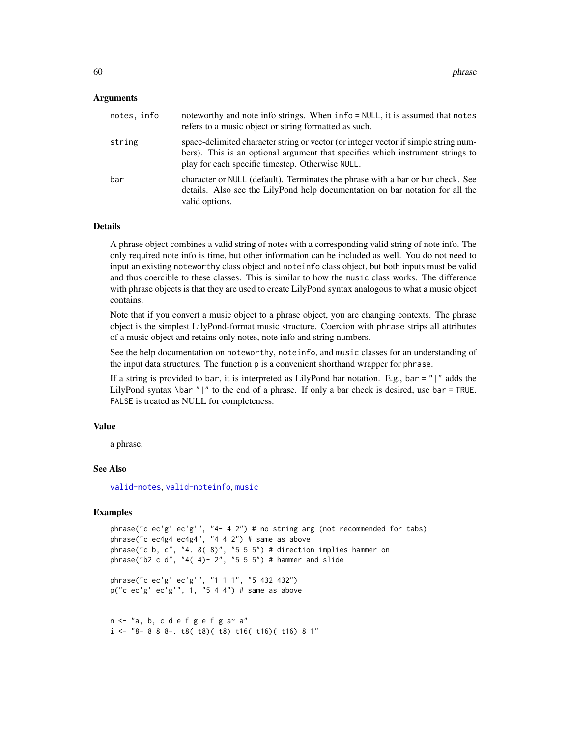#### Arguments

| notes, info | noteworthy and note info strings. When info = NULL, it is assumed that notes<br>refers to a music object or string formatted as such.                                                                                     |
|-------------|---------------------------------------------------------------------------------------------------------------------------------------------------------------------------------------------------------------------------|
| string      | space-delimited character string or vector (or integer vector if simple string num-<br>bers). This is an optional argument that specifies which instrument strings to<br>play for each specific timestep. Otherwise NULL. |
| bar         | character or NULL (default). Terminates the phrase with a bar or bar check. See<br>details. Also see the LilyPond help documentation on bar notation for all the<br>valid options.                                        |

# Details

A phrase object combines a valid string of notes with a corresponding valid string of note info. The only required note info is time, but other information can be included as well. You do not need to input an existing noteworthy class object and noteinfo class object, but both inputs must be valid and thus coercible to these classes. This is similar to how the music class works. The difference with phrase objects is that they are used to create LilyPond syntax analogous to what a music object contains.

Note that if you convert a music object to a phrase object, you are changing contexts. The phrase object is the simplest LilyPond-format music structure. Coercion with phrase strips all attributes of a music object and retains only notes, note info and string numbers.

See the help documentation on noteworthy, noteinfo, and music classes for an understanding of the input data structures. The function p is a convenient shorthand wrapper for phrase.

If a string is provided to bar, it is interpreted as LilyPond bar notation. E.g., bar =  $''$ |" adds the LilyPond syntax \bar "|" to the end of a phrase. If only a bar check is desired, use bar = TRUE. FALSE is treated as NULL for completeness.

#### Value

a phrase.

## See Also

[valid-notes](#page-115-0), [valid-noteinfo](#page-114-0), [music](#page-39-0)

```
phrase("c ec'g' ec'g'", "4- 4 2") # no string arg (not recommended for tabs)
phrase("c ec4g4 ec4g4", "4 4 2") # same as above
phrase("c b, c", "4. 8(8)", "5 5 5") # direction implies hammer on
phrase("b2 c d", "4( 4) - 2", "5 5 5") # hammer and slide
```

```
phrase("c ec'g' ec'g'", "1 1 1", "5 432 432")
p("c ec'g' ec'g'", 1, "5 4 4") # same as above
```

```
n \leq "a, b, c d e f g e f g a a"
i \leq 4 8 - 8 8 8 -. t8( t8)( t8) t16( t16)( t16) 8 1"
```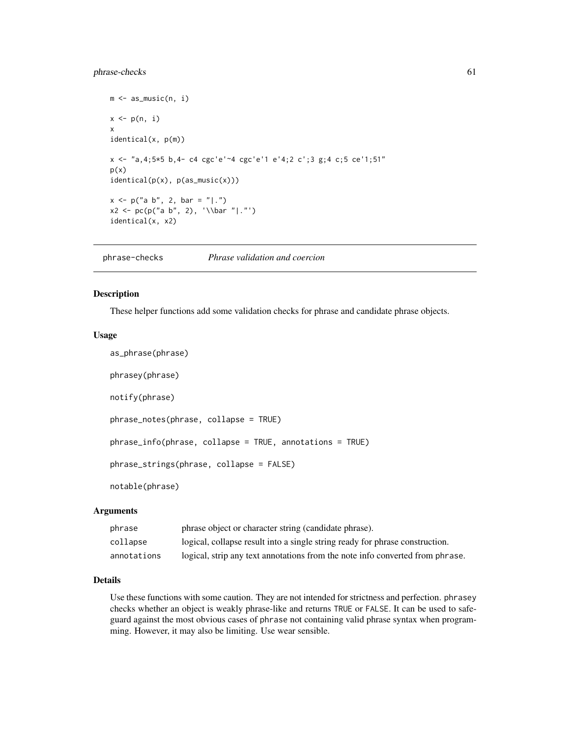# phrase-checks 61

```
m <- as_music(n, i)
x \leftarrow p(n, i)x
identical(x, p(m))
x <- "a,4;5*5 b,4- c4 cgc'e'~4 cgc'e'1 e'4;2 c';3 g;4 c;5 ce'1;51"
p(x)identical(p(x), p(as_music(x)))
x \le p("a b", 2, bar = "|.")x2 \le p c(p("a b", 2), '\bar "|.")identical(x, x2)
```
phrase-checks *Phrase validation and coercion*

#### Description

These helper functions add some validation checks for phrase and candidate phrase objects.

#### Usage

```
as_phrase(phrase)
phrasey(phrase)
notify(phrase)
phrase_notes(phrase, collapse = TRUE)
phrase_info(phrase, collapse = TRUE, annotations = TRUE)
phrase_strings(phrase, collapse = FALSE)
notable(phrase)
```
# Arguments

| phrase      | phrase object or character string (candidate phrase).                         |
|-------------|-------------------------------------------------------------------------------|
| collapse    | logical, collapse result into a single string ready for phrase construction.  |
| annotations | logical, strip any text annotations from the note info converted from phrase. |

## Details

Use these functions with some caution. They are not intended for strictness and perfection. phrasey checks whether an object is weakly phrase-like and returns TRUE or FALSE. It can be used to safeguard against the most obvious cases of phrase not containing valid phrase syntax when programming. However, it may also be limiting. Use wear sensible.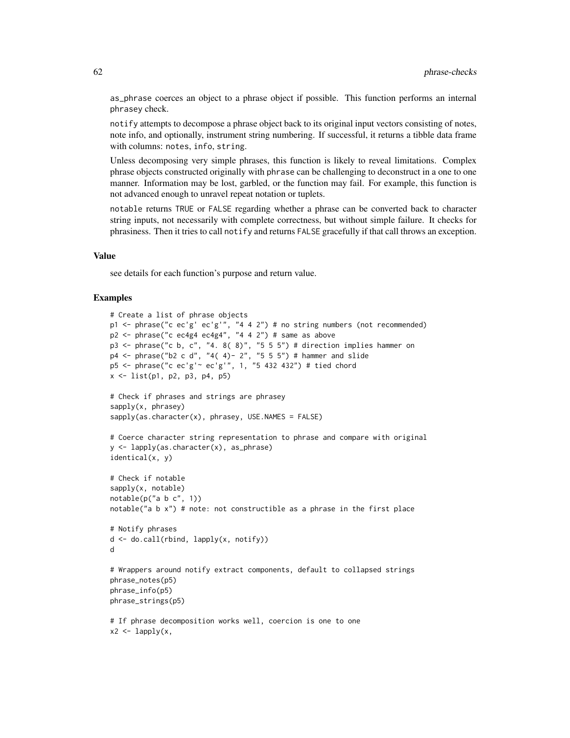as\_phrase coerces an object to a phrase object if possible. This function performs an internal phrasey check.

notify attempts to decompose a phrase object back to its original input vectors consisting of notes, note info, and optionally, instrument string numbering. If successful, it returns a tibble data frame with columns: notes, info, string.

Unless decomposing very simple phrases, this function is likely to reveal limitations. Complex phrase objects constructed originally with phrase can be challenging to deconstruct in a one to one manner. Information may be lost, garbled, or the function may fail. For example, this function is not advanced enough to unravel repeat notation or tuplets.

notable returns TRUE or FALSE regarding whether a phrase can be converted back to character string inputs, not necessarily with complete correctness, but without simple failure. It checks for phrasiness. Then it tries to call notify and returns FALSE gracefully if that call throws an exception.

#### Value

see details for each function's purpose and return value.

```
# Create a list of phrase objects
p1 <- phrase("c ec'g' ec'g'", "4 4 2") # no string numbers (not recommended)
p2 \le - phrase("c ec4g4 ec4g4", "4 4 2") # same as above
p3 <- phrase("c b, c", "4. 8( 8)", "5 5 5") # direction implies hammer on
p4 <- phrase("b2 c d", "4( 4)- 2", "5 5 5") # hammer and slide
p5 <- phrase("c ec'g'~ ec'g'", 1, "5 432 432") # tied chord
x \le -\text{list}(p1, p2, p3, p4, p5)# Check if phrases and strings are phrasey
sapply(x, phrasey)
sapply(as.character(x), phrasey, USE.NAMES = FALSE)# Coerce character string representation to phrase and compare with original
y <- lapply(as.character(x), as_phrase)
identical(x, y)
# Check if notable
sapply(x, notable)
notable(p("a b c", 1))notable("a b x") # note: not constructible as a phrase in the first place
# Notify phrases
d <- do.call(rbind, lapply(x, notify))
d
# Wrappers around notify extract components, default to collapsed strings
phrase_notes(p5)
phrase_info(p5)
phrase_strings(p5)
# If phrase decomposition works well, coercion is one to one
x2 \leq -lapply(x,
```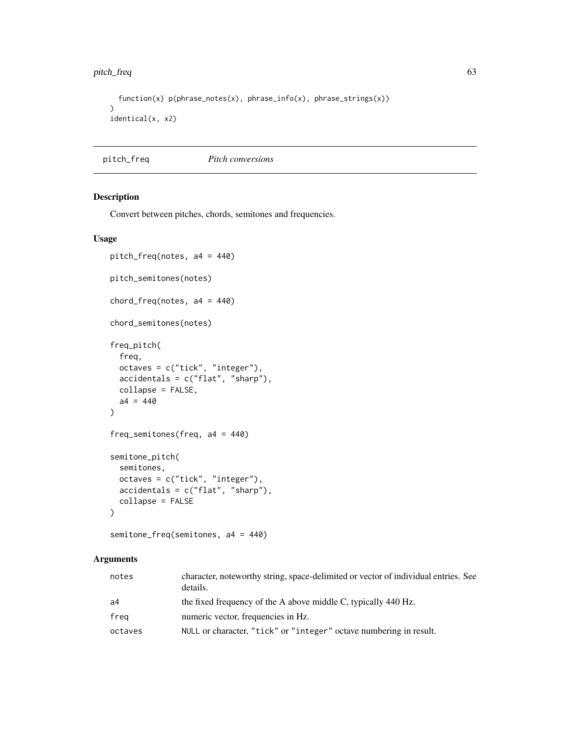# pitch\_freq 63

```
function(x) p(phrase_notes(x), phrase_info(x), phrase_strings(x))
\mathcal{L}identical(x, x2)
```
pitch\_freq *Pitch conversions*

## Description

Convert between pitches, chords, semitones and frequencies.

#### Usage

```
pitch_freq(notes, a4 = 440)
pitch_semitones(notes)
chord_freq(notes, a4 = 440)
chord_semitones(notes)
freq_pitch(
  freq,
 octaves = c("tick", "integer"),
  accidentals = c("flat", "sharp"),
 collapse = FALSE,
 a4 = 440\mathcal{L}freq_semitones(freq, a4 = 440)
semitone_pitch(
  semitones,
 octaves = c("tick", "integer"),
 accidentals = c("flat", "sharp"),
  collapse = FALSE
\mathcal{L}
```
# semitone\_freq(semitones, a4 = 440)

# Arguments

| notes   | character, noteworthy string, space-delimited or vector of individual entries. See<br>details. |
|---------|------------------------------------------------------------------------------------------------|
| a4      | the fixed frequency of the A above middle C, typically 440 Hz.                                 |
| freg    | numeric vector, frequencies in Hz.                                                             |
| octaves | NULL or character, "tick" or "integer" octave numbering in result.                             |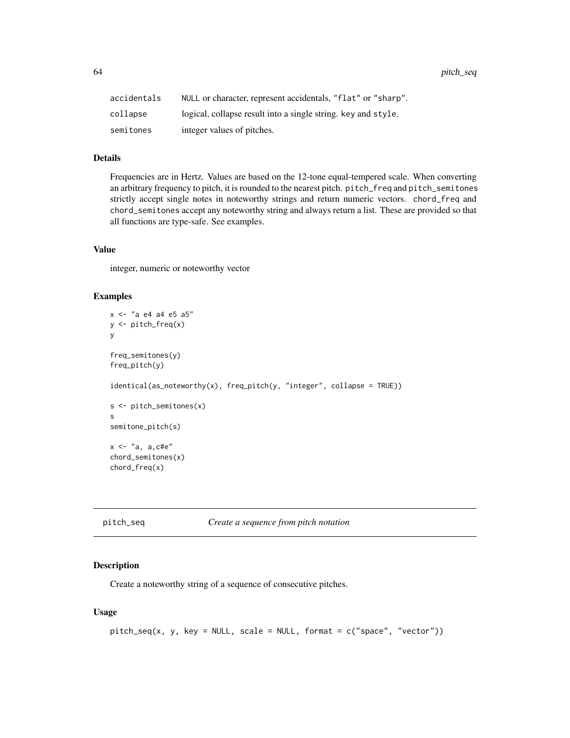64 pitch\_seq

| accidentals | NULL or character, represent accidentals, "flat" or "sharp".  |
|-------------|---------------------------------------------------------------|
| collapse    | logical, collapse result into a single string, key and style. |
| semitones   | integer values of pitches.                                    |

# Details

Frequencies are in Hertz. Values are based on the 12-tone equal-tempered scale. When converting an arbitrary frequency to pitch, it is rounded to the nearest pitch. pitch\_freq and pitch\_semitones strictly accept single notes in noteworthy strings and return numeric vectors. chord\_freq and chord\_semitones accept any noteworthy string and always return a list. These are provided so that all functions are type-safe. See examples.

# Value

integer, numeric or noteworthy vector

## Examples

```
x <- "a e4 a4 e5 a5"
y <- pitch_freq(x)
y
freq_semitones(y)
freq_pitch(y)
identical(as_noteworthy(x), freq_pitch(y, "integer", collapse = TRUE))
s <- pitch_semitones(x)
s
semitone_pitch(s)
x \leq - "a, a, cte"
chord_semitones(x)
chord_freq(x)
```
pitch\_seq *Create a sequence from pitch notation*

#### Description

Create a noteworthy string of a sequence of consecutive pitches.

## Usage

```
pitch\_seq(x, y, key = NULL, scale = NULL, format = c("space", "vector"))
```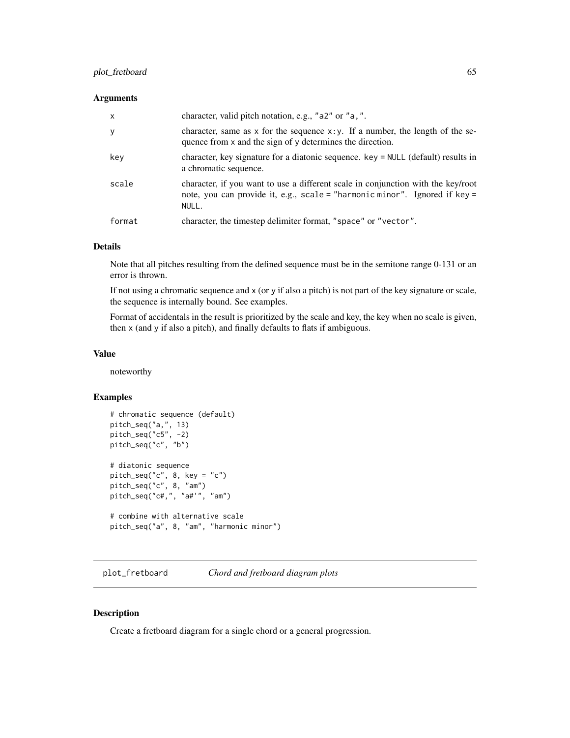# plot\_fretboard 65

# Arguments

| $\mathsf{x}$ | character, valid pitch notation, e.g., "a2" or "a, ".                                                                                                                   |
|--------------|-------------------------------------------------------------------------------------------------------------------------------------------------------------------------|
| y            | character, same as $x$ for the sequence $x : y$ . If a number, the length of the se-<br>quence from x and the sign of y determines the direction.                       |
| key          | character, key signature for a diatonic sequence. key = NULL (default) results in<br>a chromatic sequence.                                                              |
| scale        | character, if you want to use a different scale in conjunction with the key/root<br>note, you can provide it, e.g., scale = "harmonic minor". Ignored if key =<br>NULL. |
| format       | character, the timestep delimiter format, "space" or "vector".                                                                                                          |

## Details

Note that all pitches resulting from the defined sequence must be in the semitone range 0-131 or an error is thrown.

If not using a chromatic sequence and x (or y if also a pitch) is not part of the key signature or scale, the sequence is internally bound. See examples.

Format of accidentals in the result is prioritized by the scale and key, the key when no scale is given, then x (and y if also a pitch), and finally defaults to flats if ambiguous.

# Value

noteworthy

## Examples

```
# chromatic sequence (default)
pitch_seq("a,", 13)
pitch_seq("c5", -2)
pitch_seq("c", "b")
# diatonic sequence
pitch_seq("c", 8, key = "c")
pitch_seq("c", 8, "am")
pitch_seq("c#,", "a#'", "am")
# combine with alternative scale
pitch_seq("a", 8, "am", "harmonic minor")
```
plot\_fretboard *Chord and fretboard diagram plots*

# Description

Create a fretboard diagram for a single chord or a general progression.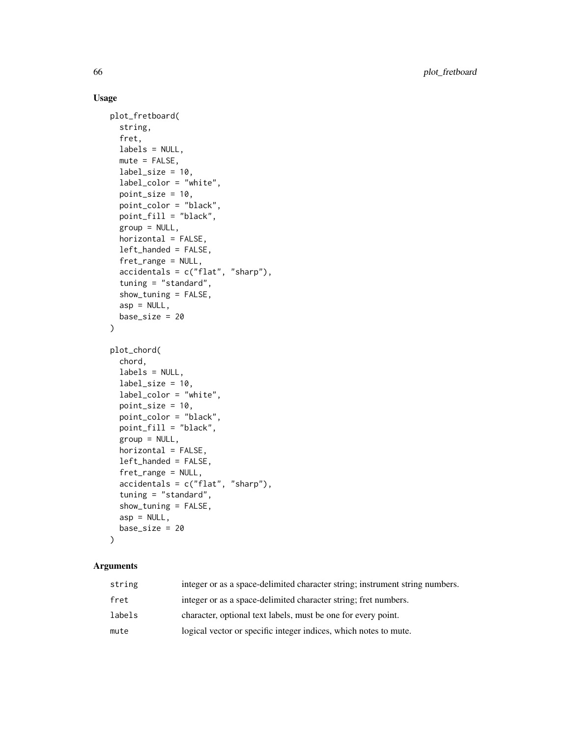# Usage

```
plot_fretboard(
  string,
  fret,
  labels = NULL,mute = FALSE,
  label\_size = 10,label_color = "white",
  point_size = 10,
 point_color = "black",
  point_fill = "black",
  group = NULL,horizontal = FALSE,left_handed = FALSE,
  fret_range = NULL,
  accidents = c("flat", "sharp"),tuning = "standard",
  show_tuning = FALSE,
  asp = NULL,base_size = 20
\mathcal{L}plot_chord(
  chord,
  labels = NULL,
  label\_size = 10,label_color = "white",
 point_size = 10,
 point_color = "black",
  point_fill = "black",
  group = NULL,horizontal = FALSE,
  left_handed = FALSE,
  fret_range = NULL,
  accidents = c("flat", "sharp"),tuning = "standard",
  show_tuning = FALSE,
  asp = NULL,base\_size = 20\mathcal{L}
```
## Arguments

| string | integer or as a space-delimited character string; instrument string numbers. |
|--------|------------------------------------------------------------------------------|
| fret   | integer or as a space-delimited character string; fret numbers.              |
| labels | character, optional text labels, must be one for every point.                |
| mute   | logical vector or specific integer indices, which notes to mute.             |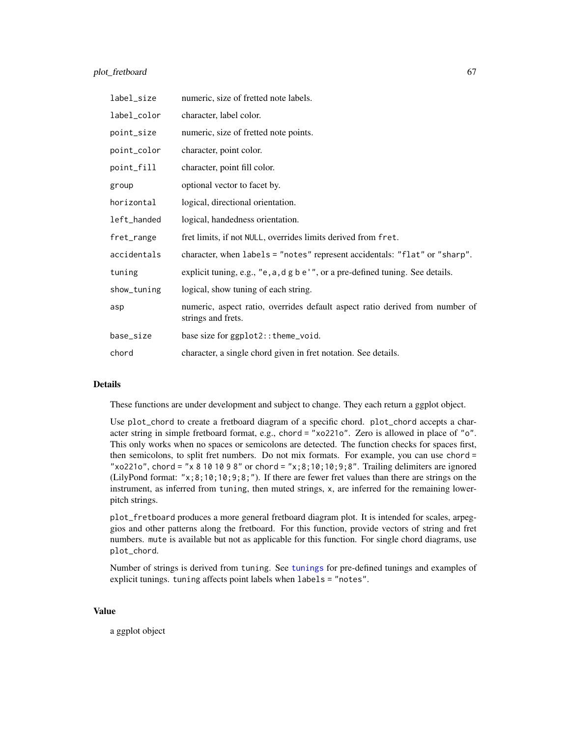| label_size  | numeric, size of fretted note labels.                                                              |
|-------------|----------------------------------------------------------------------------------------------------|
| label_color | character, label color.                                                                            |
| point_size  | numeric, size of fretted note points.                                                              |
| point_color | character, point color.                                                                            |
| point_fill  | character, point fill color.                                                                       |
| group       | optional vector to facet by.                                                                       |
| horizontal  | logical, directional orientation.                                                                  |
| left_handed | logical, handedness orientation.                                                                   |
| fret_range  | fret limits, if not NULL, overrides limits derived from fret.                                      |
| accidentals | character, when labels = "notes" represent accidentals: "flat" or "sharp".                         |
| tuning      | explicit tuning, e.g., "e, a, d g b e'", or a pre-defined tuning. See details.                     |
| show_tuning | logical, show tuning of each string.                                                               |
| asp         | numeric, aspect ratio, overrides default aspect ratio derived from number of<br>strings and frets. |
| base_size   | base size for ggplot2:: theme_void.                                                                |
| chord       | character, a single chord given in fret notation. See details.                                     |

## Details

These functions are under development and subject to change. They each return a ggplot object.

Use plot\_chord to create a fretboard diagram of a specific chord. plot\_chord accepts a character string in simple fretboard format, e.g., chord = "xo221o". Zero is allowed in place of "o". This only works when no spaces or semicolons are detected. The function checks for spaces first, then semicolons, to split fret numbers. Do not mix formats. For example, you can use chord = "xo221o", chord = "x 8 10 10 9 8" or chord = "x; 8; 10; 10; 9; 8". Trailing delimiters are ignored (LilyPond format: " $x; 8; 10; 10; 9; 8;$ "). If there are fewer fret values than there are strings on the instrument, as inferred from tuning, then muted strings, x, are inferred for the remaining lowerpitch strings.

plot\_fretboard produces a more general fretboard diagram plot. It is intended for scales, arpeggios and other patterns along the fretboard. For this function, provide vectors of string and fret numbers. mute is available but not as applicable for this function. For single chord diagrams, use plot\_chord.

Number of strings is derived from tuning. See [tunings](#page-112-0) for pre-defined tunings and examples of explicit tunings. tuning affects point labels when labels = "notes".

#### Value

a ggplot object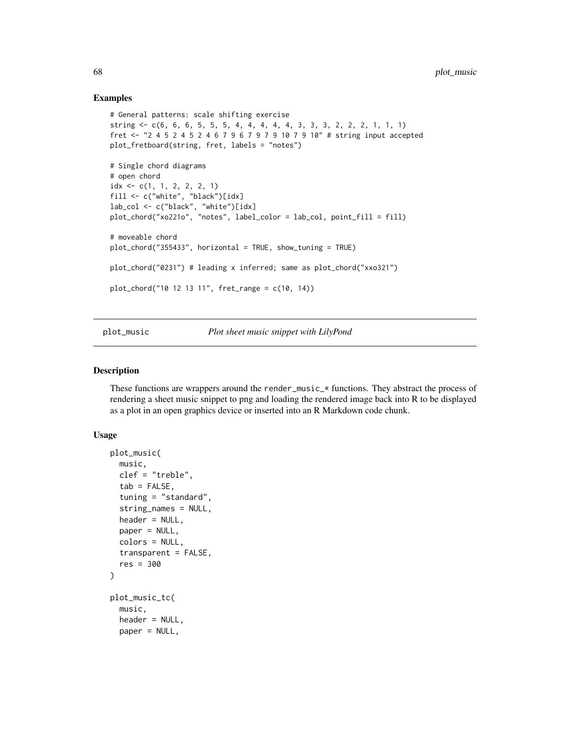## Examples

```
# General patterns: scale shifting exercise
string <- c(6, 6, 6, 5, 5, 5, 4, 4, 4, 4, 4, 3, 3, 3, 2, 2, 2, 1, 1, 1)
fret <- "2 4 5 2 4 5 2 4 6 7 9 6 7 9 7 9 10 7 9 10" # string input accepted
plot_fretboard(string, fret, labels = "notes")
# Single chord diagrams
# open chord
idx \leq c(1, 1, 2, 2, 2, 1)fill <- c("white", "black")[idx]
lab_col <- c("black", "white")[idx]
plot_chord("xo221o", "notes", label_color = lab_col, point_fill = fill)
# moveable chord
plot_chord("355433", horizontal = TRUE, show_tuning = TRUE)
plot_chord("0231") # leading x inferred; same as plot_chord("xxo321")
plot_chord("10 12 13 11", fret_range = c(10, 14))
```
plot\_music *Plot sheet music snippet with LilyPond*

## Description

These functions are wrappers around the render\_music\_ $*$  functions. They abstract the process of rendering a sheet music snippet to png and loading the rendered image back into R to be displayed as a plot in an open graphics device or inserted into an R Markdown code chunk.

## Usage

```
plot_music(
  music,
  clef = "treble",
  tab = FALSE,tuning = "standard",
  string_names = NULL,
  header = NULL,paper = NULL,
  colors = NULL,
  transparent = FALSE,
  res = 300
)
plot_music_tc(
  music,
  header = NULL,
  paper = NULL,
```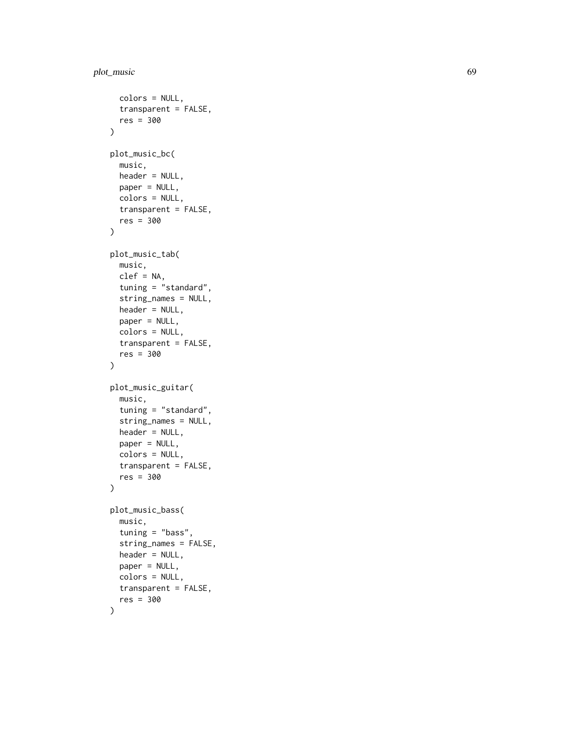```
colors = NULL,
  transparent = FALSE,
  res = 300
\mathcal{L}plot_music_bc(
 music,
 header = NULL,
 paper = NULL,
  colors = NULL,
  transparent = FALSE,
  res = 300
)
plot_music_tab(
  music,
 clef = NA,
  tuning = "standard",
  string_names = NULL,
  header = NULL,
 paper = NULL,
  colors = NULL,
  transparent = FALSE,
  res = 300
\mathcal{L}plot_music_guitar(
 music,
  tuning = "standard",
  string_names = NULL,
 header = NULL,paper = NULL,
  colors = NULL,
  transparent = FALSE,
  res = 300
\mathcal{L}plot_music_bass(
  music,
  tuning = "bass",
  string_names = FALSE,
  header = NULL,
  paper = NULL,
  colors = NULL,
  transparent = FALSE,
  res = 300
)
```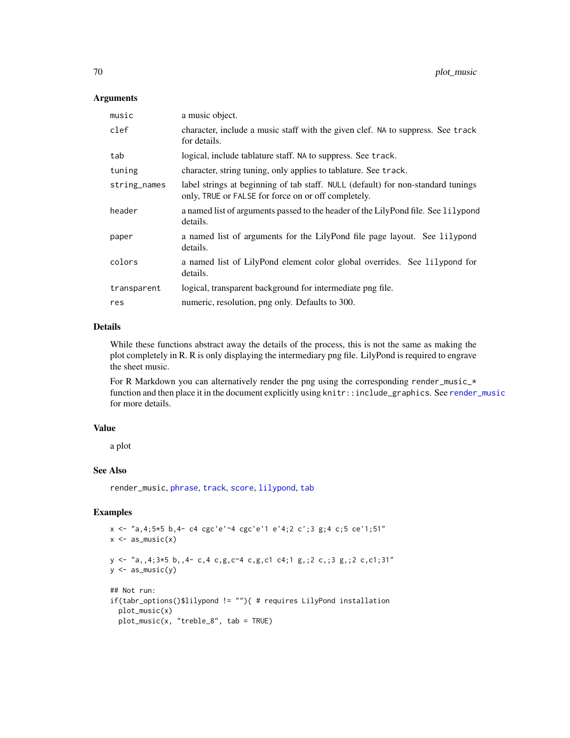## Arguments

| music        | a music object.                                                                                                                         |
|--------------|-----------------------------------------------------------------------------------------------------------------------------------------|
| clef         | character, include a music staff with the given clef. NA to suppress. See track<br>for details.                                         |
| tab          | logical, include tablature staff. NA to suppress. See track.                                                                            |
| tuning       | character, string tuning, only applies to tablature. See track.                                                                         |
| string_names | label strings at beginning of tab staff. NULL (default) for non-standard tunings<br>only, TRUE or FALSE for force on or off completely. |
| header       | a named list of arguments passed to the header of the LilyPond file. See lilypond<br>details.                                           |
| paper        | a named list of arguments for the LilyPond file page layout. See lilypond<br>details.                                                   |
| colors       | a named list of LilyPond element color global overrides. See lilypond for<br>details.                                                   |
| transparent  | logical, transparent background for intermediate png file.                                                                              |
| res          | numeric, resolution, png only. Defaults to 300.                                                                                         |

# Details

While these functions abstract away the details of the process, this is not the same as making the plot completely in R. R is only displaying the intermediary png file. LilyPond is required to engrave the sheet music.

For R Markdown you can alternatively render the png using the corresponding render\_music\_\* function and then place it in the document explicitly using knitr::include\_graphics. See [render\\_music](#page-74-0) for more details.

#### Value

a plot

#### See Also

render\_music, [phrase](#page-58-0), [track](#page-108-0), [score](#page-86-0), [lilypond](#page-28-0), [tab](#page-93-0)

```
x \le "a, 4; 5 \star 5 b, 4- c4 cgc'e'~4 cgc'e'1 e'4; 2 c'; 3 g; 4 c; 5 ce'1; 51"
x \leftarrow as_music(x)y \leftarrow "a, 4; 3*5 b, 4-c, 4c, g, c^4 c, g, c1 c4; 1 g, 2 c, 3 g, 2 c, c1; 31"y \leftarrow as_music(y)## Not run:
if(tabr_options()$lilypond != ""){ # requires LilyPond installation
  plot_music(x)
  plot_music(x, "treble_8", tab = TRUE)
```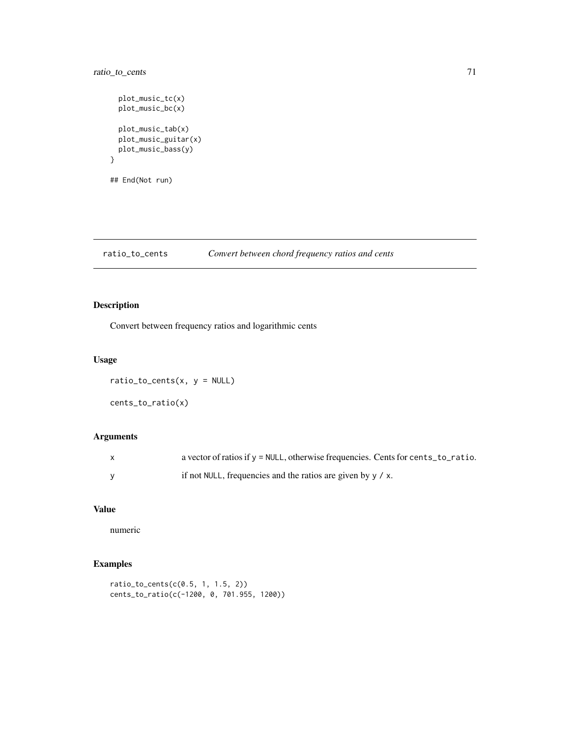# ratio\_to\_cents 71

}

```
plot_music_tc(x)
plot_music_bc(x)
plot_music_tab(x)
plot_music_guitar(x)
plot_music_bass(y)
```
## End(Not run)

ratio\_to\_cents *Convert between chord frequency ratios and cents*

# Description

Convert between frequency ratios and logarithmic cents

# Usage

```
ratio\_to\_cents(x, y = NULL)cents_to_ratio(x)
```
# Arguments

| a vector of ratios if $y = NULL$ , otherwise frequencies. Cents for cents to ratio. |
|-------------------------------------------------------------------------------------|
| if not NULL, frequencies and the ratios are given by $y / x$ .                      |

# Value

numeric

```
ratio_to_cents(c(0.5, 1, 1.5, 2))
cents_to_ratio(c(-1200, 0, 701.955, 1200))
```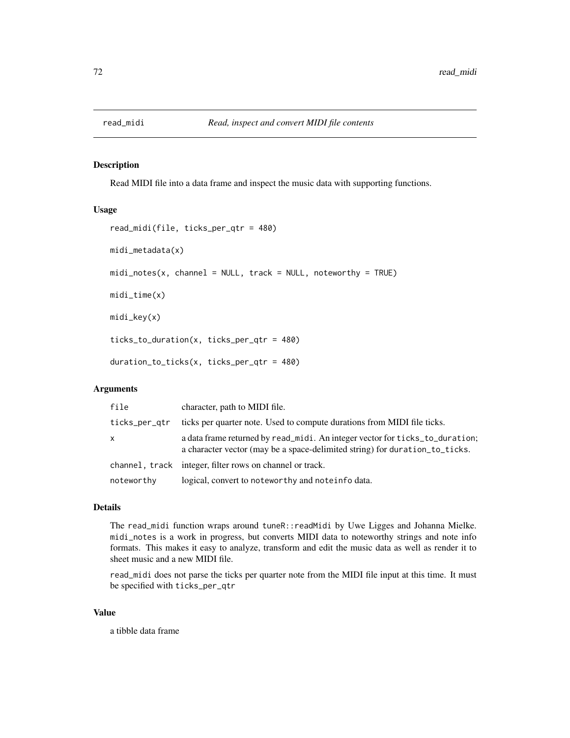# Description

Read MIDI file into a data frame and inspect the music data with supporting functions.

## Usage

```
read_midi(file, ticks_per_qtr = 480)
midi_metadata(x)
mid\_notes(x, channel = NULL, track = NULL, noteworthy = TRUE)midi_time(x)
midi_key(x)
ticks_to_duration(x, ticks_per_qtr = 480)
duration_to_ticks(x, ticks_per_qtr = 480)
```
# Arguments

| file          | character, path to MIDI file.                                                                                                                               |
|---------------|-------------------------------------------------------------------------------------------------------------------------------------------------------------|
| ticks_per_qtr | ticks per quarter note. Used to compute durations from MIDI file ticks.                                                                                     |
| X             | a data frame returned by read_midi. An integer vector for ticks_to_duration;<br>a character vector (may be a space-delimited string) for duration to ticks. |
|               | channel, track integer, filter rows on channel or track.                                                                                                    |
| noteworthy    | logical, convert to noteworthy and noteinfo data.                                                                                                           |

## Details

The read\_midi function wraps around tuneR::readMidi by Uwe Ligges and Johanna Mielke. midi\_notes is a work in progress, but converts MIDI data to noteworthy strings and note info formats. This makes it easy to analyze, transform and edit the music data as well as render it to sheet music and a new MIDI file.

read\_midi does not parse the ticks per quarter note from the MIDI file input at this time. It must be specified with ticks\_per\_qtr

#### Value

a tibble data frame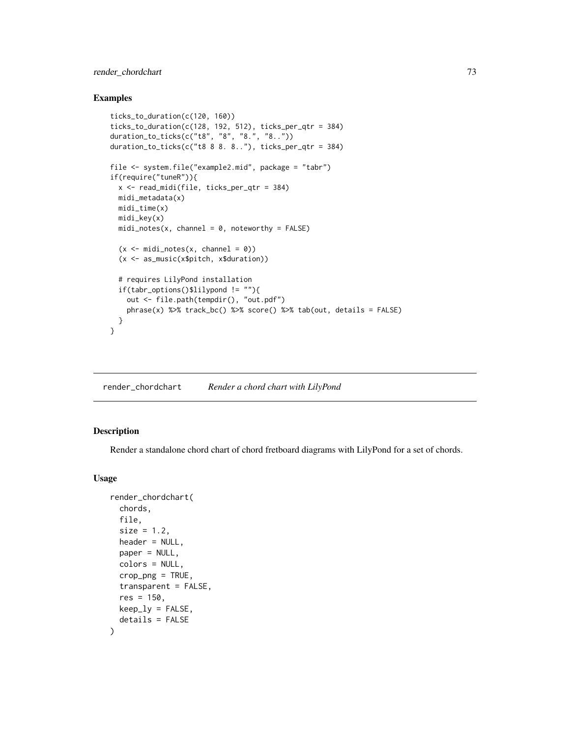# render\_chordchart 73

## Examples

```
ticks_to_duration(c(120, 160))
ticks_to_duration(c(128, 192, 512), ticks_per_qtr = 384)
duration_to_ticks(c("t8", "8", "8.", "8.."))
duration_to_ticks(c("t8 8 8. 8.."), ticks_per_qtr = 384)
file <- system.file("example2.mid", package = "tabr")
if(require("tuneR")){
 x <- read_midi(file, ticks_per_qtr = 384)
 midi_metadata(x)
 midi_time(x)
 midi_key(x)
 mid\_notes(x, channel = 0, noteworthy = FALSE)(x \leq - midi_notes(x, channel = 0))
 (x <- as_music(x$pitch, x$duration))
 # requires LilyPond installation
 if(tabr_options()$lilypond != ""){
   out <- file.path(tempdir(), "out.pdf")
   phrase(x) %>% track_bc() %>% score() %>% tab(out, details = FALSE)
 }
}
```
<span id="page-72-0"></span>render\_chordchart *Render a chord chart with LilyPond*

# Description

Render a standalone chord chart of chord fretboard diagrams with LilyPond for a set of chords.

```
render_chordchart(
  chords,
  file,
  size = 1.2,
 header = NULL,
 paper = NULL,
 colors = NULL,
  crop\_png = TRUE,
  transparent = FALSE,
  res = 150,
 keep\_ly = FALSE,details = FALSE
)
```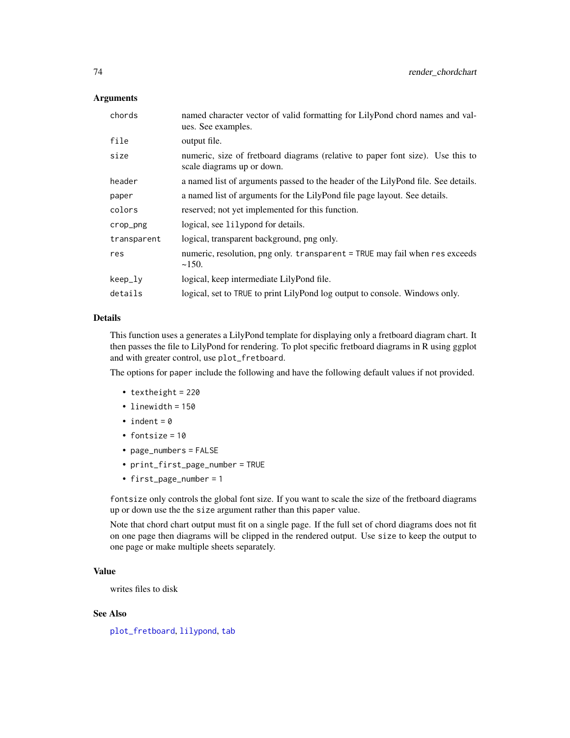## Arguments

| named character vector of valid formatting for LilyPond chord names and val-<br>ues. See examples.           |  |
|--------------------------------------------------------------------------------------------------------------|--|
| output file.                                                                                                 |  |
| numeric, size of fretboard diagrams (relative to paper font size). Use this to<br>scale diagrams up or down. |  |
| a named list of arguments passed to the header of the LilyPond file. See details.                            |  |
| a named list of arguments for the LilyPond file page layout. See details.                                    |  |
| reserved; not yet implemented for this function.                                                             |  |
| logical, see lilypond for details.                                                                           |  |
| logical, transparent background, png only.                                                                   |  |
| numeric, resolution, png only. transparent = TRUE may fail when res exceeds<br>~150.                         |  |
| logical, keep intermediate LilyPond file.                                                                    |  |
| logical, set to TRUE to print LilyPond log output to console. Windows only.                                  |  |
|                                                                                                              |  |

## Details

This function uses a generates a LilyPond template for displaying only a fretboard diagram chart. It then passes the file to LilyPond for rendering. To plot specific fretboard diagrams in R using ggplot and with greater control, use plot\_fretboard.

The options for paper include the following and have the following default values if not provided.

- textheight = 220
- linewidth = 150
- indent =  $0$
- fontsize = 10
- page\_numbers = FALSE
- print\_first\_page\_number = TRUE
- first\_page\_number = 1

fontsize only controls the global font size. If you want to scale the size of the fretboard diagrams up or down use the the size argument rather than this paper value.

Note that chord chart output must fit on a single page. If the full set of chord diagrams does not fit on one page then diagrams will be clipped in the rendered output. Use size to keep the output to one page or make multiple sheets separately.

# Value

writes files to disk

# See Also

[plot\\_fretboard](#page-64-0), [lilypond](#page-28-0), [tab](#page-93-0)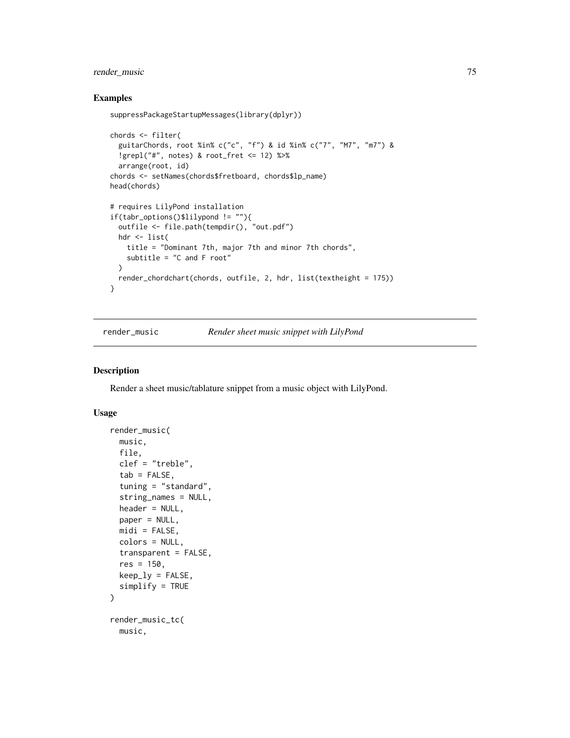## Examples

```
suppressPackageStartupMessages(library(dplyr))
chords <- filter(
  guitarChords, root %in% c("c", "f") & id %in% c("7", "M7", "m7") &
  !grepl("#", notes) & root_fret <= 12) %>%
  arrange(root, id)
chords <- setNames(chords$fretboard, chords$lp_name)
head(chords)
# requires LilyPond installation
if(tabr_options()$lilypond != ""){
  outfile <- file.path(tempdir(), "out.pdf")
 hdr <- list(
   title = "Dominant 7th, major 7th and minor 7th chords",
   subtitle = "C and F root"
  \lambdarender_chordchart(chords, outfile, 2, hdr, list(textheight = 175))
}
```
render\_music *Render sheet music snippet with LilyPond*

#### Description

Render a sheet music/tablature snippet from a music object with LilyPond.

```
render_music(
 music,
  file,
 clef = "treble",
  tab = FALSE,tuning = "standard",
  string_names = NULL,
 header = NULL,
 paper = NULL,
 mid = FALSE,
 colors = NULL,
  transparent = FALSE,
  res = 150,keep\_ly = FALSE,simplify = TRUE
)
render_music_tc(
 music,
```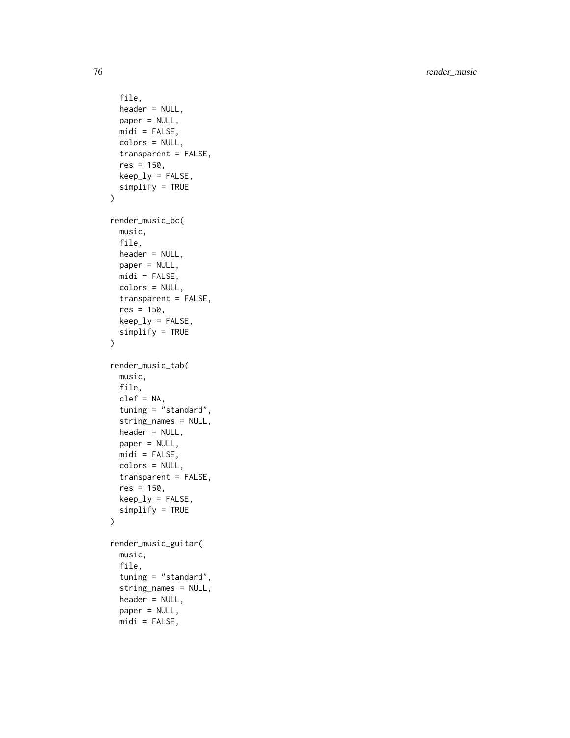```
file,
  header = NULL,
 paper = NULL,
 mid = FALSE,
  colors = NULL,
  transparent = FALSE,
  res = 150,keep_ly = FALSE,
  simplify = TRUE
\mathcal{L}render_music_bc(
 music,
 file,
 header = NULL,
 paper = NULL,
 midi = FALSE,
 colors = NULL,
 transparent = FALSE,
  res = 150,
 keep\_ly = FALSE,simplify = TRUE
\mathcal{L}render_music_tab(
 music,
 file,
  clef = NA,
  tuning = "standard",
  string_names = NULL,
 header = NULL,
 paper = NULL,
 mid = FALSE,
 colors = NULL,
  transparent = FALSE,
  res = 150,keep\_ly = FALSE,simplify = TRUE
)
render_music_guitar(
 music,
  file,
  tuning = "standard",
  string_names = NULL,
  header = NULL,
 paper = NULL,
```
 $mid$  = FALSE,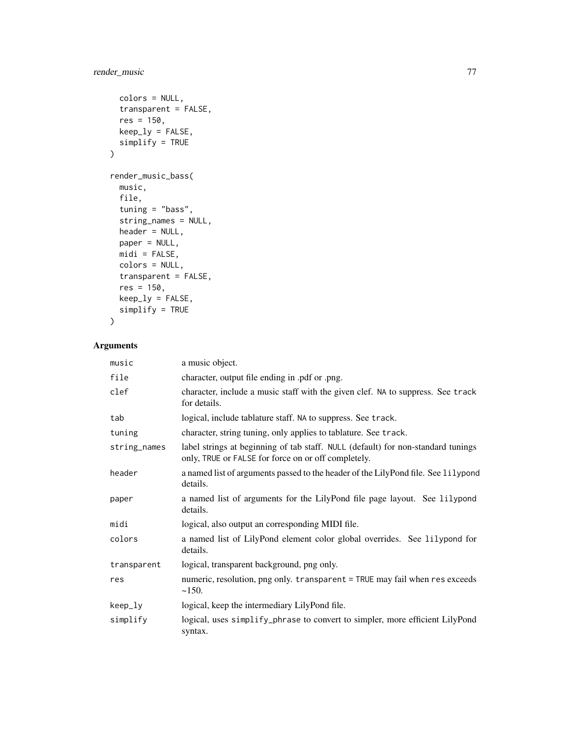```
colors = NULL,
  transparent = FALSE,
 res = 150,keep_ly = FALSE,
 simplify = TRUE
\mathcal{L}render_music_bass(
 music,
 file,
  tuning = "bass",
  string_names = NULL,
 header = NULL,
 paper = NULL,
 midi = FALSE,
 colors = NULL,
  transparent = FALSE,
 res = 150,keep_ly = FALSE,
 simplify = TRUE\mathcal{L}
```
# Arguments

| music        | a music object.                                                                                                                         |  |
|--------------|-----------------------------------------------------------------------------------------------------------------------------------------|--|
| file         | character, output file ending in .pdf or .png.                                                                                          |  |
| clef         | character, include a music staff with the given clef. NA to suppress. See track<br>for details.                                         |  |
| tab          | logical, include tablature staff. NA to suppress. See track.                                                                            |  |
| tuning       | character, string tuning, only applies to tablature. See track.                                                                         |  |
| string_names | label strings at beginning of tab staff. NULL (default) for non-standard tunings<br>only, TRUE or FALSE for force on or off completely. |  |
| header       | a named list of arguments passed to the header of the LilyPond file. See lilypond<br>details.                                           |  |
| paper        | a named list of arguments for the LilyPond file page layout. See lilypond<br>details.                                                   |  |
| midi         | logical, also output an corresponding MIDI file.                                                                                        |  |
| colors       | a named list of LilyPond element color global overrides. See lilypond for<br>details.                                                   |  |
| transparent  | logical, transparent background, png only.                                                                                              |  |
| res          | numeric, resolution, png only. transparent = TRUE may fail when res exceeds<br>~150.                                                    |  |
| keep_ly      | logical, keep the intermediary LilyPond file.                                                                                           |  |
| simplify     | logical, uses simplify_phrase to convert to simpler, more efficient LilyPond<br>syntax.                                                 |  |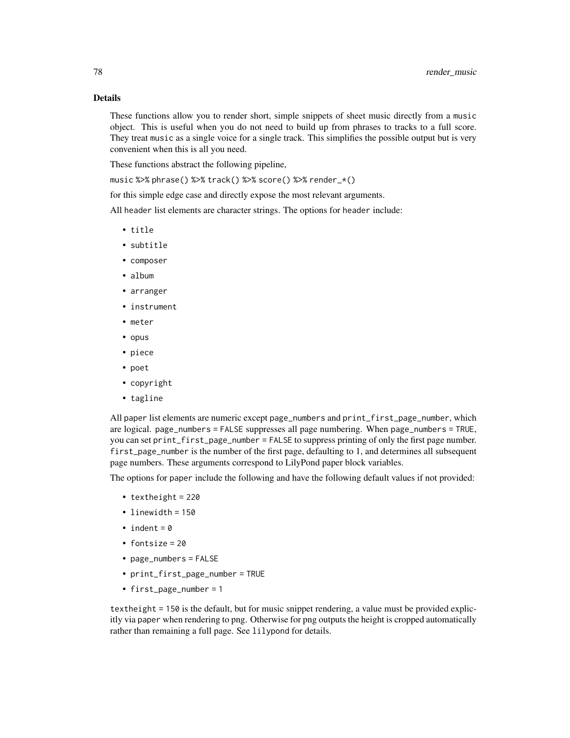# Details

These functions allow you to render short, simple snippets of sheet music directly from a music object. This is useful when you do not need to build up from phrases to tracks to a full score. They treat music as a single voice for a single track. This simplifies the possible output but is very convenient when this is all you need.

These functions abstract the following pipeline,

music %>% phrase() %>% track() %>% score() %>% render\_\*()

for this simple edge case and directly expose the most relevant arguments.

All header list elements are character strings. The options for header include:

- title
- subtitle
- composer
- album
- arranger
- instrument
- meter
- opus
- piece
- poet
- copyright
- tagline

All paper list elements are numeric except page\_numbers and print\_first\_page\_number, which are logical. page\_numbers = FALSE suppresses all page numbering. When page\_numbers = TRUE, you can set print\_first\_page\_number = FALSE to suppress printing of only the first page number. first\_page\_number is the number of the first page, defaulting to 1, and determines all subsequent page numbers. These arguments correspond to LilyPond paper block variables.

The options for paper include the following and have the following default values if not provided:

- textheight = 220
- linewidth = 150
- indent =  $0$
- fontsize = 20
- page\_numbers = FALSE
- print\_first\_page\_number = TRUE
- first\_page\_number = 1

textheight = 150 is the default, but for music snippet rendering, a value must be provided explicitly via paper when rendering to png. Otherwise for png outputs the height is cropped automatically rather than remaining a full page. See lilypond for details.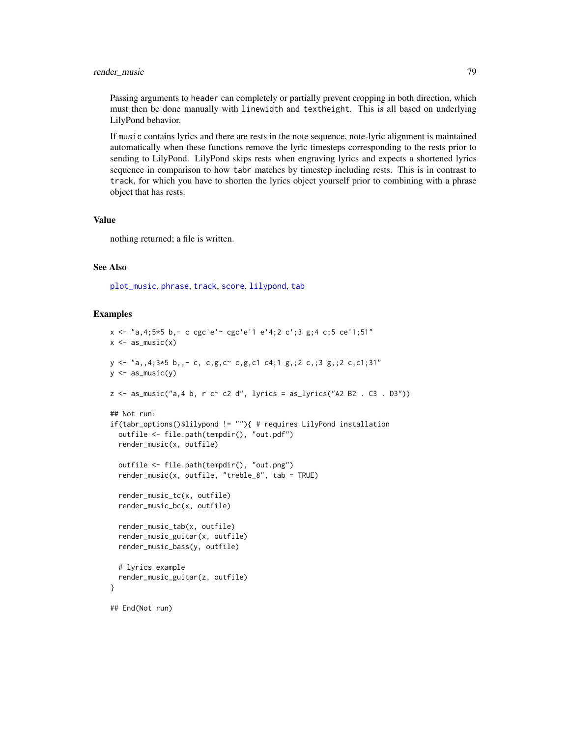Passing arguments to header can completely or partially prevent cropping in both direction, which must then be done manually with linewidth and textheight. This is all based on underlying LilyPond behavior.

If music contains lyrics and there are rests in the note sequence, note-lyric alignment is maintained automatically when these functions remove the lyric timesteps corresponding to the rests prior to sending to LilyPond. LilyPond skips rests when engraving lyrics and expects a shortened lyrics sequence in comparison to how tabr matches by timestep including rests. This is in contrast to track, for which you have to shorten the lyrics object yourself prior to combining with a phrase object that has rests.

## Value

nothing returned; a file is written.

## See Also

[plot\\_music](#page-67-0), [phrase](#page-58-0), [track](#page-108-0), [score](#page-86-0), [lilypond](#page-28-0), [tab](#page-93-0)

```
x <- "a,4;5*5 b,- c cgc'e'~ cgc'e'1 e'4;2 c';3 g;4 c;5 ce'1;51"
x \leftarrow as\_music(x)y <- "a,,4;3*5 b,,- c, c,g,c~ c,g,c1 c4;1 g,;2 c,;3 g,;2 c,c1;31"
y \leftarrow as_music(y)z \leq - as_music("a, 4 b, r c\sim c2 d", lyrics = as_lyrics("A2 B2 . C3 . D3"))
## Not run:
if(tabr_options()$lilypond != ""){ # requires LilyPond installation
  outfile <- file.path(tempdir(), "out.pdf")
  render_music(x, outfile)
  outfile <- file.path(tempdir(), "out.png")
  render_music(x, outfile, "treble_8", tab = TRUE)
  render_music_tc(x, outfile)
  render_music_bc(x, outfile)
  render_music_tab(x, outfile)
  render_music_guitar(x, outfile)
  render_music_bass(y, outfile)
  # lyrics example
  render_music_guitar(z, outfile)
}
## End(Not run)
```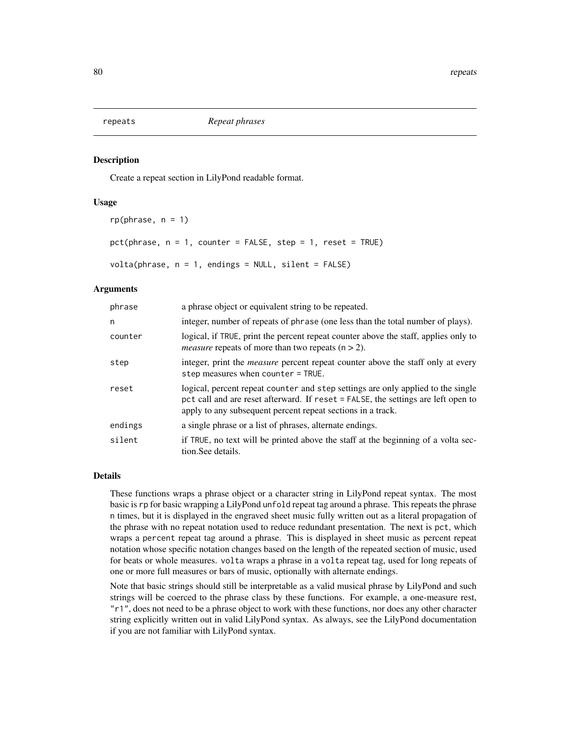Create a repeat section in LilyPond readable format.

## Usage

```
rp(\text{phrase}, n = 1)pct(phrase, n = 1, counter = FALSE, step = 1, reset = TRUE)volta(phrase, n = 1, endings = NULL, silent = FALSE)
```
## Arguments

| phrase  | a phrase object or equivalent string to be repeated.                                                                                                                                                                                 |  |
|---------|--------------------------------------------------------------------------------------------------------------------------------------------------------------------------------------------------------------------------------------|--|
| n       | integer, number of repeats of phrase (one less than the total number of plays).                                                                                                                                                      |  |
| counter | logical, if TRUE, print the percent repeat counter above the staff, applies only to<br><i>measure</i> repeats of more than two repeats $(n > 2)$ .                                                                                   |  |
| step    | integer, print the <i>measure</i> percent repeat counter above the staff only at every<br>step measures when counter $=$ TRUE.                                                                                                       |  |
| reset   | logical, percent repeat counter and step settings are only applied to the single<br>pct call and are reset afterward. If reset = FALSE, the settings are left open to<br>apply to any subsequent percent repeat sections in a track. |  |
| endings | a single phrase or a list of phrases, alternate endings.                                                                                                                                                                             |  |
| silent  | if TRUE, no text will be printed above the staff at the beginning of a volta sec-<br>tion. See details.                                                                                                                              |  |

# Details

These functions wraps a phrase object or a character string in LilyPond repeat syntax. The most basic is rp for basic wrapping a LilyPond unfold repeat tag around a phrase. This repeats the phrase n times, but it is displayed in the engraved sheet music fully written out as a literal propagation of the phrase with no repeat notation used to reduce redundant presentation. The next is pct, which wraps a percent repeat tag around a phrase. This is displayed in sheet music as percent repeat notation whose specific notation changes based on the length of the repeated section of music, used for beats or whole measures. volta wraps a phrase in a volta repeat tag, used for long repeats of one or more full measures or bars of music, optionally with alternate endings.

Note that basic strings should still be interpretable as a valid musical phrase by LilyPond and such strings will be coerced to the phrase class by these functions. For example, a one-measure rest, "r1", does not need to be a phrase object to work with these functions, nor does any other character string explicitly written out in valid LilyPond syntax. As always, see the LilyPond documentation if you are not familiar with LilyPond syntax.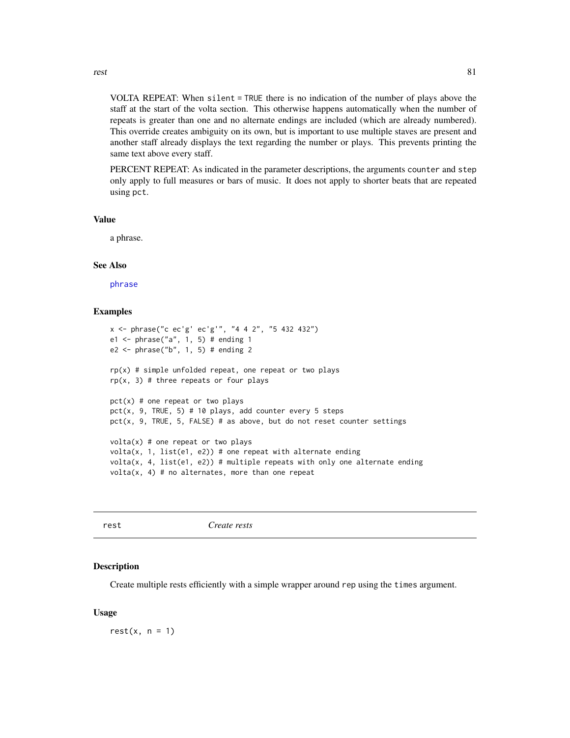rest 81

VOLTA REPEAT: When silent = TRUE there is no indication of the number of plays above the staff at the start of the volta section. This otherwise happens automatically when the number of repeats is greater than one and no alternate endings are included (which are already numbered). This override creates ambiguity on its own, but is important to use multiple staves are present and another staff already displays the text regarding the number or plays. This prevents printing the same text above every staff.

PERCENT REPEAT: As indicated in the parameter descriptions, the arguments counter and step only apply to full measures or bars of music. It does not apply to shorter beats that are repeated using pct.

## Value

a phrase.

## See Also

[phrase](#page-58-0)

## Examples

```
x <- phrase("c ec'g' ec'g'", "4 4 2", "5 432 432")
e1 <- phrase("a", 1, 5) # ending 1
e2 \le - phrase("b", 1, 5) # ending 2
rp(x) # simple unfolded repeat, one repeat or two plays
rp(x, 3) # three repeats or four plays
pct(x) # one repeat or two plays
pct(x, 9, TRUE, 5) # 10 plays, add counter every 5 steps
pct(x, 9, TRUE, 5, FALSE) # as above, but do not reset counter settings
volta(x) # one repeat or two plays
volta(x, 1, list(e1, e2)) # one repeat with alternate ending
volta(x, 4, list(e1, e2)) # multiple repeats with only one alternate ending
volta(x, 4) # no alternates, more than one repeat
```
## Description

Create multiple rests efficiently with a simple wrapper around rep using the times argument.

## Usage

 $rest(x, n = 1)$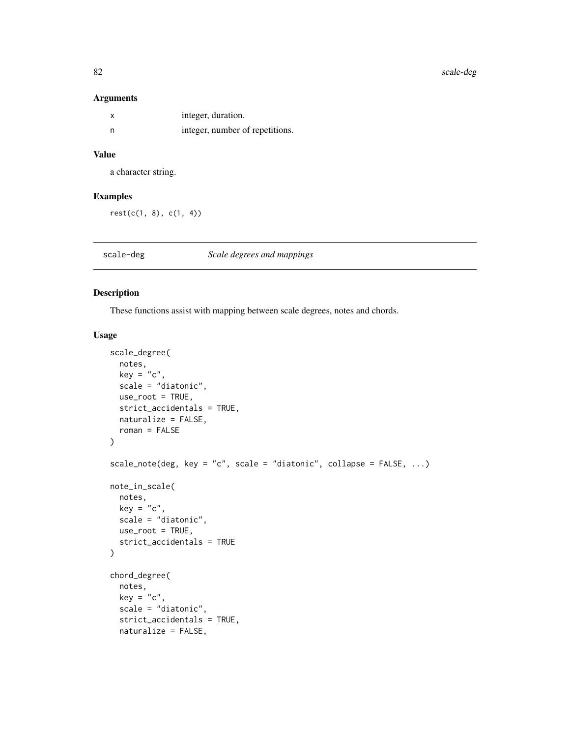## Arguments

| integer, duration.              |
|---------------------------------|
| integer, number of repetitions. |

# Value

a character string.

## Examples

rest(c(1, 8), c(1, 4))

scale-deg *Scale degrees and mappings*

## Description

These functions assist with mapping between scale degrees, notes and chords.

```
scale_degree(
  notes,
 key = "c",scale = "diatonic",
 use_root = TRUE,
  strict_accidentals = TRUE,
 naturalize = FALSE,
  roman = FALSE
\mathcal{L}scale_note(deg, key = "c", scale = "diatonic", collapse = FALSE, ...)
note_in_scale(
 notes,
 key = "c",scale = "diatonic",
 use-root = TRUE,strict_accidentals = TRUE
)
chord_degree(
 notes,
 key = "c",scale = "diatonic",
  strict_accidentals = TRUE,
  naturalize = FALSE,
```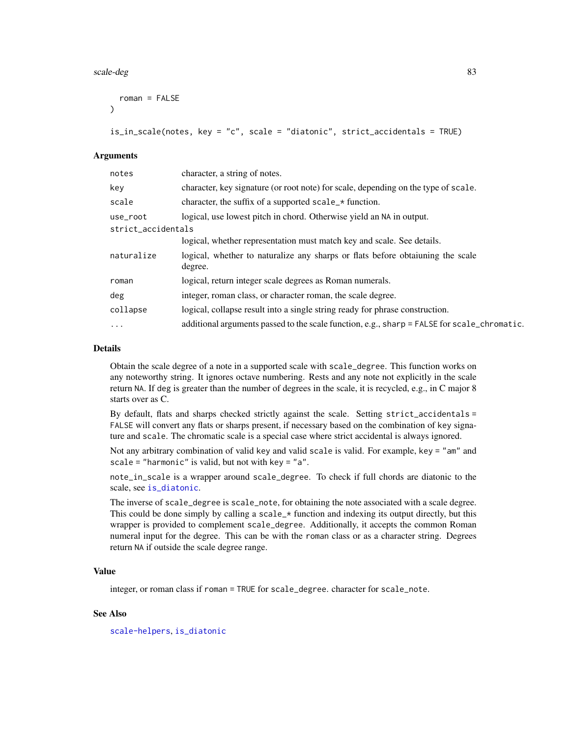#### scale-deg 83

```
roman = FALSE
\lambdais_in_scale(notes, key = "c", scale = "diatonic", strict_accidentals = TRUE)
```
#### **Arguments**

| character, a string of notes.                                                               |  |
|---------------------------------------------------------------------------------------------|--|
| character, key signature (or root note) for scale, depending on the type of scale.          |  |
| character, the suffix of a supported scale_* function.                                      |  |
| logical, use lowest pitch in chord. Otherwise yield an NA in output.                        |  |
| strict_accidentals                                                                          |  |
| logical, whether representation must match key and scale. See details.                      |  |
| logical, whether to naturalize any sharps or flats before obtaining the scale<br>degree.    |  |
| logical, return integer scale degrees as Roman numerals.                                    |  |
| integer, roman class, or character roman, the scale degree.                                 |  |
| logical, collapse result into a single string ready for phrase construction.                |  |
| additional arguments passed to the scale function, e.g., sharp = FALSE for scale_chromatic. |  |
|                                                                                             |  |

#### Details

Obtain the scale degree of a note in a supported scale with scale\_degree. This function works on any noteworthy string. It ignores octave numbering. Rests and any note not explicitly in the scale return NA. If deg is greater than the number of degrees in the scale, it is recycled, e.g., in C major 8 starts over as C.

By default, flats and sharps checked strictly against the scale. Setting strict\_accidentals = FALSE will convert any flats or sharps present, if necessary based on the combination of key signature and scale. The chromatic scale is a special case where strict accidental is always ignored.

Not any arbitrary combination of valid key and valid scale is valid. For example, key = "am" and scale = "harmonic" is valid, but not with key =  $"a"$ .

note\_in\_scale is a wrapper around scale\_degree. To check if full chords are diatonic to the scale, see [is\\_diatonic](#page-26-0).

The inverse of scale\_degree is scale\_note, for obtaining the note associated with a scale degree. This could be done simply by calling a scale\_ $\star$  function and indexing its output directly, but this wrapper is provided to complement scale\_degree. Additionally, it accepts the common Roman numeral input for the degree. This can be with the roman class or as a character string. Degrees return NA if outside the scale degree range.

## Value

integer, or roman class if roman = TRUE for scale\_degree. character for scale\_note.

## See Also

[scale-helpers](#page-83-0), [is\\_diatonic](#page-26-0)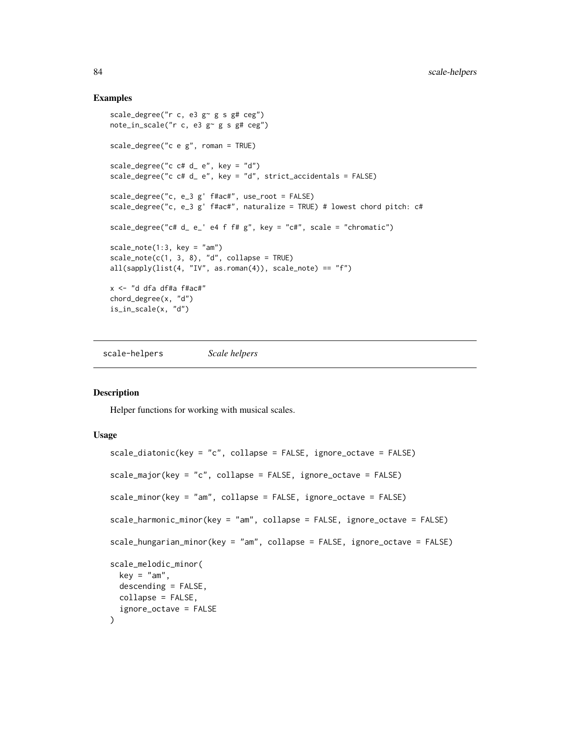#### Examples

```
scale_degree("r c, e3 g~ g s g# ceg")
note_in_scale("r c, e3 g~ g s g# ceg")
scale_degree("c e g", roman = TRUE)
scale_degree("c ct d_ e", key = "d")
scale_degree("c c# d_ e", key = "d", strict_accidentals = FALSE)
scale_degree("c, e_3 g' f#ac#", use_root = FALSE)
scale_degree("c, e_3 g' f#ac#", naturalize = TRUE) # lowest chord pitch: c#
scale_degree("c# d_ e_' e4 f f# g", key = "c#", scale = "chromatic")
scale_note(1:3, key = "am")
scale\_note(c(1, 3, 8), "d", collapse = TRUE)all(sapply(list(4, "IV", as.roman(4)), scale\_note) == "f")x <- "d dfa df#a f#ac#"
chord_degree(x, "d")
is_in_scale(x, "d")
```
<span id="page-83-0"></span>scale-helpers *Scale helpers*

#### Description

Helper functions for working with musical scales.

```
scale_diatonic(key = "c", collapse = FALSE, ignore_octave = FALSE)
scale_major(key = "c", collapse = FALSE, ignore_octave = FALSE)
scale_minor(key = "am", collapse = FALSE, ignore_octave = FALSE)
scale_harmonic_minor(key = "am", collapse = FALSE, ignore_octave = FALSE)
scale_hungarian_minor(key = "am", collapse = FALSE, ignore_octave = FALSE)
scale_melodic_minor(
 key = "am".descending = FALSE,
 collapse = FALSE,
  ignore_octave = FALSE
\lambda
```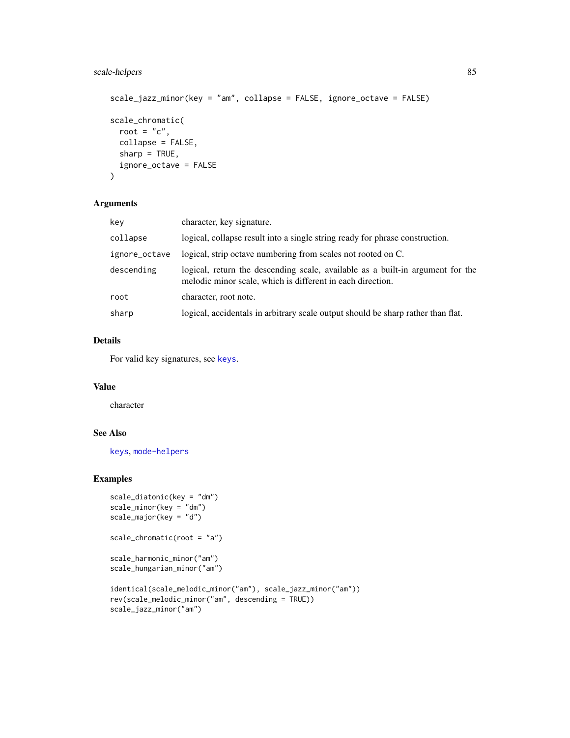# scale-helpers 85

```
scale_jazz_minor(key = "am", collapse = FALSE, ignore_octave = FALSE)
scale_chromatic(
 root = "c",collapse = FALSE,
 sharp = TRUE,ignore_octave = FALSE
\mathcal{L}
```
## Arguments

| key           | character, key signature.                                                                                                                    |  |
|---------------|----------------------------------------------------------------------------------------------------------------------------------------------|--|
| collapse      | logical, collapse result into a single string ready for phrase construction.                                                                 |  |
| ignore_octave | logical, strip octave numbering from scales not rooted on C.                                                                                 |  |
| descending    | logical, return the descending scale, available as a built-in argument for the<br>melodic minor scale, which is different in each direction. |  |
| root          | character, root note.                                                                                                                        |  |
| sharp         | logical, accidentals in arbitrary scale output should be sharp rather than flat.                                                             |  |

# Details

For valid key signatures, see [keys](#page-27-0).

## Value

character

# See Also

[keys](#page-27-0), [mode-helpers](#page-37-0)

```
scale_diatonic(key = "dm")
scale_minor(key = "dm")
scale_major(key = "d")
```

```
scale_chromatic(root = "a")
```

```
scale_harmonic_minor("am")
scale_hungarian_minor("am")
```

```
identical(scale_melodic_minor("am"), scale_jazz_minor("am"))
rev(scale_melodic_minor("am", descending = TRUE))
scale_jazz_minor("am")
```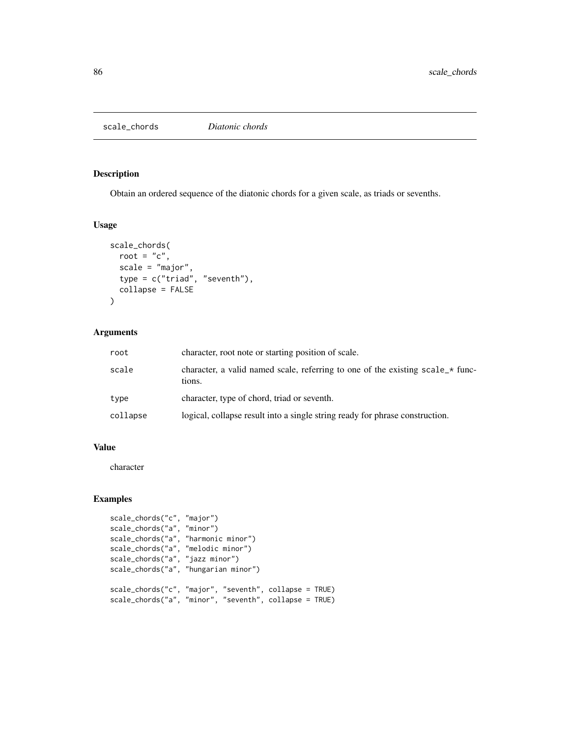Obtain an ordered sequence of the diatonic chords for a given scale, as triads or sevenths.

## Usage

```
scale_chords(
  root = "c",scale = "major",
  type = c("triad", "seventh"),
  collapse = FALSE
)
```
# Arguments

| root     | character, root note or starting position of scale.                                      |
|----------|------------------------------------------------------------------------------------------|
| scale    | character, a valid named scale, referring to one of the existing scale_* func-<br>tions. |
| type     | character, type of chord, triad or seventh.                                              |
| collapse | logical, collapse result into a single string ready for phrase construction.             |

# Value

character

```
scale_chords("c", "major")
scale_chords("a", "minor")
scale_chords("a", "harmonic minor")
scale_chords("a", "melodic minor")
scale_chords("a", "jazz minor")
scale_chords("a", "hungarian minor")
scale_chords("c", "major", "seventh", collapse = TRUE)
scale_chords("a", "minor", "seventh", collapse = TRUE)
```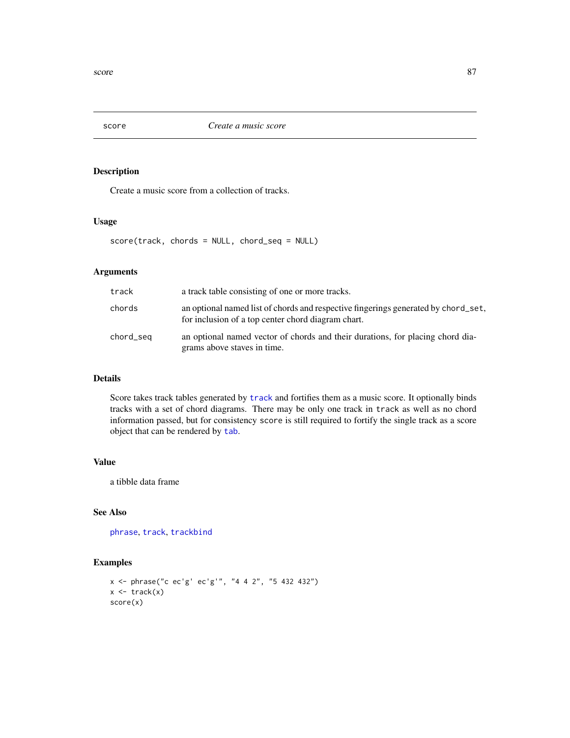<span id="page-86-0"></span>

Create a music score from a collection of tracks.

## Usage

score(track, chords = NULL, chord\_seq = NULL)

# Arguments

| track     | a track table consisting of one or more tracks.                                                                                          |  |
|-----------|------------------------------------------------------------------------------------------------------------------------------------------|--|
| chords    | an optional named list of chords and respective fingerings generated by chord_set,<br>for inclusion of a top center chord diagram chart. |  |
| chord_seq | an optional named vector of chords and their durations, for placing chord dia-<br>grams above staves in time.                            |  |

## Details

Score takes track tables generated by [track](#page-108-0) and fortifies them as a music score. It optionally binds tracks with a set of chord diagrams. There may be only one track in track as well as no chord information passed, but for consistency score is still required to fortify the single track as a score object that can be rendered by [tab](#page-93-0).

## Value

a tibble data frame

# See Also

[phrase](#page-58-0), [track](#page-108-0), [trackbind](#page-110-0)

```
x <- phrase("c ec'g' ec'g'", "4 4 2", "5 432 432")
x \leftarrow \text{track}(x)score(x)
```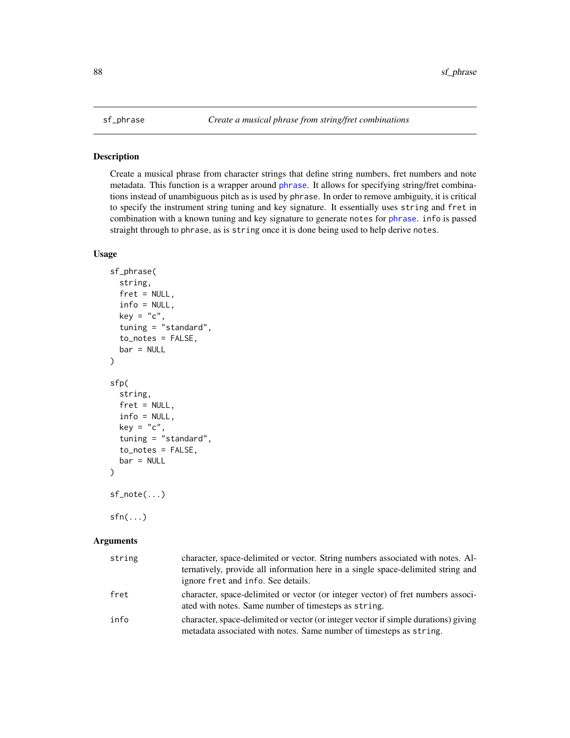Create a musical phrase from character strings that define string numbers, fret numbers and note metadata. This function is a wrapper around [phrase](#page-58-0). It allows for specifying string/fret combinations instead of unambiguous pitch as is used by phrase. In order to remove ambiguity, it is critical to specify the instrument string tuning and key signature. It essentially uses string and fret in combination with a known tuning and key signature to generate notes for [phrase](#page-58-0). info is passed straight through to phrase, as is string once it is done being used to help derive notes.

## Usage

```
sf_phrase(
  string,
  fret = NULL,info = NULL,
 key = "c",tuning = "standard",
  to_notes = FALSE,
 bar = NULL)
sfp(
  string,
  fret = NULL,
  info = NULL,
 key = "c",tuning = "standard",
  to_notes = FALSE,
 bar = NULL
)
sf_note(...)
sfn(...)
```
#### Arguments

| string | character, space-delimited or vector. String numbers associated with notes. Al-<br>ternatively, provide all information here in a single space-delimited string and<br>ignore fret and info. See details. |
|--------|-----------------------------------------------------------------------------------------------------------------------------------------------------------------------------------------------------------|
| fret   | character, space-delimited or vector (or integer vector) of fret numbers associ-<br>ated with notes. Same number of timesteps as string.                                                                  |
| info   | character, space-delimited or vector (or integer vector if simple durations) giving<br>metadata associated with notes. Same number of timesteps as string.                                                |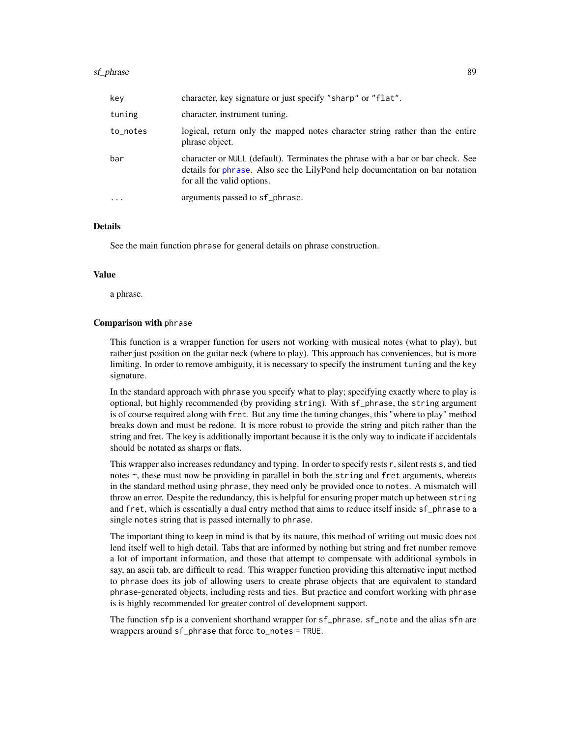| key      | character, key signature or just specify "sharp" or "flat".                                                                                                                                   |  |
|----------|-----------------------------------------------------------------------------------------------------------------------------------------------------------------------------------------------|--|
| tuning   | character, instrument tuning.                                                                                                                                                                 |  |
| to_notes | logical, return only the mapped notes character string rather than the entire<br>phrase object.                                                                                               |  |
| bar      | character or NULL (default). Terminates the phrase with a bar or bar check. See<br>details for phrase. Also see the LilyPond help documentation on bar notation<br>for all the valid options. |  |
| .        | arguments passed to sf_phrase.                                                                                                                                                                |  |

# Details

See the main function phrase for general details on phrase construction.

#### Value

a phrase.

#### Comparison with phrase

This function is a wrapper function for users not working with musical notes (what to play), but rather just position on the guitar neck (where to play). This approach has conveniences, but is more limiting. In order to remove ambiguity, it is necessary to specify the instrument tuning and the key signature.

In the standard approach with phrase you specify what to play; specifying exactly where to play is optional, but highly recommended (by providing string). With sf\_phrase, the string argument is of course required along with fret. But any time the tuning changes, this "where to play" method breaks down and must be redone. It is more robust to provide the string and pitch rather than the string and fret. The key is additionally important because it is the only way to indicate if accidentals should be notated as sharps or flats.

This wrapper also increases redundancy and typing. In order to specify rests r, silent rests s, and tied notes ~, these must now be providing in parallel in both the string and fret arguments, whereas in the standard method using phrase, they need only be provided once to notes. A mismatch will throw an error. Despite the redundancy, this is helpful for ensuring proper match up between string and fret, which is essentially a dual entry method that aims to reduce itself inside sf\_phrase to a single notes string that is passed internally to phrase.

The important thing to keep in mind is that by its nature, this method of writing out music does not lend itself well to high detail. Tabs that are informed by nothing but string and fret number remove a lot of important information, and those that attempt to compensate with additional symbols in say, an ascii tab, are difficult to read. This wrapper function providing this alternative input method to phrase does its job of allowing users to create phrase objects that are equivalent to standard phrase-generated objects, including rests and ties. But practice and comfort working with phrase is is highly recommended for greater control of development support.

The function sfp is a convenient shorthand wrapper for sf\_phrase. sf\_note and the alias sfn are wrappers around sf\_phrase that force to\_notes = TRUE.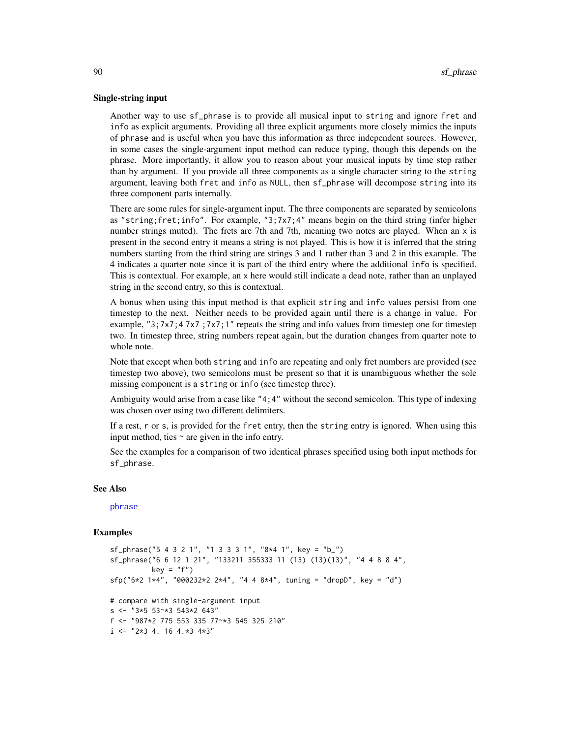#### Single-string input

Another way to use sf\_phrase is to provide all musical input to string and ignore fret and info as explicit arguments. Providing all three explicit arguments more closely mimics the inputs of phrase and is useful when you have this information as three independent sources. However, in some cases the single-argument input method can reduce typing, though this depends on the phrase. More importantly, it allow you to reason about your musical inputs by time step rather than by argument. If you provide all three components as a single character string to the string argument, leaving both fret and info as NULL, then sf\_phrase will decompose string into its three component parts internally.

There are some rules for single-argument input. The three components are separated by semicolons as "string;fret;info". For example, "3;7x7;4" means begin on the third string (infer higher number strings muted). The frets are 7th and 7th, meaning two notes are played. When an x is present in the second entry it means a string is not played. This is how it is inferred that the string numbers starting from the third string are strings 3 and 1 rather than 3 and 2 in this example. The 4 indicates a quarter note since it is part of the third entry where the additional info is specified. This is contextual. For example, an x here would still indicate a dead note, rather than an unplayed string in the second entry, so this is contextual.

A bonus when using this input method is that explicit string and info values persist from one timestep to the next. Neither needs to be provided again until there is a change in value. For example, " $3$ ; $7x7$ ; $47x7$ ; $7x7$ ; $1''$  repeats the string and info values from timestep one for timestep two. In timestep three, string numbers repeat again, but the duration changes from quarter note to whole note.

Note that except when both string and info are repeating and only fret numbers are provided (see timestep two above), two semicolons must be present so that it is unambiguous whether the sole missing component is a string or info (see timestep three).

Ambiguity would arise from a case like "4;4" without the second semicolon. This type of indexing was chosen over using two different delimiters.

If a rest, r or s, is provided for the fret entry, then the string entry is ignored. When using this input method, ties  $\sim$  are given in the info entry.

See the examples for a comparison of two identical phrases specified using both input methods for sf\_phrase.

## See Also

## [phrase](#page-58-0)

```
sf_phrase("5 4 3 2 1", "1 3 3 3 1", "8*4 1", key = "b_")
sf_phrase("6 6 12 1 21", "133211 355333 11 (13) (13)(13)", "4 4 8 8 4",
          key = "f")sfp("6*2 1*4", "000232*2 2*4", "4 4 8*4", tuning = "dropD", key = "d")# compare with single-argument input
s \leq - "3*5 53~*3 543*2 643"
f <- "987*2 775 553 335 77~*3 545 325 210"
i \leq - "2*3 4. 16 4.*3 4*3"
```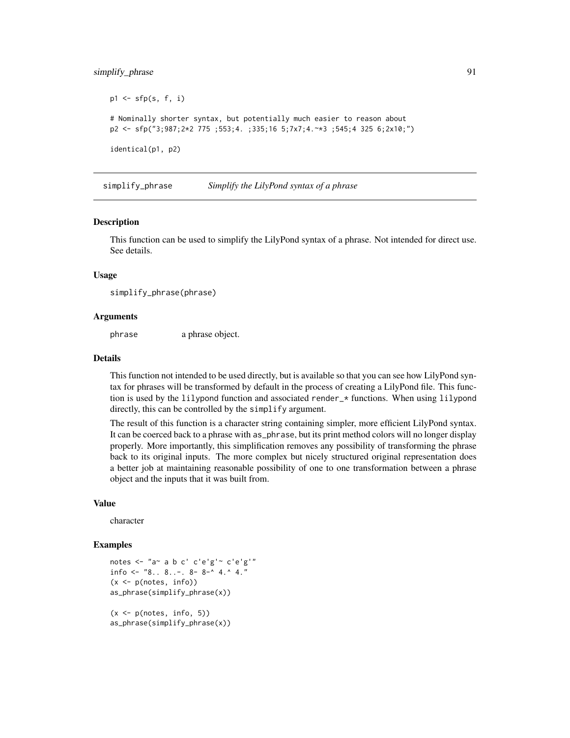# simplify\_phrase 91

```
p1 \leftarrow sfp(s, f, i)# Nominally shorter syntax, but potentially much easier to reason about
p2 <- sfp("3;987;2*2 775 ;553;4. ;335;16 5;7x7;4.~*3 ;545;4 325 6;2x10;")
identical(p1, p2)
```
simplify\_phrase *Simplify the LilyPond syntax of a phrase*

#### **Description**

This function can be used to simplify the LilyPond syntax of a phrase. Not intended for direct use. See details.

#### Usage

simplify\_phrase(phrase)

## Arguments

phrase a phrase object.

## Details

This function not intended to be used directly, but is available so that you can see how LilyPond syntax for phrases will be transformed by default in the process of creating a LilyPond file. This function is used by the lilypond function and associated render\_\* functions. When using lilypond directly, this can be controlled by the simplify argument.

The result of this function is a character string containing simpler, more efficient LilyPond syntax. It can be coerced back to a phrase with as\_phrase, but its print method colors will no longer display properly. More importantly, this simplification removes any possibility of transforming the phrase back to its original inputs. The more complex but nicely structured original representation does a better job at maintaining reasonable possibility of one to one transformation between a phrase object and the inputs that it was built from.

#### Value

character

```
notes <- "a~ a b c' c'e'g'~ c'e'g'"
info <- "8.. 8..-. 8- 8-^4 4.^4."(x < -p(\notimes, info))as_phrase(simplify_phrase(x))
(x < -p(notes, info, 5))
as_phrase(simplify_phrase(x))
```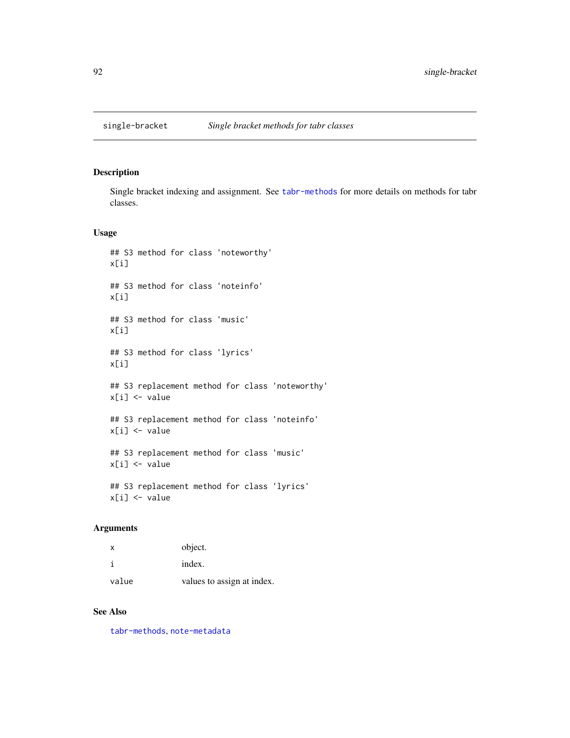Single bracket indexing and assignment. See [tabr-methods](#page-100-0) for more details on methods for tabr classes.

#### Usage

```
## S3 method for class 'noteworthy'
x[i]
## S3 method for class 'noteinfo'
x[i]
## S3 method for class 'music'
x[i]
## S3 method for class 'lyrics'
x[i]
## S3 replacement method for class 'noteworthy'
x[i] <- value
## S3 replacement method for class 'noteinfo'
x[i] <- value
## S3 replacement method for class 'music'
x[i] <- value
## S3 replacement method for class 'lyrics'
x[i] <- value
```
## Arguments

| $\mathsf{x}$ | object.                    |
|--------------|----------------------------|
|              | index.                     |
| value        | values to assign at index. |

# See Also

[tabr-methods](#page-100-0), [note-metadata](#page-49-0)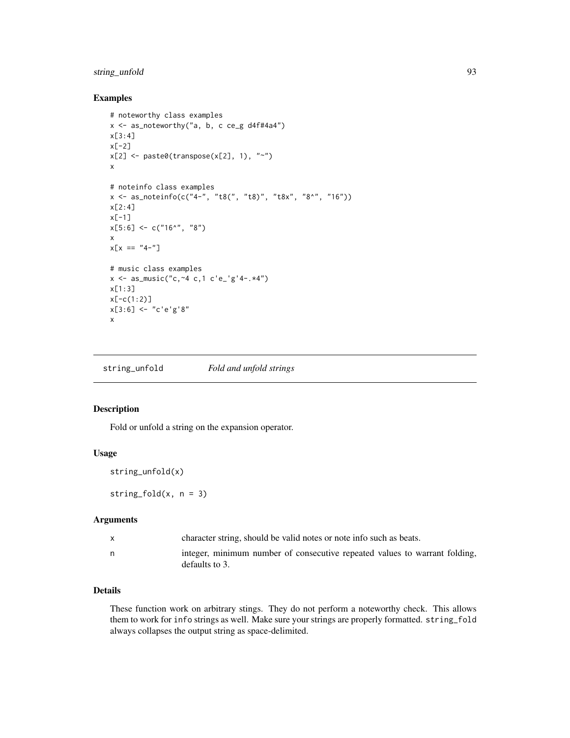# string\_unfold 93

# Examples

```
# noteworthy class examples
x \le - as_noteworthy("a, b, c ce_g d4f#4a4")
x[3:4]
x[-2]
x[2] <- paste0(transpose(x[2], 1), "~")
x
# noteinfo class examples
x <- as_noteinfo(c("4-", "t8(", "t8)", "t8x", "8^", "16"))
x[2:4]x[-1]
x[5:6] <- c("16^", "8")
x
x[x == "4-"]# music class examples
x \le - as_music("c, ~4 c, 1 c'e_'g'4-.*4")
x[1:3]
x[-c(1:2)]
x[3:6] <- "c'e'g'8"
x
```
string\_unfold *Fold and unfold strings*

# Description

Fold or unfold a string on the expansion operator.

#### Usage

```
string_unfold(x)
```
string\_fold $(x, n = 3)$ 

## Arguments

| character string, should be valid notes or note info such as beats.                          |
|----------------------------------------------------------------------------------------------|
| integer, minimum number of consecutive repeated values to warrant folding,<br>defaults to 3. |

## Details

These function work on arbitrary stings. They do not perform a noteworthy check. This allows them to work for info strings as well. Make sure your strings are properly formatted. string\_fold always collapses the output string as space-delimited.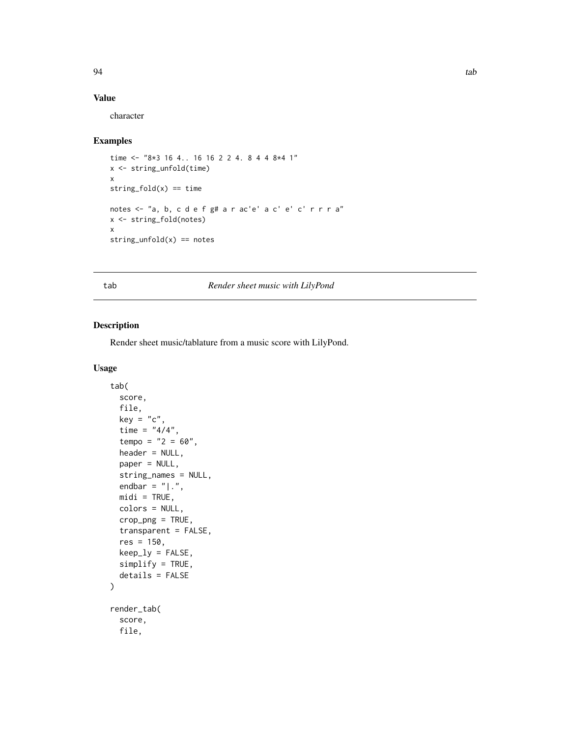# Value

character

## Examples

```
time <- "8*3 16 4.. 16 16 2 2 4. 8 4 4 8*4 1"
x <- string_unfold(time)
x
string_fold(x) == timenotes <- "a, b, c d e f g# a r ac'e' a c' e' c' r r r a"
x <- string_fold(notes)
x
string\_unfold(x) == notes
```
<span id="page-93-0"></span>tab *Render sheet music with LilyPond*

# Description

Render sheet music/tablature from a music score with LilyPond.

```
tab(
  score,
 file,
 key = "c",time = "4/4",tempo = "2 = 60",header = NULL,
 paper = NULL,
  string_names = NULL,
  endbar = "|.".mid = TRUE,
 colors = NULL,
 crop_png = TRUE,
  transparent = FALSE,
  res = 150,keep\_ly = FALSE,simplify = TRUE,
  details = FALSE
)
render_tab(
  score,
 file,
```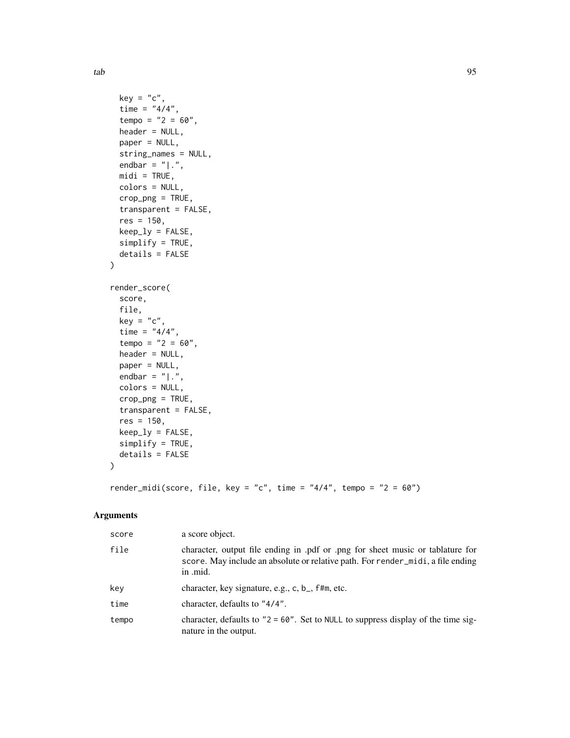tab 95

```
key = "c",time = "4/4",tempo = "2 = 60",header = NULL,
 paper = NULL,
 string_names = NULL,
 endbar = "|.".mid = TRUE,
 colors = NULL,
 crop\_png = TRUE,transparent = FALSE,
 res = 150,keep_ly = FALSE,
 simplify = TRUE,
 details = FALSE
\mathcal{L}render_score(
 score,
 file,
 key = "c",time = "4/4",tempo = "2 = 60",header = NULL,paper = NULL,
 endbar = "|.",
 colors = NULL,
 crop_png = TRUE,
  transparent = FALSE,
 res = 150,keep\_ly = FALSE,simplify = TRUE,
 details = FALSE\mathcal{L}
```
render\_midi(score, file, key = "c", time = "4/4", tempo = "2 = 60")

## Arguments

| score | a score object.                                                                                                                                                               |
|-------|-------------------------------------------------------------------------------------------------------------------------------------------------------------------------------|
| file  | character, output file ending in .pdf or .png for sheet music or tablature for<br>score. May include an absolute or relative path. For render midi, a file ending<br>in .mid. |
| key   | character, key signature, e.g., c, b_, f#m, etc.                                                                                                                              |
| time  | character, defaults to "4/4".                                                                                                                                                 |
| tempo | character, defaults to " $2 = 60$ ". Set to NULL to suppress display of the time sig-<br>nature in the output.                                                                |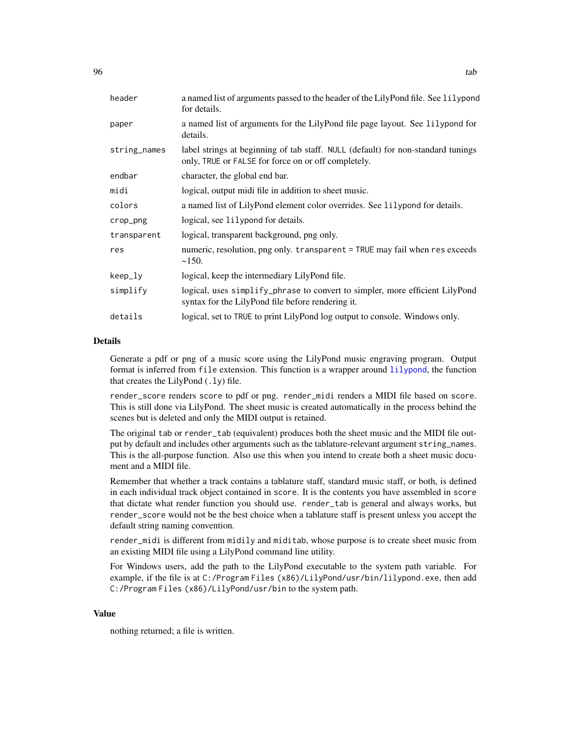| header       | a named list of arguments passed to the header of the LilyPond file. See lilypond<br>for details.                                       |
|--------------|-----------------------------------------------------------------------------------------------------------------------------------------|
| paper        | a named list of arguments for the LilyPond file page layout. See lilypond for<br>details.                                               |
| string_names | label strings at beginning of tab staff. NULL (default) for non-standard tunings<br>only, TRUE or FALSE for force on or off completely. |
| endbar       | character, the global end bar.                                                                                                          |
| midi         | logical, output midi file in addition to sheet music.                                                                                   |
| colors       | a named list of LilyPond element color overrides. See lilypond for details.                                                             |
| crop_png     | logical, see 1i1ypond for details.                                                                                                      |
| transparent  | logical, transparent background, png only.                                                                                              |
| res          | numeric, resolution, png only. transparent = TRUE may fail when res exceeds<br>~150.                                                    |
| keep_ly      | logical, keep the intermediary LilyPond file.                                                                                           |
| simplify     | logical, uses simplify_phrase to convert to simpler, more efficient LilyPond<br>syntax for the LilyPond file before rendering it.       |
| details      | logical, set to TRUE to print LilyPond log output to console. Windows only.                                                             |

## Details

Generate a pdf or png of a music score using the LilyPond music engraving program. Output format is inferred from file extension. This function is a wrapper around [lilypond](#page-28-0), the function that creates the LilyPond  $(.1y)$  file.

render\_score renders score to pdf or png. render\_midi renders a MIDI file based on score. This is still done via LilyPond. The sheet music is created automatically in the process behind the scenes but is deleted and only the MIDI output is retained.

The original tab or render\_tab (equivalent) produces both the sheet music and the MIDI file output by default and includes other arguments such as the tablature-relevant argument string\_names. This is the all-purpose function. Also use this when you intend to create both a sheet music document and a MIDI file.

Remember that whether a track contains a tablature staff, standard music staff, or both, is defined in each individual track object contained in score. It is the contents you have assembled in score that dictate what render function you should use. render\_tab is general and always works, but render\_score would not be the best choice when a tablature staff is present unless you accept the default string naming convention.

render\_midi is different from midily and miditab, whose purpose is to create sheet music from an existing MIDI file using a LilyPond command line utility.

For Windows users, add the path to the LilyPond executable to the system path variable. For example, if the file is at C:/Program Files (x86)/LilyPond/usr/bin/lilypond.exe, then add C:/Program Files (x86)/LilyPond/usr/bin to the system path.

#### Value

nothing returned; a file is written.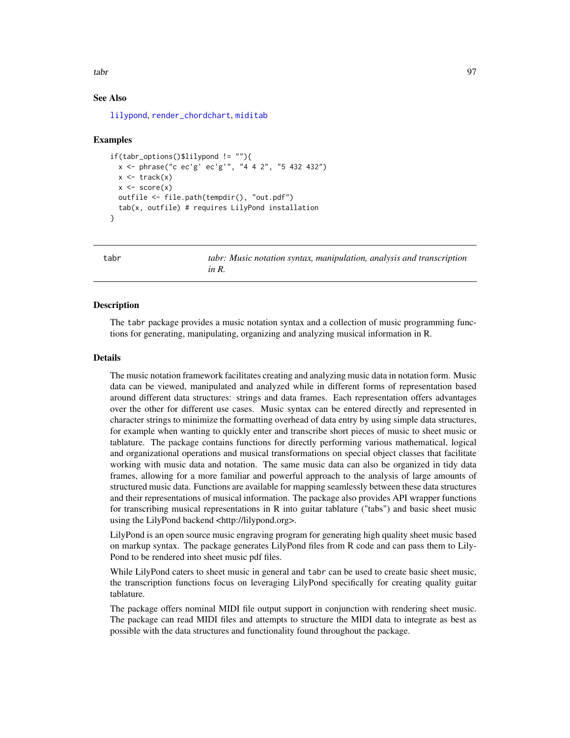tabr **97** 

## See Also

[lilypond](#page-28-0), [render\\_chordchart](#page-72-0), [miditab](#page-36-0)

#### Examples

```
if(tabr_options()$lilypond != ""){
 x <- phrase("c ec'g' ec'g'", "4 4 2", "5 432 432")
 x \leftarrow \text{track}(x)x \leq -\text{score}(x)outfile <- file.path(tempdir(), "out.pdf")
 tab(x, outfile) # requires LilyPond installation
}
```
tabr *tabr: Music notation syntax, manipulation, analysis and transcription in R.*

## **Description**

The tabr package provides a music notation syntax and a collection of music programming functions for generating, manipulating, organizing and analyzing musical information in R.

## Details

The music notation framework facilitates creating and analyzing music data in notation form. Music data can be viewed, manipulated and analyzed while in different forms of representation based around different data structures: strings and data frames. Each representation offers advantages over the other for different use cases. Music syntax can be entered directly and represented in character strings to minimize the formatting overhead of data entry by using simple data structures, for example when wanting to quickly enter and transcribe short pieces of music to sheet music or tablature. The package contains functions for directly performing various mathematical, logical and organizational operations and musical transformations on special object classes that facilitate working with music data and notation. The same music data can also be organized in tidy data frames, allowing for a more familiar and powerful approach to the analysis of large amounts of structured music data. Functions are available for mapping seamlessly between these data structures and their representations of musical information. The package also provides API wrapper functions for transcribing musical representations in R into guitar tablature ("tabs") and basic sheet music using the LilyPond backend <http://lilypond.org>.

LilyPond is an open source music engraving program for generating high quality sheet music based on markup syntax. The package generates LilyPond files from R code and can pass them to Lily-Pond to be rendered into sheet music pdf files.

While LilyPond caters to sheet music in general and tabr can be used to create basic sheet music, the transcription functions focus on leveraging LilyPond specifically for creating quality guitar tablature.

The package offers nominal MIDI file output support in conjunction with rendering sheet music. The package can read MIDI files and attempts to structure the MIDI data to integrate as best as possible with the data structures and functionality found throughout the package.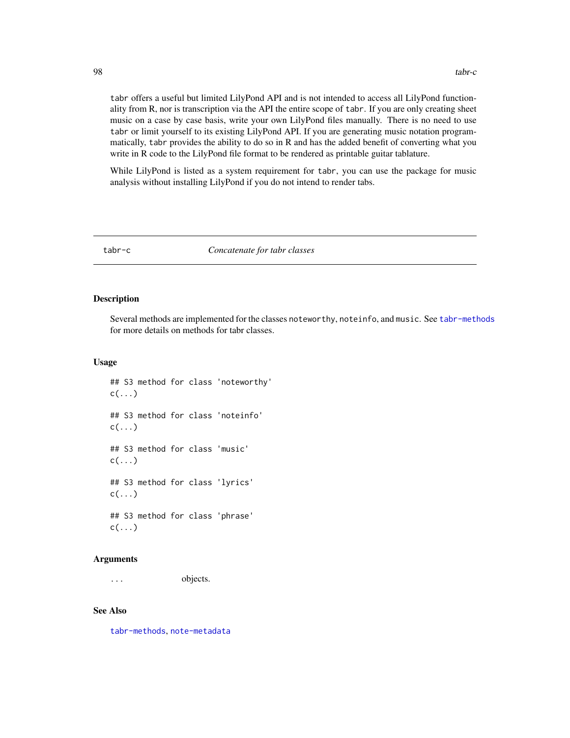tabr offers a useful but limited LilyPond API and is not intended to access all LilyPond functionality from R, nor is transcription via the API the entire scope of tabr. If you are only creating sheet music on a case by case basis, write your own LilyPond files manually. There is no need to use tabr or limit yourself to its existing LilyPond API. If you are generating music notation programmatically, tabr provides the ability to do so in R and has the added benefit of converting what you write in R code to the LilyPond file format to be rendered as printable guitar tablature.

While LilyPond is listed as a system requirement for tabr, you can use the package for music analysis without installing LilyPond if you do not intend to render tabs.

tabr-c *Concatenate for tabr classes*

#### Description

Several methods are implemented for the classes noteworthy, noteinfo, and music. See [tabr-methods](#page-100-0) for more details on methods for tabr classes.

#### Usage

## S3 method for class 'noteworthy'  $c(\ldots)$ ## S3 method for class 'noteinfo'  $c(\ldots)$ ## S3 method for class 'music'  $c(\ldots)$ ## S3 method for class 'lyrics'  $c(\ldots)$ ## S3 method for class 'phrase'  $c(\ldots)$ 

## Arguments

... objects.

## See Also

[tabr-methods](#page-100-0), [note-metadata](#page-49-0)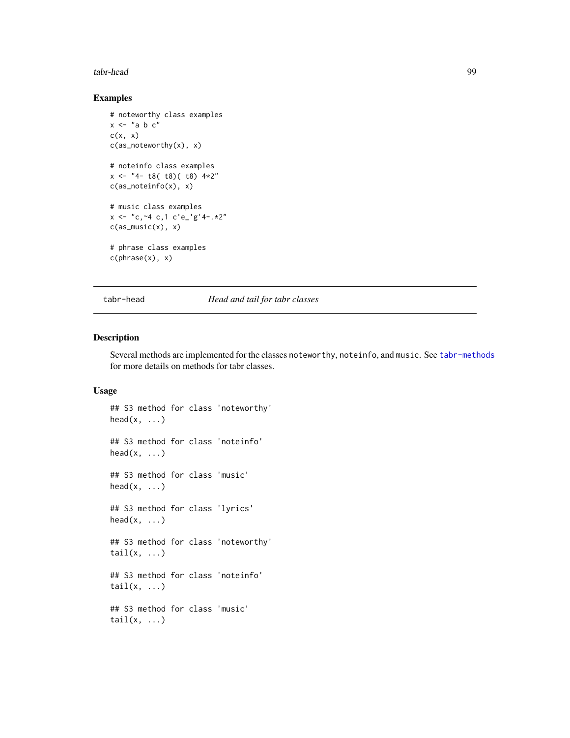#### tabr-head 99

# Examples

```
# noteworthy class examples
x <- "a b c"
c(x, x)c(as_noteworthy(x), x)
# noteinfo class examples
x <- "4- t8( t8)( t8) 4*2"
c(as_noteinfo(x), x)
# music class examples
x \le - "c, ~4 c, 1 c'e_'g'4-. *2"
c(as_music(x), x)# phrase class examples
c(phrase(x), x)
```
tabr-head *Head and tail for tabr classes*

# Description

Several methods are implemented for the classes noteworthy, noteinfo, and music. See [tabr-methods](#page-100-0) for more details on methods for tabr classes.

```
## S3 method for class 'noteworthy'
head(x, \ldots)## S3 method for class 'noteinfo'
head(x, \ldots)## S3 method for class 'music'
head(x, \ldots)## S3 method for class 'lyrics'
head(x, \ldots)## S3 method for class 'noteworthy'
tail(x, \ldots)## S3 method for class 'noteinfo'
tail(x, \ldots)## S3 method for class 'music'
tail(x, \ldots)
```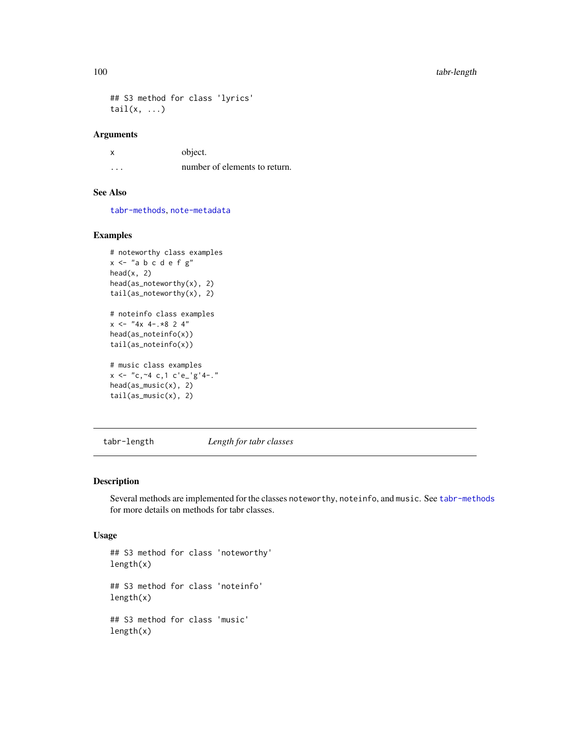```
## S3 method for class 'lyrics'
tail(x, \ldots)
```
#### Arguments

x object. ... number of elements to return.

# See Also

[tabr-methods](#page-100-0), [note-metadata](#page-49-0)

# Examples

```
# noteworthy class examples
x \le - "a b c d e f g"
head(x, 2)head(as_noteworthy(x), 2)
tail(as_noteworthy(x), 2)
# noteinfo class examples
x \le - "4x 4-.*8 2 4"
head(as_noteinfo(x))
tail(as_noteinfo(x))
# music class examples
x \le - "c, ~4 c, 1 c'e_'g'4-."
head(as_music(x), 2)
```
tail(as\_music(x), 2)

tabr-length *Length for tabr classes*

# Description

Several methods are implemented for the classes noteworthy, noteinfo, and music. See [tabr-methods](#page-100-0) for more details on methods for tabr classes.

```
## S3 method for class 'noteworthy'
length(x)
## S3 method for class 'noteinfo'
length(x)
## S3 method for class 'music'
length(x)
```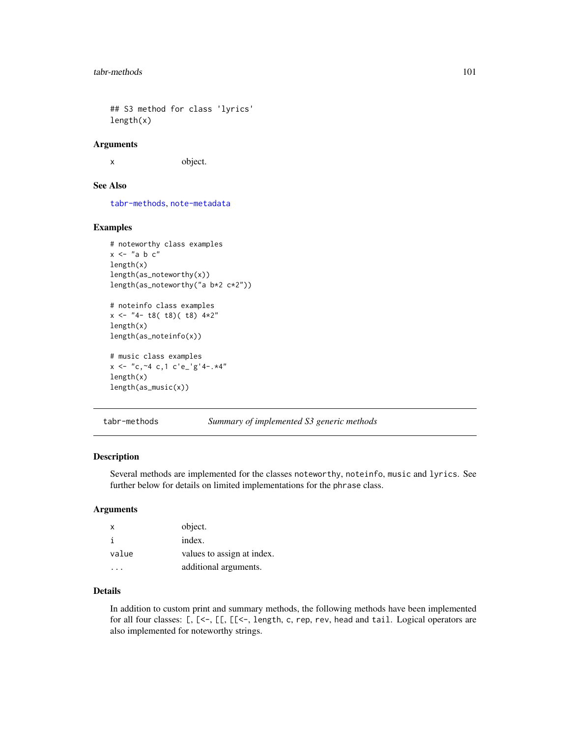## S3 method for class 'lyrics' length(x)

#### Arguments

x object.

## See Also

[tabr-methods](#page-100-0), [note-metadata](#page-49-0)

# Examples

```
# noteworthy class examples
x <- "a b c"
length(x)
length(as_noteworthy(x))
length(as_noteworthy("a b*2 c*2"))
# noteinfo class examples
x \le - "4- t8( t8)( t8) 4*2"
length(x)
length(as_noteinfo(x))
# music class examples
```

```
x \le - "c, ~4 c, 1 c'e_'g'4-. *4"
length(x)
length(as_music(x))
```
<span id="page-100-0"></span>tabr-methods *Summary of implemented S3 generic methods*

## Description

Several methods are implemented for the classes noteworthy, noteinfo, music and lyrics. See further below for details on limited implementations for the phrase class.

#### Arguments

| $\mathsf{x}$ | object.                    |
|--------------|----------------------------|
|              | index.                     |
| value        | values to assign at index. |
|              | additional arguments.      |

# Details

In addition to custom print and summary methods, the following methods have been implemented for all four classes: [, [<-, [[, [[<-, length, c, rep, rev, head and tail. Logical operators are also implemented for noteworthy strings.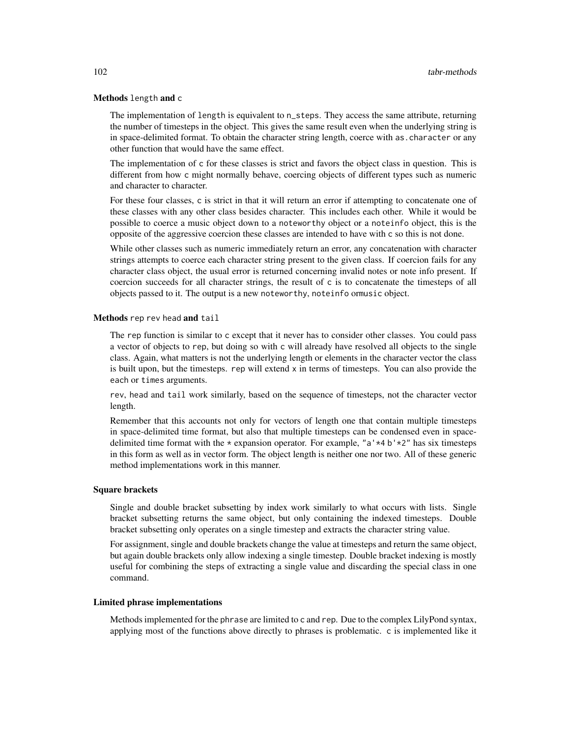## Methods length and c

The implementation of length is equivalent to n\_steps. They access the same attribute, returning the number of timesteps in the object. This gives the same result even when the underlying string is in space-delimited format. To obtain the character string length, coerce with as.character or any other function that would have the same effect.

The implementation of c for these classes is strict and favors the object class in question. This is different from how c might normally behave, coercing objects of different types such as numeric and character to character.

For these four classes, c is strict in that it will return an error if attempting to concatenate one of these classes with any other class besides character. This includes each other. While it would be possible to coerce a music object down to a noteworthy object or a noteinfo object, this is the opposite of the aggressive coercion these classes are intended to have with c so this is not done.

While other classes such as numeric immediately return an error, any concatenation with character strings attempts to coerce each character string present to the given class. If coercion fails for any character class object, the usual error is returned concerning invalid notes or note info present. If coercion succeeds for all character strings, the result of c is to concatenate the timesteps of all objects passed to it. The output is a new noteworthy, noteinfo ormusic object.

#### Methods rep rev head and tail

The rep function is similar to c except that it never has to consider other classes. You could pass a vector of objects to rep, but doing so with c will already have resolved all objects to the single class. Again, what matters is not the underlying length or elements in the character vector the class is built upon, but the timesteps. rep will extend  $x$  in terms of timesteps. You can also provide the each or times arguments.

rev, head and tail work similarly, based on the sequence of timesteps, not the character vector length.

Remember that this accounts not only for vectors of length one that contain multiple timesteps in space-delimited time format, but also that multiple timesteps can be condensed even in spacedelimited time format with the  $*$  expansion operator. For example, "a' $*4$  b' $*2$ " has six timesteps in this form as well as in vector form. The object length is neither one nor two. All of these generic method implementations work in this manner.

## Square brackets

Single and double bracket subsetting by index work similarly to what occurs with lists. Single bracket subsetting returns the same object, but only containing the indexed timesteps. Double bracket subsetting only operates on a single timestep and extracts the character string value.

For assignment, single and double brackets change the value at timesteps and return the same object, but again double brackets only allow indexing a single timestep. Double bracket indexing is mostly useful for combining the steps of extracting a single value and discarding the special class in one command.

#### Limited phrase implementations

Methods implemented for the phrase are limited to c and rep. Due to the complex LilyPond syntax, applying most of the functions above directly to phrases is problematic. c is implemented like it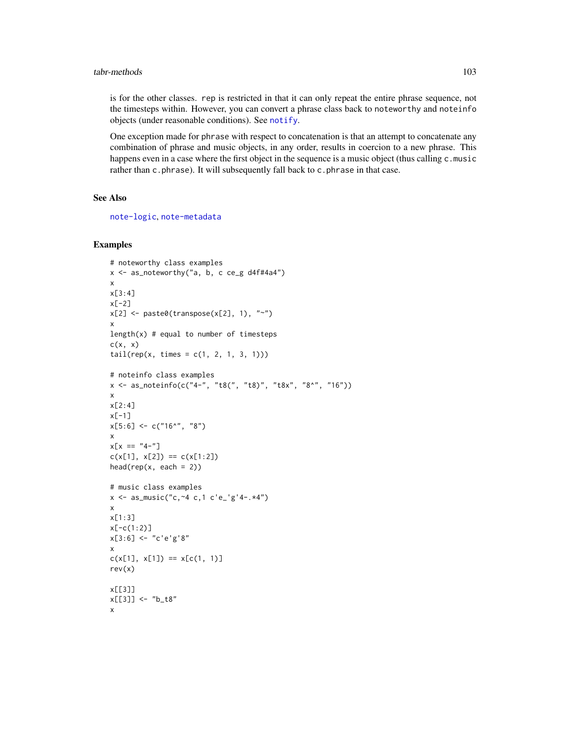#### tabr-methods 103

is for the other classes. rep is restricted in that it can only repeat the entire phrase sequence, not the timesteps within. However, you can convert a phrase class back to noteworthy and noteinfo objects (under reasonable conditions). See [notify](#page-60-0).

One exception made for phrase with respect to concatenation is that an attempt to concatenate any combination of phrase and music objects, in any order, results in coercion to a new phrase. This happens even in a case where the first object in the sequence is a music object (thus calling c.music rather than c.phrase). It will subsequently fall back to c.phrase in that case.

## See Also

[note-logic](#page-48-0), [note-metadata](#page-49-0)

```
# noteworthy class examples
x \le - as_noteworthy("a, b, c ce_g d4f#4a4")
x
x[3:4]
x[-2]
x[2] <- paste0(transpose(x[2], 1), "~")
x
length(x) # equal to number of timesteps
c(x, x)tail(rep(x, times = c(1, 2, 1, 3, 1)))# noteinfo class examples
x <- as_noteinfo(c("4-", "t8(", "t8)", "t8x", "8^", "16"))
x
x[2:4]
x[-1]
x[5:6] \leq c("16^{\wedge}", "8")
x
x[x == "4-"]c(x[1], x[2]) == c(x[1:2])head(rep(x, each = 2))# music class examples
x \le - as_music("c, ~4 c, 1 c'e_'g'4-.*4")
x
x[1:3]
x[-c(1:2)]x[3:6] <- "c'e'g'8"
x
c(x[1], x[1]) == x[c(1, 1)]rev(x)
x[[3]]
x[[3]] <- "b_t8"
x
```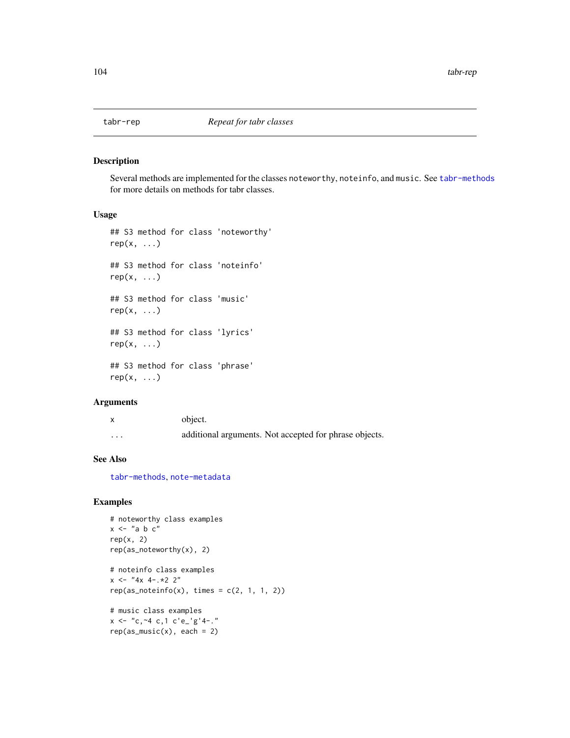Several methods are implemented for the classes noteworthy, noteinfo, and music. See [tabr-methods](#page-100-0) for more details on methods for tabr classes.

## Usage

```
## S3 method for class 'noteworthy'
rep(x, \ldots)## S3 method for class 'noteinfo'
rep(x, \ldots)## S3 method for class 'music'
rep(x, \ldots)## S3 method for class 'lyrics'
rep(x, \ldots)## S3 method for class 'phrase'
rep(x, \ldots)
```
## Arguments

|   | object.                                                |
|---|--------------------------------------------------------|
| . | additional arguments. Not accepted for phrase objects. |

## See Also

[tabr-methods](#page-100-0), [note-metadata](#page-49-0)

```
# noteworthy class examples
x \le - "a b c"
rep(x, 2)
rep(as_noteworthy(x), 2)
# noteinfo class examples
x \le - "4x 4-.*2 2"
rep(as\_noteinfo(x), times = c(2, 1, 1, 2))# music class examples
x \le - "c, ~4 c, 1 c'e_'g'4-."
rep(as_music(x), each = 2)
```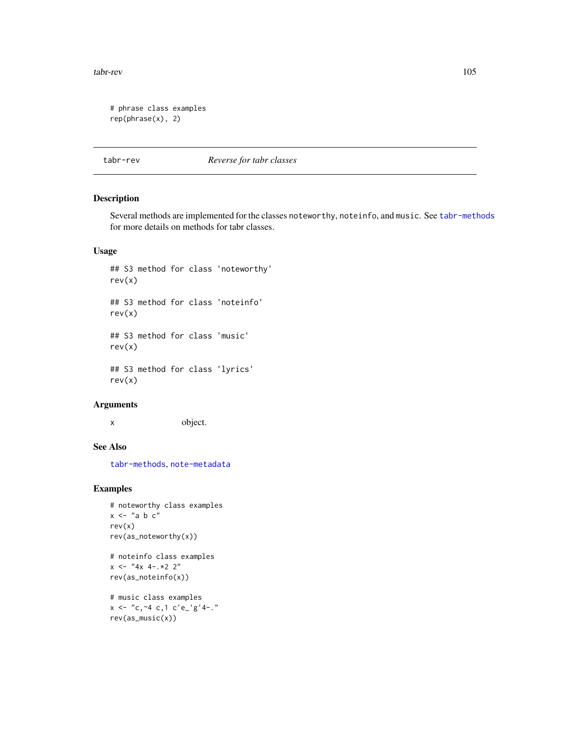tabr-rev 105

```
# phrase class examples
rep(phrase(x), 2)
```
tabr-rev *Reverse for tabr classes*

# Description

Several methods are implemented for the classes noteworthy, noteinfo, and music. See [tabr-methods](#page-100-0) for more details on methods for tabr classes.

# Usage

## S3 method for class 'noteworthy' rev(x) ## S3 method for class 'noteinfo' rev(x) ## S3 method for class 'music' rev(x) ## S3 method for class 'lyrics' rev(x)

## Arguments

x object.

## See Also

[tabr-methods](#page-100-0), [note-metadata](#page-49-0)

```
# noteworthy class examples
x \leq - "a b c"
rev(x)
rev(as_noteworthy(x))
```

```
# noteinfo class examples
x \le - "4x 4-.*2 2"
rev(as_noteinfo(x))
```

```
# music class examples
x \le - "c, ~4 c, 1 c'e_'g'4-."
rev(as_music(x))
```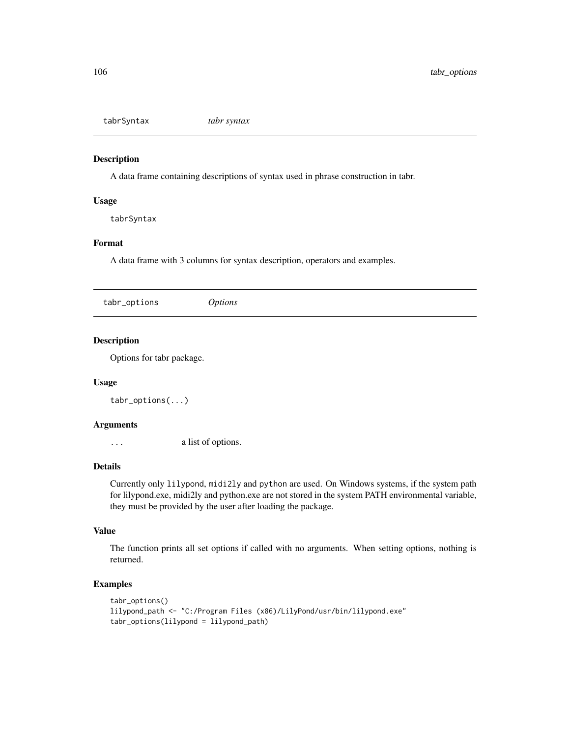tabrSyntax *tabr syntax*

#### Description

A data frame containing descriptions of syntax used in phrase construction in tabr.

## Usage

tabrSyntax

## Format

A data frame with 3 columns for syntax description, operators and examples.

| <i>Options</i> |
|----------------|
|----------------|

# Description

Options for tabr package.

## Usage

tabr\_options(...)

#### Arguments

... a list of options.

#### Details

Currently only lilypond, midi2ly and python are used. On Windows systems, if the system path for lilypond.exe, midi2ly and python.exe are not stored in the system PATH environmental variable, they must be provided by the user after loading the package.

#### Value

The function prints all set options if called with no arguments. When setting options, nothing is returned.

```
tabr_options()
lilypond_path <- "C:/Program Files (x86)/LilyPond/usr/bin/lilypond.exe"
tabr_options(lilypond = lilypond_path)
```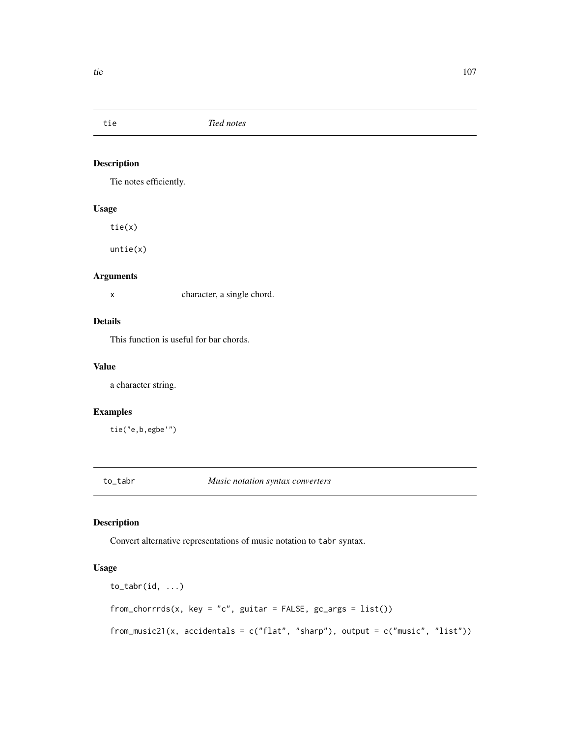Tie notes efficiently.

#### Usage

tie(x)

untie(x)

# Arguments

x character, a single chord.

# Details

This function is useful for bar chords.

## Value

a character string.

# Examples

tie("e,b,egbe'")

to\_tabr *Music notation syntax converters*

# Description

Convert alternative representations of music notation to tabr syntax.

```
to_tabr(id, ...)
from_chorrrds(x, key = "c", guitar = FALSE, gc_{args} = list()from_music21(x, accidentals = c("flat", "sharp"), output = c("music", "list"))
```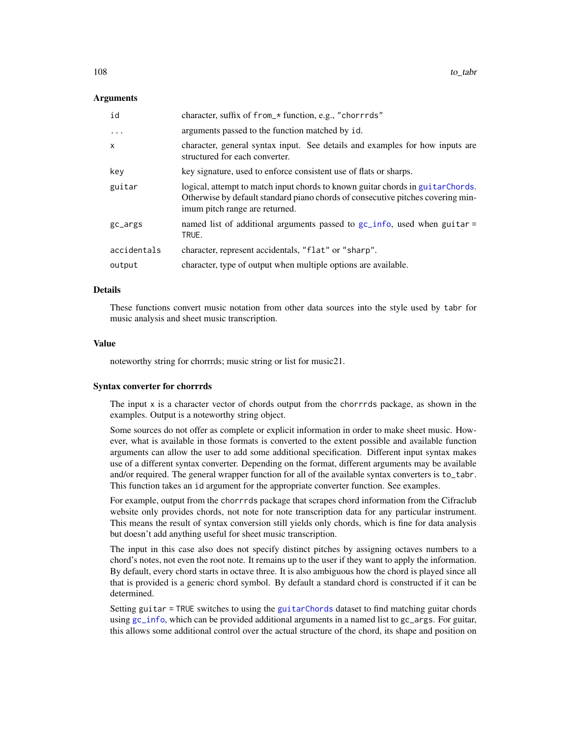#### Arguments

| id                | character, suffix of from_* function, e.g., "chorrrds"                                                                                                                                               |
|-------------------|------------------------------------------------------------------------------------------------------------------------------------------------------------------------------------------------------|
| $\cdot\cdot\cdot$ | arguments passed to the function matched by id.                                                                                                                                                      |
| x                 | character, general syntax input. See details and examples for how inputs are<br>structured for each converter.                                                                                       |
| key               | key signature, used to enforce consistent use of flats or sharps.                                                                                                                                    |
| guitar            | logical, attempt to match input chords to known guitar chords in guitar Chords.<br>Otherwise by default standard piano chords of consecutive pitches covering min-<br>imum pitch range are returned. |
| gc_args           | named list of additional arguments passed to gc_info, used when guitar =<br>TRUE.                                                                                                                    |
| accidentals       | character, represent accidentals, "flat" or "sharp".                                                                                                                                                 |
| output            | character, type of output when multiple options are available.                                                                                                                                       |

#### Details

These functions convert music notation from other data sources into the style used by tabr for music analysis and sheet music transcription.

## Value

noteworthy string for chorrrds; music string or list for music21.

#### Syntax converter for chorrrds

The input  $x$  is a character vector of chords output from the chorrrds package, as shown in the examples. Output is a noteworthy string object.

Some sources do not offer as complete or explicit information in order to make sheet music. However, what is available in those formats is converted to the extent possible and available function arguments can allow the user to add some additional specification. Different input syntax makes use of a different syntax converter. Depending on the format, different arguments may be available and/or required. The general wrapper function for all of the available syntax converters is to\_tabr. This function takes an id argument for the appropriate converter function. See examples.

For example, output from the chorrrds package that scrapes chord information from the Cifraclub website only provides chords, not note for note transcription data for any particular instrument. This means the result of syntax conversion still yields only chords, which is fine for data analysis but doesn't add anything useful for sheet music transcription.

The input in this case also does not specify distinct pitches by assigning octaves numbers to a chord's notes, not even the root note. It remains up to the user if they want to apply the information. By default, every chord starts in octave three. It is also ambiguous how the chord is played since all that is provided is a generic chord symbol. By default a standard chord is constructed if it can be determined.

Setting guitar = TRUE switches to using the [guitarChords](#page-22-0) dataset to find matching guitar chords using [gc\\_info](#page-8-0), which can be provided additional arguments in a named list to gc\_args. For guitar, this allows some additional control over the actual structure of the chord, its shape and position on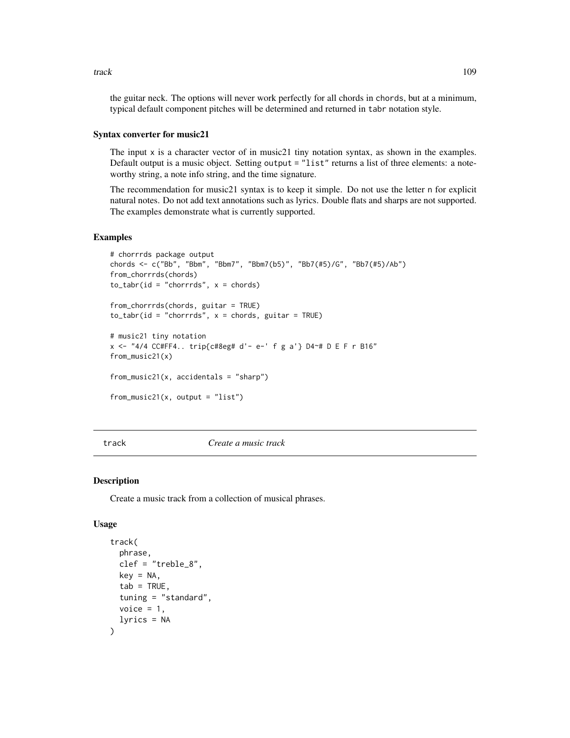the guitar neck. The options will never work perfectly for all chords in chords, but at a minimum, typical default component pitches will be determined and returned in tabr notation style.

#### Syntax converter for music21

The input x is a character vector of in music21 tiny notation syntax, as shown in the examples. Default output is a music object. Setting output = "list" returns a list of three elements: a noteworthy string, a note info string, and the time signature.

The recommendation for music21 syntax is to keep it simple. Do not use the letter n for explicit natural notes. Do not add text annotations such as lyrics. Double flats and sharps are not supported. The examples demonstrate what is currently supported.

### Examples

```
# chorrrds package output
chords <- c("Bb", "Bbm", "Bbm7", "Bbm7(b5)", "Bb7(#5)/G", "Bb7(#5)/Ab")
from_chorrrds(chords)
to\_tabr(id = "chorrrds", x = chords)from_chorrrds(chords, guitar = TRUE)
to\_tabr(id = "chorrds", x = chords, guitar = TRUE)# music21 tiny notation
x <- "4/4 CC#FF4.. trip{c#8eg# d'- e-' f g a'} D4~# D E F r B16"
from_music21(x)
from_music21(x, accidentals = "sharp")
from_music21(x, output = "list")
```
<span id="page-108-0"></span>

track *Create a music track*

#### Description

Create a music track from a collection of musical phrases.

#### Usage

```
track(
  phrase,
  clef = "treble_8",
  key = NA,
  tab = TRUE,tuning = "standard",
  voice = 1,
  lyrics = NA
)
```
<span id="page-108-1"></span>track the contract of the contract of the contract of the contract of the contract of the contract of the contract of the contract of the contract of the contract of the contract of the contract of the contract of the cont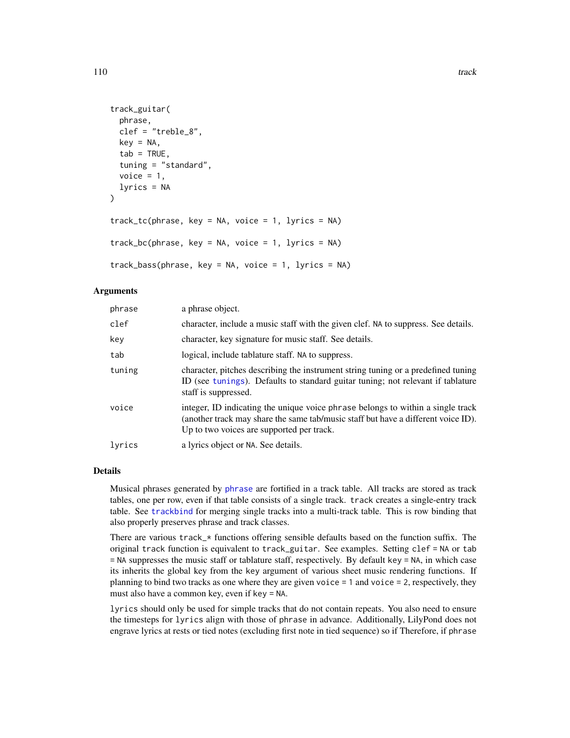```
track_guitar(
 phrase,
 clef = "treble_8",
  key = NA,
  tab = TRUE,tuning = "standard",
  voice = 1,
  lyrics = NA
\lambdatrack_t(c(phrase, key = NA, voice = 1, lyrics = NA)track_bc(phrase, key = NA, voice = 1, lyrics = NA)track_bass(phrase, key = NA, voice = 1, lyrics = NA)
```
# Arguments

| phrase | a phrase object.                                                                                                                                                                                                  |
|--------|-------------------------------------------------------------------------------------------------------------------------------------------------------------------------------------------------------------------|
| clef   | character, include a music staff with the given clef. NA to suppress. See details.                                                                                                                                |
| key    | character, key signature for music staff. See details.                                                                                                                                                            |
| tab    | logical, include tablature staff. NA to suppress.                                                                                                                                                                 |
| tuning | character, pitches describing the instrument string tuning or a predefined tuning<br>ID (see tunings). Defaults to standard guitar tuning; not relevant if tablature<br>staff is suppressed.                      |
| voice  | integer, ID indicating the unique voice phrase belongs to within a single track<br>(another track may share the same tab/music staff but have a different voice ID).<br>Up to two voices are supported per track. |
| lyrics | a lyrics object or NA. See details.                                                                                                                                                                               |

# Details

Musical phrases generated by [phrase](#page-58-0) are fortified in a track table. All tracks are stored as track tables, one per row, even if that table consists of a single track. track creates a single-entry track table. See [trackbind](#page-110-0) for merging single tracks into a multi-track table. This is row binding that also properly preserves phrase and track classes.

There are various track\_\* functions offering sensible defaults based on the function suffix. The original track function is equivalent to track\_guitar. See examples. Setting clef = NA or tab = NA suppresses the music staff or tablature staff, respectively. By default key = NA, in which case its inherits the global key from the key argument of various sheet music rendering functions. If planning to bind two tracks as one where they are given voice = 1 and voice = 2, respectively, they must also have a common key, even if key = NA.

lyrics should only be used for simple tracks that do not contain repeats. You also need to ensure the timesteps for lyrics align with those of phrase in advance. Additionally, LilyPond does not engrave lyrics at rests or tied notes (excluding first note in tied sequence) so if Therefore, if phrase

<span id="page-109-0"></span>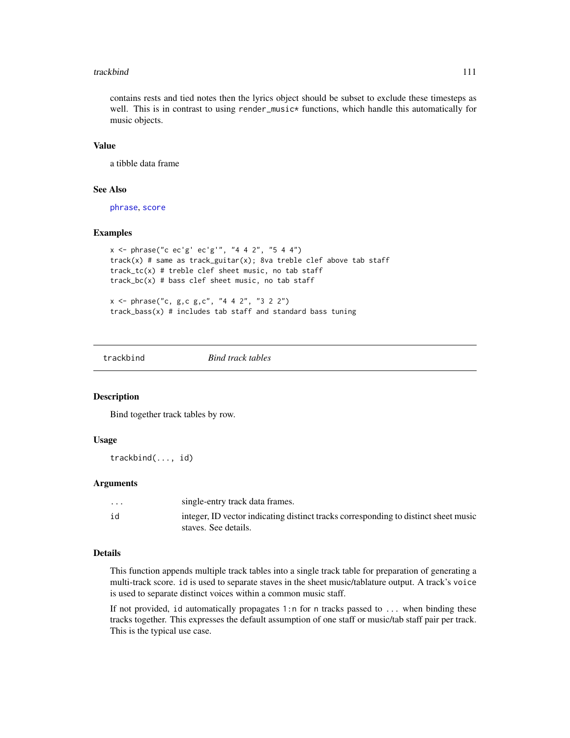#### <span id="page-110-1"></span>trackbind 111

contains rests and tied notes then the lyrics object should be subset to exclude these timesteps as well. This is in contrast to using render\_music\* functions, which handle this automatically for music objects.

# Value

a tibble data frame

#### See Also

[phrase](#page-58-0), [score](#page-86-0)

#### Examples

```
x <- phrase("c ec'g' ec'g'", "4 4 2", "5 4 4")
track(x) # same as track_guitar(x); 8va treble clef above tab staff
track_tc(x) # treble clef sheet music, no tab staff
track_bc(x) # bass clef sheet music, no tab staff
x <- phrase("c, g,c g,c", "4 4 2", "3 2 2")
```
track\_bass(x) # includes tab staff and standard bass tuning

<span id="page-110-0"></span>trackbind *Bind track tables*

#### Description

Bind together track tables by row.

#### Usage

trackbind(..., id)

#### Arguments

| $\cdots$ | single-entry track data frames.                                                                             |
|----------|-------------------------------------------------------------------------------------------------------------|
| id       | integer, ID vector indicating distinct tracks corresponding to distinct sheet music<br>staves. See details. |

#### Details

This function appends multiple track tables into a single track table for preparation of generating a multi-track score. id is used to separate staves in the sheet music/tablature output. A track's voice is used to separate distinct voices within a common music staff.

If not provided, id automatically propagates 1:n for n tracks passed to ... when binding these tracks together. This expresses the default assumption of one staff or music/tab staff pair per track. This is the typical use case.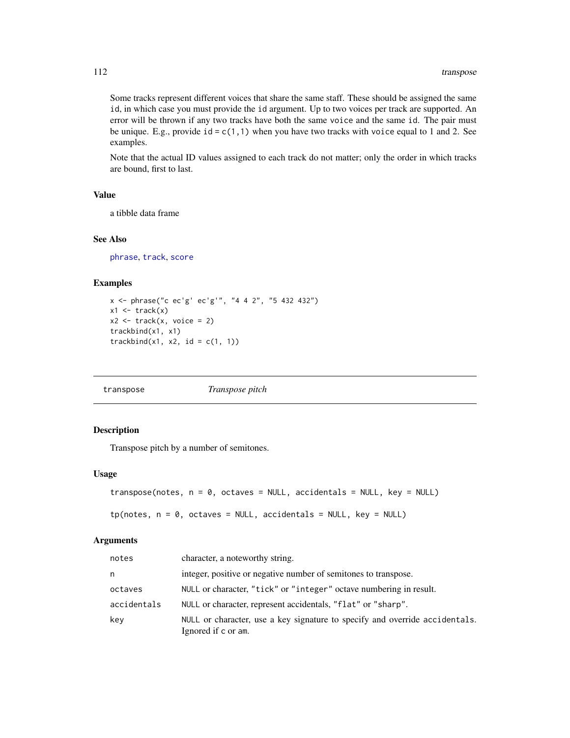<span id="page-111-0"></span>Some tracks represent different voices that share the same staff. These should be assigned the same id, in which case you must provide the id argument. Up to two voices per track are supported. An error will be thrown if any two tracks have both the same voice and the same id. The pair must be unique. E.g., provide  $id = c(1,1)$  when you have two tracks with voice equal to 1 and 2. See examples.

Note that the actual ID values assigned to each track do not matter; only the order in which tracks are bound, first to last.

# Value

a tibble data frame

#### See Also

[phrase](#page-58-0), [track](#page-108-0), [score](#page-86-0)

# Examples

```
x <- phrase("c ec'g' ec'g'", "4 4 2", "5 432 432")
x1 \leftarrow \text{track}(x)x2 \le track(x, voice = 2)
trackbind(x1, x1)
trackbind(x1, x2, id = c(1, 1))
```
transpose *Transpose pitch*

# Description

Transpose pitch by a number of semitones.

# Usage

```
transpose(notes, n = 0, octaves = NULL, accidentals = NULL, key = NULL)
```

```
tp(notes, n = 0, octaves = NULL, occidentals = NULL, key = NULL)
```
#### Arguments

| notes       | character, a noteworthy string.                                                                    |
|-------------|----------------------------------------------------------------------------------------------------|
| n           | integer, positive or negative number of semitones to transpose.                                    |
| octaves     | NULL or character, "tick" or "integer" octave numbering in result.                                 |
| accidentals | NULL or character, represent accidentals, "flat" or "sharp".                                       |
| key         | NULL or character, use a key signature to specify and override accidentals.<br>Ignored if c or am. |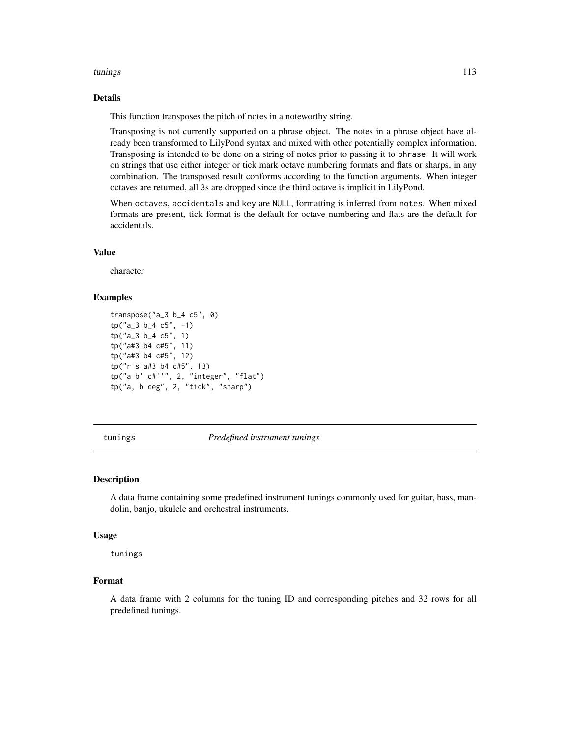#### <span id="page-112-1"></span>tunings and the contract of the contract of the contract of the contract of the contract of the contract of the contract of the contract of the contract of the contract of the contract of the contract of the contract of th

# Details

This function transposes the pitch of notes in a noteworthy string.

Transposing is not currently supported on a phrase object. The notes in a phrase object have already been transformed to LilyPond syntax and mixed with other potentially complex information. Transposing is intended to be done on a string of notes prior to passing it to phrase. It will work on strings that use either integer or tick mark octave numbering formats and flats or sharps, in any combination. The transposed result conforms according to the function arguments. When integer octaves are returned, all 3s are dropped since the third octave is implicit in LilyPond.

When octaves, accidentals and key are NULL, formatting is inferred from notes. When mixed formats are present, tick format is the default for octave numbering and flats are the default for accidentals.

# Value

character

# Examples

```
transpose("a_3 b_4 c5", 0)
tp("a_3 b_4 c5", -1)tp("a_3 b_4 c5", 1)
tp("a#3 b4 c#5", 11)
tp("a#3 b4 c#5", 12)
tp("r s a#3 b4 c#5", 13)
tp("a b' c#''", 2, "integer", "flat")
tp("a, b ceg", 2, "tick", "sharp")
```
<span id="page-112-0"></span>tunings *Predefined instrument tunings*

#### Description

A data frame containing some predefined instrument tunings commonly used for guitar, bass, mandolin, banjo, ukulele and orchestral instruments.

#### Usage

tunings

#### Format

A data frame with 2 columns for the tuning ID and corresponding pitches and 32 rows for all predefined tunings.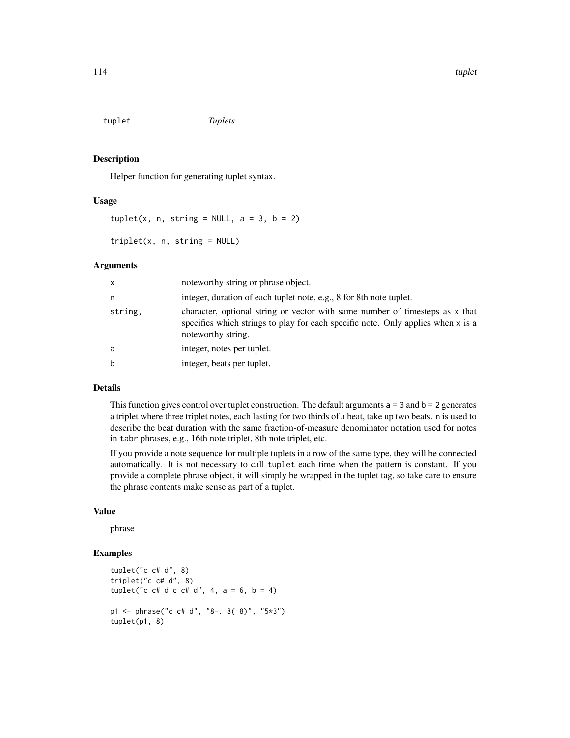<span id="page-113-0"></span>tuplet *Tuplets*

#### Description

Helper function for generating tuplet syntax.

### Usage

 $tuple(x, n, string = NULL, a = 3, b = 2)$ 

triplet(x, n, string = NULL)

#### Arguments

| x       | noteworthy string or phrase object.                                                                                                                                                    |
|---------|----------------------------------------------------------------------------------------------------------------------------------------------------------------------------------------|
| n       | integer, duration of each tuplet note, e.g., 8 for 8th note tuplet.                                                                                                                    |
| string, | character, optional string or vector with same number of timesteps as x that<br>specifies which strings to play for each specific note. Only applies when x is a<br>noteworthy string. |
| a       | integer, notes per tuplet.                                                                                                                                                             |
| b       | integer, beats per tuplet.                                                                                                                                                             |

### Details

This function gives control over tuplet construction. The default arguments  $a = 3$  and  $b = 2$  generates a triplet where three triplet notes, each lasting for two thirds of a beat, take up two beats. n is used to describe the beat duration with the same fraction-of-measure denominator notation used for notes in tabr phrases, e.g., 16th note triplet, 8th note triplet, etc.

If you provide a note sequence for multiple tuplets in a row of the same type, they will be connected automatically. It is not necessary to call tuplet each time when the pattern is constant. If you provide a complete phrase object, it will simply be wrapped in the tuplet tag, so take care to ensure the phrase contents make sense as part of a tuplet.

#### Value

phrase

# Examples

```
tuplet("c c# d", 8)
triplet("c c# d", 8)
tuplet("c c# d c c# d", 4, a = 6, b = 4)
p1 <- phrase("c c# d", "8-. 8( 8)", "5*3")
tuplet(p1, 8)
```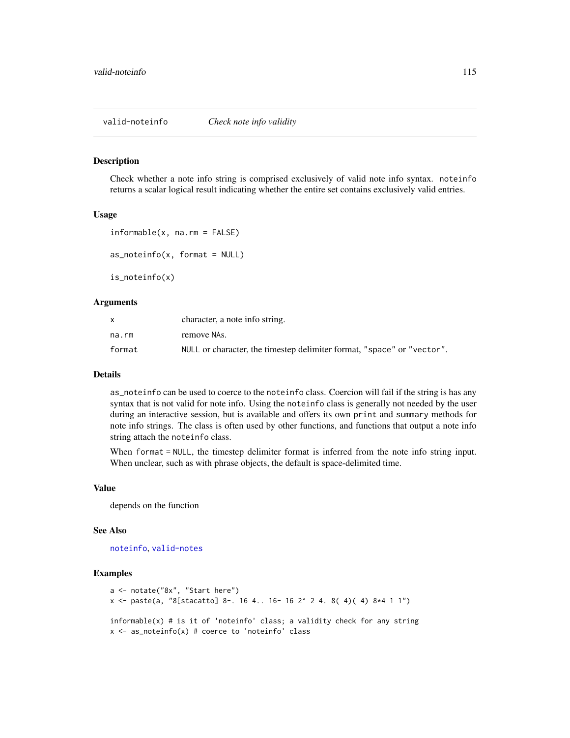#### <span id="page-114-0"></span>Description

Check whether a note info string is comprised exclusively of valid note info syntax. noteinfo returns a scalar logical result indicating whether the entire set contains exclusively valid entries.

# Usage

```
informable(x, na.rm = FALSE)
as\_noteinfo(x, format = NULL)
```
is\_noteinfo(x)

# Arguments

|        | character, a note info string.                                         |
|--------|------------------------------------------------------------------------|
| na.rm  | remove NAs.                                                            |
| format | NULL or character, the timestep delimiter format, "space" or "vector". |

# Details

as\_noteinfo can be used to coerce to the noteinfo class. Coercion will fail if the string is has any syntax that is not valid for note info. Using the noteinfo class is generally not needed by the user during an interactive session, but is available and offers its own print and summary methods for note info strings. The class is often used by other functions, and functions that output a note info string attach the noteinfo class.

When format = NULL, the timestep delimiter format is inferred from the note info string input. When unclear, such as with phrase objects, the default is space-delimited time.

# Value

depends on the function

#### See Also

[noteinfo](#page-53-0), [valid-notes](#page-115-0)

# Examples

```
a <- notate("8x", "Start here")
x <- paste(a, "8[stacatto] 8-. 16 4.. 16- 16 2^ 2 4. 8( 4)( 4) 8*4 1 1")
informable(x) # is it of 'noteinfo' class; a validity check for any string
x \le - as_noteinfo(x) # coerce to 'noteinfo' class
```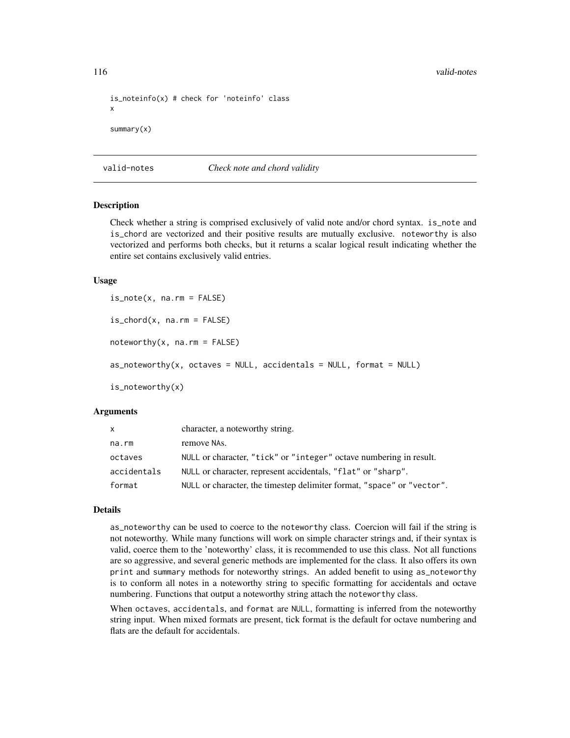```
is_noteinfo(x) # check for 'noteinfo' class
x
summary(x)
```
<span id="page-115-0"></span>valid-notes *Check note and chord validity*

# Description

Check whether a string is comprised exclusively of valid note and/or chord syntax. is\_note and is\_chord are vectorized and their positive results are mutually exclusive. noteworthy is also vectorized and performs both checks, but it returns a scalar logical result indicating whether the entire set contains exclusively valid entries.

#### Usage

is\_note(x, na.rm = FALSE)  $is\_chord(x, na.rm = FALSE)$  $noteworthy(x, na.rm = FALSE)$  $as\_noteworthy(x, octaves = NULL, accidents = NULL, format = NULL)$ is\_noteworthy(x)

#### **Arguments**

| x.          | character, a noteworthy string.                                        |
|-------------|------------------------------------------------------------------------|
| na.rm       | remove NAs.                                                            |
| octaves     | NULL or character, "tick" or "integer" octave numbering in result.     |
| accidentals | NULL or character, represent accidentals, "flat" or "sharp".           |
| format      | NULL or character, the timestep delimiter format, "space" or "vector". |

#### Details

as\_noteworthy can be used to coerce to the noteworthy class. Coercion will fail if the string is not noteworthy. While many functions will work on simple character strings and, if their syntax is valid, coerce them to the 'noteworthy' class, it is recommended to use this class. Not all functions are so aggressive, and several generic methods are implemented for the class. It also offers its own print and summary methods for noteworthy strings. An added benefit to using as\_noteworthy is to conform all notes in a noteworthy string to specific formatting for accidentals and octave numbering. Functions that output a noteworthy string attach the noteworthy class.

When octaves, accidentals, and format are NULL, formatting is inferred from the noteworthy string input. When mixed formats are present, tick format is the default for octave numbering and flats are the default for accidentals.

<span id="page-115-1"></span>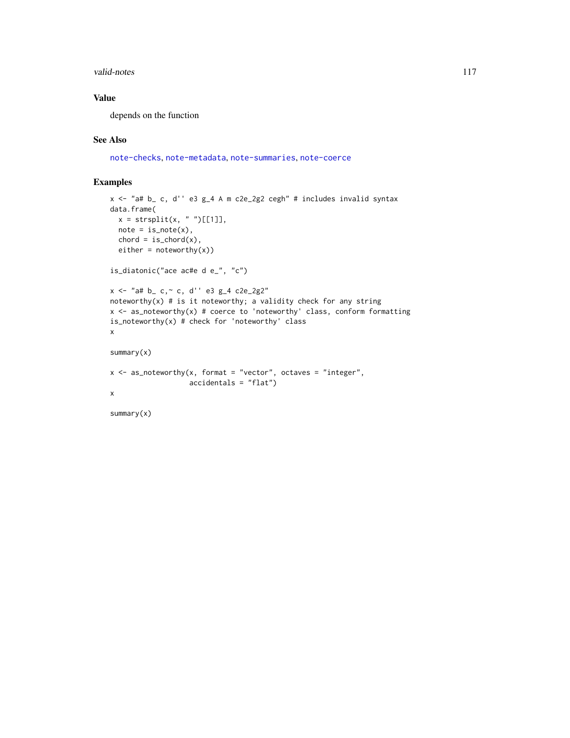#### valid-notes and the set of the set of the set of the set of the set of the set of the set of the set of the set of the set of the set of the set of the set of the set of the set of the set of the set of the set of the set

# Value

depends on the function

# See Also

[note-checks](#page-43-0), [note-metadata](#page-49-0), [note-summaries](#page-52-0), [note-coerce](#page-44-0)

# Examples

```
x <- "a# b_ c, d'' e3 g_4 A m c2e_2g2 cegh" # includes invalid syntax
data.frame(
 x = straight(x, "")[[1]],
 note = is\_note(x),chord = is\_chord(x),
  either = noteworthy(x))is_diatonic("ace ac#e d e_", "c")
x \le - "a# b_ - c, ~ c, d'' e3 g_4 c2e_2g2"
noteworthy(x) # is it noteworthy; a validity check for any string
x <- as_noteworthy(x) # coerce to 'noteworthy' class, conform formatting
is\_noteworthy(x) # check for 'noteworthy' class
x
summary(x)
x \leq - as_noteworthy(x, format = "vector", octaves = "integer",
                  accidentals = "flat")
x
summary(x)
```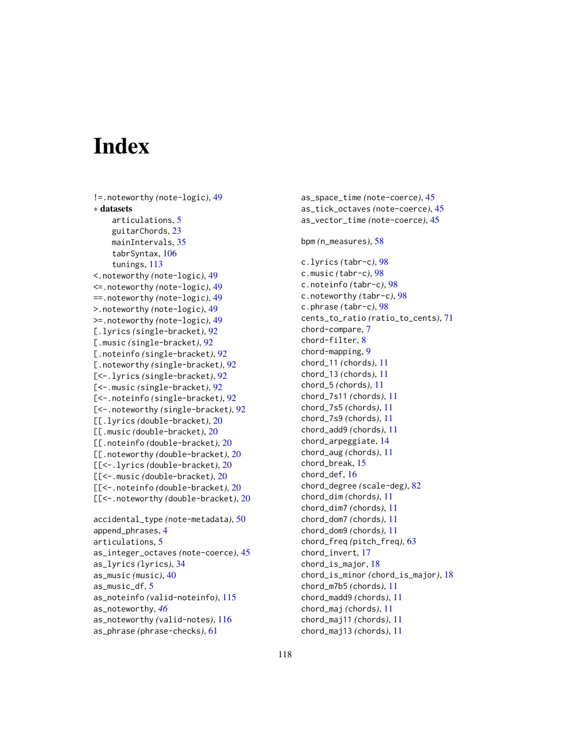# **Index**

```
!=.noteworthy (note-logic), 49
∗ datasets
    articulations, 5
    guitarChords, 23
    mainIntervals, 35
    tabrSyntax, 106
    tunings, 113
<.noteworthy (note-logic), 49
<=.noteworthy (note-logic), 49
==.noteworthy (note-logic), 49
>.noteworthy (note-logic), 49
>=.noteworthy (note-logic), 49
[.lyrics (single-bracket), 92
[.music (single-bracket), 92
[.noteinfo (single-bracket), 92
[.noteworthy (single-bracket), 92
[<-.lyrics (single-bracket), 92
[<-.music (single-bracket), 92
[<-.noteinfo (single-bracket), 92
[<-.noteworthy (single-bracket), 92
[[.lyrics (double-bracket), 20
[[.music (double-bracket), 20
[[.noteinfo (double-bracket), 20
[[.noteworthy (double-bracket), 20
[[<-.lyrics (double-bracket), 20
[[<-.music (double-bracket), 20
[[<-.noteinfo (double-bracket), 20
[[<-.noteworthy (double-bracket), 20
```

```
accidental_type (note-metadata), 50
append_phrases, 4
articulations, 5
as_integer_octaves (note-coerce), 45
as_lyrics (lyrics), 34
as_music (music), 40
as_music_df, 5
as_noteinfo (valid-noteinfo), 115
as_noteworthy, 46
as_noteworthy (valid-notes), 116
as_phrase (phrase-checks), 61
```
as\_space\_time *(*note-coerce*)*, [45](#page-44-1) as\_tick\_octaves *(*note-coerce*)*, [45](#page-44-1) as\_vector\_time *(*note-coerce*)*, [45](#page-44-1) bpm *(*n\_measures*)*, [58](#page-57-0) c.lyrics *(*tabr-c*)*, [98](#page-97-0) c.music *(*tabr-c*)*, [98](#page-97-0) c.noteinfo *(*tabr-c*)*, [98](#page-97-0) c.noteworthy *(*tabr-c*)*, [98](#page-97-0) c.phrase *(*tabr-c*)*, [98](#page-97-0) cents\_to\_ratio *(*ratio\_to\_cents*)*, [71](#page-70-0) chord-compare, [7](#page-6-0) chord-filter, [8](#page-7-0) chord-mapping, [9](#page-8-0) chord\_11 *(*chords*)*, [11](#page-10-0) chord\_13 *(*chords*)*, [11](#page-10-0) chord\_5 *(*chords*)*, [11](#page-10-0) chord\_7s11 *(*chords*)*, [11](#page-10-0) chord\_7s5 *(*chords*)*, [11](#page-10-0) chord\_7s9 *(*chords*)*, [11](#page-10-0) chord\_add9 *(*chords*)*, [11](#page-10-0) chord\_arpeggiate, [14](#page-13-0) chord\_aug *(*chords*)*, [11](#page-10-0) chord\_break, [15](#page-14-0) chord\_def, [16](#page-15-0) chord\_degree *(*scale-deg*)*, [82](#page-81-0) chord\_dim *(*chords*)*, [11](#page-10-0) chord\_dim7 *(*chords*)*, [11](#page-10-0) chord\_dom7 *(*chords*)*, [11](#page-10-0) chord\_dom9 *(*chords*)*, [11](#page-10-0) chord\_freq *(*pitch\_freq*)*, [63](#page-62-0) chord\_invert, [17](#page-16-0) chord\_is\_major, [18](#page-17-0) chord\_is\_minor *(*chord\_is\_major*)*, [18](#page-17-0) chord\_m7b5 *(*chords*)*, [11](#page-10-0) chord\_madd9 *(*chords*)*, [11](#page-10-0) chord\_maj *(*chords*)*, [11](#page-10-0) chord\_maj11 *(*chords*)*, [11](#page-10-0) chord\_maj13 *(*chords*)*, [11](#page-10-0)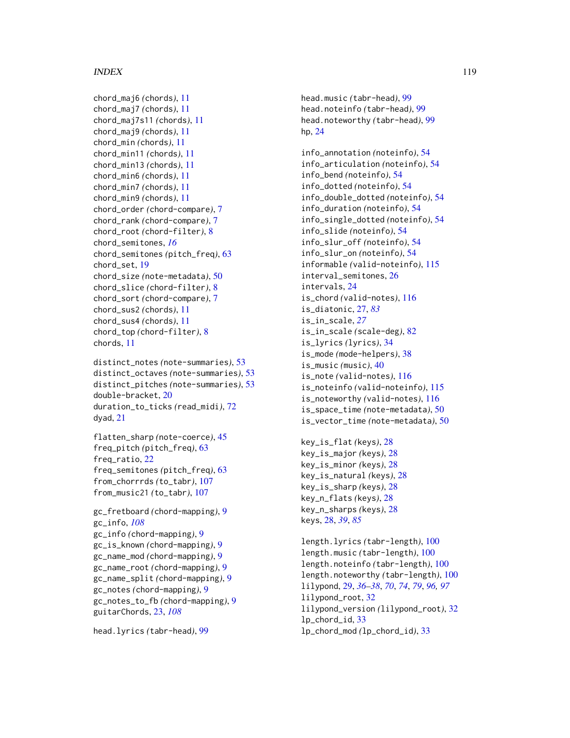# INDEX 119

chord\_maj6 *(*chords*)*, [11](#page-10-0) chord\_maj7 *(*chords*)*, [11](#page-10-0) chord\_maj7s11 *(*chords*)*, [11](#page-10-0) chord\_maj9 *(*chords*)*, [11](#page-10-0) chord\_min *(*chords*)*, [11](#page-10-0) chord\_min11 *(*chords*)*, [11](#page-10-0) chord\_min13 *(*chords*)*, [11](#page-10-0) chord\_min6 *(*chords*)*, [11](#page-10-0) chord\_min7 *(*chords*)*, [11](#page-10-0) chord\_min9 *(*chords*)*, [11](#page-10-0) chord\_order *(*chord-compare*)*, [7](#page-6-0) chord\_rank *(*chord-compare*)*, [7](#page-6-0) chord\_root *(*chord-filter*)*, [8](#page-7-0) chord\_semitones, *[16](#page-15-0)* chord\_semitones *(*pitch\_freq*)*, [63](#page-62-0) chord\_set, [19](#page-18-0) chord\_size *(*note-metadata*)*, [50](#page-49-1) chord\_slice *(*chord-filter*)*, [8](#page-7-0) chord\_sort *(*chord-compare*)*, [7](#page-6-0) chord\_sus2 *(*chords*)*, [11](#page-10-0) chord\_sus4 *(*chords*)*, [11](#page-10-0) chord\_top *(*chord-filter*)*, [8](#page-7-0) chords, [11](#page-10-0)

```
distinct_notes (note-summaries), 53
distinct_octaves (note-summaries), 53
distinct_pitches (note-summaries), 53
double-bracket, 20
duration_to_ticks (read_midi), 72
dyad, 21
```

```
flatten_sharp (note-coerce), 45
freq_pitch (pitch_freq), 63
freq_ratio, 22
freq_semitones (pitch_freq), 63
from_chorrrds (to_tabr), 107
from_music21 (to_tabr), 107
```

```
gc_fretboard (chord-mapping), 9
gc_info, 108
gc_info (chord-mapping), 9
gc_is_known (chord-mapping), 9
gc_name_mod (chord-mapping), 9
gc_name_root (chord-mapping), 9
gc_name_split (chord-mapping), 9
gc_notes (chord-mapping), 9
gc_notes_to_fb (chord-mapping), 9
guitarChords, 23, 108
```

```
head.lyrics (tabr-head), 99
```
head.music *(*tabr-head*)*, [99](#page-98-0) head.noteinfo *(*tabr-head*)*, [99](#page-98-0) head.noteworthy *(*tabr-head*)*, [99](#page-98-0) hp, [24](#page-23-0)

info\_annotation *(*noteinfo*)*, [54](#page-53-1) info\_articulation *(*noteinfo*)*, [54](#page-53-1) info\_bend *(*noteinfo*)*, [54](#page-53-1) info\_dotted *(*noteinfo*)*, [54](#page-53-1) info\_double\_dotted *(*noteinfo*)*, [54](#page-53-1) info\_duration *(*noteinfo*)*, [54](#page-53-1) info\_single\_dotted *(*noteinfo*)*, [54](#page-53-1) info\_slide *(*noteinfo*)*, [54](#page-53-1) info\_slur\_off *(*noteinfo*)*, [54](#page-53-1) info\_slur\_on *(*noteinfo*)*, [54](#page-53-1) informable *(*valid-noteinfo*)*, [115](#page-114-0) interval\_semitones, [26](#page-25-0) intervals, [24](#page-23-0) is\_chord *(*valid-notes*)*, [116](#page-115-1) is\_diatonic, [27,](#page-26-0) *[83](#page-82-0)* is\_in\_scale, *[27](#page-26-0)* is\_in\_scale *(*scale-deg*)*, [82](#page-81-0) is\_lyrics *(*lyrics*)*, [34](#page-33-0) is\_mode *(*mode-helpers*)*, [38](#page-37-0) is\_music *(*music*)*, [40](#page-39-0) is\_note *(*valid-notes*)*, [116](#page-115-1) is\_noteinfo *(*valid-noteinfo*)*, [115](#page-114-0) is\_noteworthy *(*valid-notes*)*, [116](#page-115-1) is\_space\_time *(*note-metadata*)*, [50](#page-49-1) is\_vector\_time *(*note-metadata*)*, [50](#page-49-1)

```
key_is_flat (keys), 28
key_is_major (keys), 28
key_is_minor (keys), 28
key_is_natural (keys), 28
key_is_sharp (keys), 28
key_n_flats (keys), 28
key_n_sharps (keys), 28
keys, 28, 39, 85
```
length.lyrics *(*tabr-length*)*, [100](#page-99-0) length.music *(*tabr-length*)*, [100](#page-99-0) length.noteinfo *(*tabr-length*)*, [100](#page-99-0) length.noteworthy *(*tabr-length*)*, [100](#page-99-0) lilypond, [29,](#page-28-0) *[36](#page-35-0)[–38](#page-37-0)*, *[70](#page-69-0)*, *[74](#page-73-0)*, *[79](#page-78-0)*, *[96,](#page-95-0) [97](#page-96-0)* lilypond\_root, [32](#page-31-0) lilypond\_version *(*lilypond\_root*)*, [32](#page-31-0) lp\_chord\_id, [33](#page-32-0) lp\_chord\_mod *(*lp\_chord\_id*)*, [33](#page-32-0)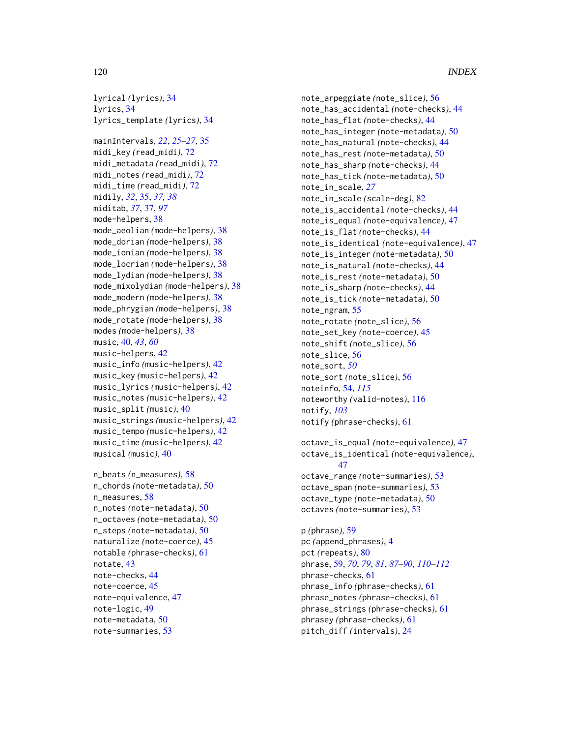lyrical *(*lyrics*)*, [34](#page-33-0) lyrics, [34](#page-33-0) lyrics\_template *(*lyrics*)*, [34](#page-33-0) mainIntervals, *[22](#page-21-0)*, *[25–](#page-24-0)[27](#page-26-0)*, [35](#page-34-0) midi\_key *(*read\_midi*)*, [72](#page-71-0) midi\_metadata *(*read\_midi*)*, [72](#page-71-0) midi\_notes *(*read\_midi*)*, [72](#page-71-0) midi\_time *(*read\_midi*)*, [72](#page-71-0) midily, *[32](#page-31-0)*, [35,](#page-34-0) *[37,](#page-36-0) [38](#page-37-0)* miditab, *[37](#page-36-0)*, [37,](#page-36-0) *[97](#page-96-0)* mode-helpers, [38](#page-37-0) mode\_aeolian *(*mode-helpers*)*, [38](#page-37-0) mode\_dorian *(*mode-helpers*)*, [38](#page-37-0) mode\_ionian *(*mode-helpers*)*, [38](#page-37-0) mode\_locrian *(*mode-helpers*)*, [38](#page-37-0) mode\_lydian *(*mode-helpers*)*, [38](#page-37-0) mode\_mixolydian *(*mode-helpers*)*, [38](#page-37-0) mode\_modern *(*mode-helpers*)*, [38](#page-37-0) mode\_phrygian *(*mode-helpers*)*, [38](#page-37-0) mode\_rotate *(*mode-helpers*)*, [38](#page-37-0) modes *(*mode-helpers*)*, [38](#page-37-0) music, [40,](#page-39-0) *[43](#page-42-0)*, *[60](#page-59-0)* music-helpers, [42](#page-41-0) music\_info *(*music-helpers*)*, [42](#page-41-0) music\_key *(*music-helpers*)*, [42](#page-41-0) music\_lyrics *(*music-helpers*)*, [42](#page-41-0) music\_notes *(*music-helpers*)*, [42](#page-41-0)

```
music_split (music), 40
music_strings (music-helpers), 42
music_tempo (music-helpers), 42
music_time (music-helpers), 42
musical (music), 40
```

```
n_beats (n_measures), 58
n_chords (note-metadata), 50
n_measures, 58
n_notes (note-metadata), 50
n_octaves (note-metadata), 50
n_steps (note-metadata), 50
naturalize (note-coerce), 45
notable (phrase-checks), 61
notate, 43
note-checks, 44
note-coerce, 45
note-equivalence, 47
note-logic, 49
note-metadata, 50
note-summaries, 53
```
note\_arpeggiate *(*note\_slice*)*, [56](#page-55-0) note\_has\_accidental *(*note-checks*)*, [44](#page-43-1) note\_has\_flat *(*note-checks*)*, [44](#page-43-1) note\_has\_integer *(*note-metadata*)*, [50](#page-49-1) note\_has\_natural *(*note-checks*)*, [44](#page-43-1) note\_has\_rest *(*note-metadata*)*, [50](#page-49-1) note\_has\_sharp *(*note-checks*)*, [44](#page-43-1) note\_has\_tick *(*note-metadata*)*, [50](#page-49-1) note\_in\_scale, *[27](#page-26-0)* note\_in\_scale *(*scale-deg*)*, [82](#page-81-0) note\_is\_accidental *(*note-checks*)*, [44](#page-43-1) note\_is\_equal *(*note-equivalence*)*, [47](#page-46-0) note\_is\_flat *(*note-checks*)*, [44](#page-43-1) note\_is\_identical *(*note-equivalence*)*, [47](#page-46-0) note\_is\_integer *(*note-metadata*)*, [50](#page-49-1) note\_is\_natural *(*note-checks*)*, [44](#page-43-1) note\_is\_rest *(*note-metadata*)*, [50](#page-49-1) note\_is\_sharp *(*note-checks*)*, [44](#page-43-1) note\_is\_tick *(*note-metadata*)*, [50](#page-49-1) note\_ngram, [55](#page-54-0) note\_rotate *(*note\_slice*)*, [56](#page-55-0) note\_set\_key *(*note-coerce*)*, [45](#page-44-1) note\_shift *(*note\_slice*)*, [56](#page-55-0) note\_slice, [56](#page-55-0) note\_sort, *[50](#page-49-1)* note\_sort *(*note\_slice*)*, [56](#page-55-0) noteinfo, [54,](#page-53-1) *[115](#page-114-0)* noteworthy *(*valid-notes*)*, [116](#page-115-1) notify, *[103](#page-102-0)* notify *(*phrase-checks*)*, [61](#page-60-0)

```
octave_is_equal (note-equivalence), 47
octave_is_identical (note-equivalence),
        47
octave_range (note-summaries), 53
octave_span (note-summaries), 53
octave_type (note-metadata), 50
octaves (note-summaries), 53
```

```
p (phrase), 59
pc (append_phrases), 4
pct (repeats), 80
phrase, 59, 70, 79, 81, 87–90, 110–112
phrase-checks, 61
phrase_info (phrase-checks), 61
phrase_notes (phrase-checks), 61
phrase_strings (phrase-checks), 61
phrasey (phrase-checks), 61
pitch_diff (intervals), 24
```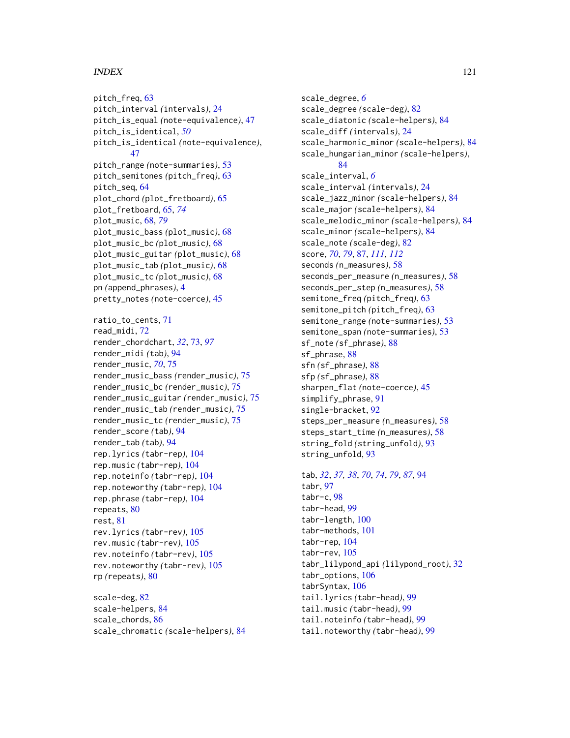# $INDEX$  and  $I21$

pitch\_freq, [63](#page-62-0) pitch\_interval *(*intervals*)*, [24](#page-23-0) pitch\_is\_equal *(*note-equivalence*)*, [47](#page-46-0) pitch\_is\_identical, *[50](#page-49-1)* pitch\_is\_identical *(*note-equivalence*)*, [47](#page-46-0) pitch\_range *(*note-summaries*)*, [53](#page-52-1) pitch\_semitones *(*pitch\_freq*)*, [63](#page-62-0) pitch\_seq, [64](#page-63-0) plot\_chord *(*plot\_fretboard*)*, [65](#page-64-0) plot\_fretboard, [65,](#page-64-0) *[74](#page-73-0)* plot\_music, [68,](#page-67-0) *[79](#page-78-0)* plot\_music\_bass *(*plot\_music*)*, [68](#page-67-0) plot\_music\_bc *(*plot\_music*)*, [68](#page-67-0) plot\_music\_guitar *(*plot\_music*)*, [68](#page-67-0) plot\_music\_tab *(*plot\_music*)*, [68](#page-67-0) plot\_music\_tc *(*plot\_music*)*, [68](#page-67-0) pn *(*append\_phrases*)*, [4](#page-3-0) pretty\_notes *(*note-coerce*)*, [45](#page-44-1) ratio\_to\_cents, [71](#page-70-0) read\_midi, [72](#page-71-0) render\_chordchart, *[32](#page-31-0)*, [73,](#page-72-0) *[97](#page-96-0)* render\_midi *(*tab*)*, [94](#page-93-0) render\_music, *[70](#page-69-0)*, [75](#page-74-0) render\_music\_bass *(*render\_music*)*, [75](#page-74-0) render\_music\_bc *(*render\_music*)*, [75](#page-74-0) render\_music\_guitar *(*render\_music*)*, [75](#page-74-0) render\_music\_tab *(*render\_music*)*, [75](#page-74-0) render\_music\_tc *(*render\_music*)*, [75](#page-74-0) render\_score *(*tab*)*, [94](#page-93-0) render\_tab *(*tab*)*, [94](#page-93-0) rep.lyrics *(*tabr-rep*)*, [104](#page-103-0) rep.music *(*tabr-rep*)*, [104](#page-103-0) rep.noteinfo *(*tabr-rep*)*, [104](#page-103-0) rep.noteworthy *(*tabr-rep*)*, [104](#page-103-0) rep.phrase *(*tabr-rep*)*, [104](#page-103-0) repeats, [80](#page-79-0) rest, [81](#page-80-0) rev.lyrics *(*tabr-rev*)*, [105](#page-104-0) rev.music *(*tabr-rev*)*, [105](#page-104-0) rev.noteinfo *(*tabr-rev*)*, [105](#page-104-0) rev.noteworthy *(*tabr-rev*)*, [105](#page-104-0) rp *(*repeats*)*, [80](#page-79-0)

scale-deg, [82](#page-81-0) scale-helpers, [84](#page-83-0) scale\_chords, [86](#page-85-0) scale\_chromatic *(*scale-helpers*)*, [84](#page-83-0)

scale\_degree, *[6](#page-5-0)* scale\_degree *(*scale-deg*)*, [82](#page-81-0) scale\_diatonic *(*scale-helpers*)*, [84](#page-83-0) scale\_diff *(*intervals*)*, [24](#page-23-0) scale\_harmonic\_minor *(*scale-helpers*)*, [84](#page-83-0) scale\_hungarian\_minor *(*scale-helpers*)*, [84](#page-83-0) scale\_interval, *[6](#page-5-0)* scale\_interval *(*intervals*)*, [24](#page-23-0) scale\_jazz\_minor *(*scale-helpers*)*, [84](#page-83-0) scale\_major *(*scale-helpers*)*, [84](#page-83-0) scale\_melodic\_minor *(*scale-helpers*)*, [84](#page-83-0) scale\_minor *(*scale-helpers*)*, [84](#page-83-0) scale\_note *(*scale-deg*)*, [82](#page-81-0) score, *[70](#page-69-0)*, *[79](#page-78-0)*, [87,](#page-86-1) *[111,](#page-110-1) [112](#page-111-0)* seconds *(*n\_measures*)*, [58](#page-57-0) seconds\_per\_measure *(*n\_measures*)*, [58](#page-57-0) seconds\_per\_step *(*n\_measures*)*, [58](#page-57-0) semitone\_freq *(*pitch\_freq*)*, [63](#page-62-0) semitone\_pitch *(*pitch\_freq*)*, [63](#page-62-0) semitone\_range *(*note-summaries*)*, [53](#page-52-1) semitone\_span *(*note-summaries*)*, [53](#page-52-1) sf\_note *(*sf\_phrase*)*, [88](#page-87-0) sf\_phrase, [88](#page-87-0) sfn *(*sf\_phrase*)*, [88](#page-87-0) sfp *(*sf\_phrase*)*, [88](#page-87-0) sharpen\_flat *(*note-coerce*)*, [45](#page-44-1) simplify\_phrase, [91](#page-90-0) single-bracket, [92](#page-91-0) steps\_per\_measure *(*n\_measures*)*, [58](#page-57-0) steps\_start\_time *(*n\_measures*)*, [58](#page-57-0) string\_fold *(*string\_unfold*)*, [93](#page-92-0) string\_unfold, [93](#page-92-0)

```
tab, 32, 37, 38, 70, 74, 79, 87, 94
tabr, 97
tabr-c, 98
tabr-head, 99
tabr-length, 100
tabr-methods, 101
tabr-rep, 104
tabr-rev, 105
tabr_lilypond_api (lilypond_root), 32
tabr_options, 106
tabrSyntax, 106
tail.lyrics (tabr-head), 99
tail.music (tabr-head), 99
tail.noteinfo (tabr-head), 99
tail.noteworthy (tabr-head), 99
```